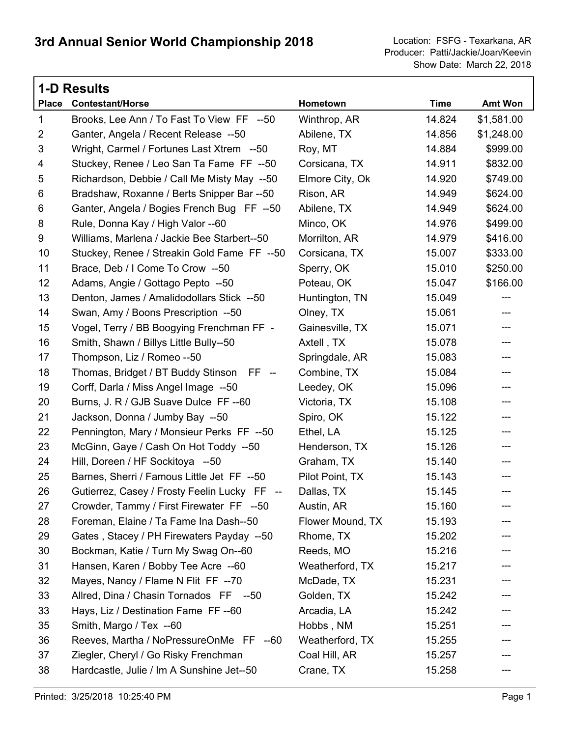|                | <b>1-D Results</b>                           |                  |             |            |  |  |
|----------------|----------------------------------------------|------------------|-------------|------------|--|--|
| <b>Place</b>   | <b>Contestant/Horse</b>                      | Hometown         | <b>Time</b> | Amt Won    |  |  |
| $\mathbf{1}$   | Brooks, Lee Ann / To Fast To View FF --50    | Winthrop, AR     | 14.824      | \$1,581.00 |  |  |
| $\overline{2}$ | Ganter, Angela / Recent Release --50         | Abilene, TX      | 14.856      | \$1,248.00 |  |  |
| 3              | Wright, Carmel / Fortunes Last Xtrem --50    | Roy, MT          | 14.884      | \$999.00   |  |  |
| 4              | Stuckey, Renee / Leo San Ta Fame FF --50     | Corsicana, TX    | 14.911      | \$832.00   |  |  |
| 5              | Richardson, Debbie / Call Me Misty May --50  | Elmore City, Ok  | 14.920      | \$749.00   |  |  |
| 6              | Bradshaw, Roxanne / Berts Snipper Bar --50   | Rison, AR        | 14.949      | \$624.00   |  |  |
| 6              | Ganter, Angela / Bogies French Bug FF --50   | Abilene, TX      | 14.949      | \$624.00   |  |  |
| 8              | Rule, Donna Kay / High Valor --60            | Minco, OK        | 14.976      | \$499.00   |  |  |
| 9              | Williams, Marlena / Jackie Bee Starbert--50  | Morrilton, AR    | 14.979      | \$416.00   |  |  |
| 10             | Stuckey, Renee / Streakin Gold Fame FF --50  | Corsicana, TX    | 15.007      | \$333.00   |  |  |
| 11             | Brace, Deb / I Come To Crow --50             | Sperry, OK       | 15.010      | \$250.00   |  |  |
| 12             | Adams, Angie / Gottago Pepto --50            | Poteau, OK       | 15.047      | \$166.00   |  |  |
| 13             | Denton, James / Amalidodollars Stick --50    | Huntington, TN   | 15.049      | ---        |  |  |
| 14             | Swan, Amy / Boons Prescription --50          | Olney, TX        | 15.061      | ---        |  |  |
| 15             | Vogel, Terry / BB Boogying Frenchman FF -    | Gainesville, TX  | 15.071      | ---        |  |  |
| 16             | Smith, Shawn / Billys Little Bully--50       | Axtell, TX       | 15.078      | ---        |  |  |
| 17             | Thompson, Liz / Romeo --50                   | Springdale, AR   | 15.083      | ---        |  |  |
| 18             | Thomas, Bridget / BT Buddy Stinson FF --     | Combine, TX      | 15.084      | ---        |  |  |
| 19             | Corff, Darla / Miss Angel Image --50         | Leedey, OK       | 15.096      | ---        |  |  |
| 20             | Burns, J. R / GJB Suave Dulce FF --60        | Victoria, TX     | 15.108      | ---        |  |  |
| 21             | Jackson, Donna / Jumby Bay --50              | Spiro, OK        | 15.122      | ---        |  |  |
| 22             | Pennington, Mary / Monsieur Perks FF --50    | Ethel, LA        | 15.125      | ---        |  |  |
| 23             | McGinn, Gaye / Cash On Hot Toddy --50        | Henderson, TX    | 15.126      | ---        |  |  |
| 24             | Hill, Doreen / HF Sockitoya --50             | Graham, TX       | 15.140      | ---        |  |  |
| 25             | Barnes, Sherri / Famous Little Jet FF --50   | Pilot Point, TX  | 15.143      | ---        |  |  |
| 26             | Gutierrez, Casey / Frosty Feelin Lucky FF -- | Dallas, TX       | 15.145      | ---        |  |  |
| 27             | Crowder, Tammy / First Firewater FF --50     | Austin, AR       | 15.160      |            |  |  |
| 28             | Foreman, Elaine / Ta Fame Ina Dash--50       | Flower Mound, TX | 15.193      |            |  |  |
| 29             | Gates, Stacey / PH Firewaters Payday --50    | Rhome, TX        | 15.202      |            |  |  |
| 30             | Bockman, Katie / Turn My Swag On--60         | Reeds, MO        | 15.216      | ---        |  |  |
| 31             | Hansen, Karen / Bobby Tee Acre --60          | Weatherford, TX  | 15.217      |            |  |  |
| 32             | Mayes, Nancy / Flame N Flit FF --70          | McDade, TX       | 15.231      |            |  |  |
| 33             | Allred, Dina / Chasin Tornados FF --50       | Golden, TX       | 15.242      | ---        |  |  |
| 33             | Hays, Liz / Destination Fame FF--60          | Arcadia, LA      | 15.242      |            |  |  |
| 35             | Smith, Margo / Tex --60                      | Hobbs, NM        | 15.251      |            |  |  |
| 36             | Reeves, Martha / NoPressureOnMe FF --60      | Weatherford, TX  | 15.255      |            |  |  |
| 37             | Ziegler, Cheryl / Go Risky Frenchman         | Coal Hill, AR    | 15.257      |            |  |  |
| 38             | Hardcastle, Julie / Im A Sunshine Jet--50    | Crane, TX        | 15.258      |            |  |  |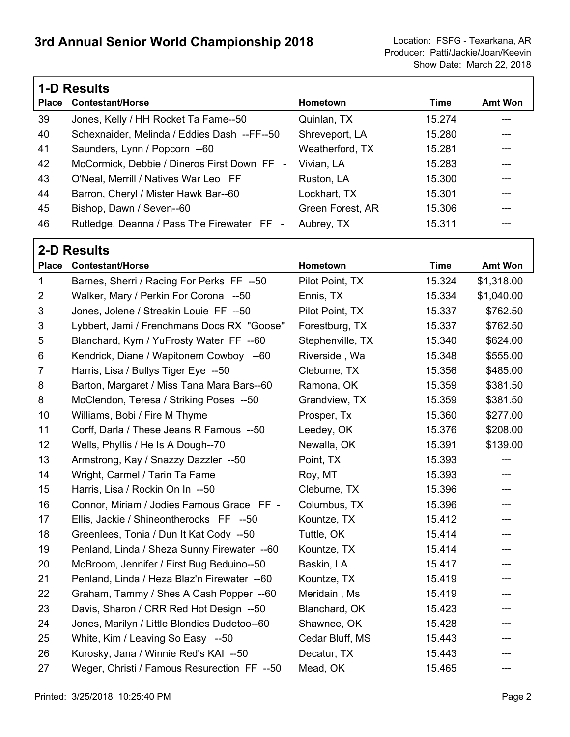|              | <b>1-D Results</b>                          |                  |        |                |  |
|--------------|---------------------------------------------|------------------|--------|----------------|--|
| <b>Place</b> | <b>Contestant/Horse</b>                     | <b>Hometown</b>  | Time   | <b>Amt Won</b> |  |
| 39           | Jones, Kelly / HH Rocket Ta Fame--50        | Quinlan, TX      | 15.274 |                |  |
| 40           | Schexnaider, Melinda / Eddies Dash --FF--50 | Shreveport, LA   | 15.280 |                |  |
| 41           | Saunders, Lynn / Popcorn --60               | Weatherford, TX  | 15.281 |                |  |
| 42           | McCormick, Debbie / Dineros First Down FF - | Vivian, LA       | 15.283 |                |  |
| 43           | O'Neal, Merrill / Natives War Leo FF        | Ruston, LA       | 15.300 |                |  |
| 44           | Barron, Cheryl / Mister Hawk Bar--60        | Lockhart, TX     | 15.301 |                |  |
| 45           | Bishop, Dawn / Seven--60                    | Green Forest, AR | 15.306 |                |  |
| 46           | Rutledge, Deanna / Pass The Firewater FF -  | Aubrey, TX       | 15.311 |                |  |

|                | <b>2-D Results</b>                           |                  |             |                           |  |  |  |
|----------------|----------------------------------------------|------------------|-------------|---------------------------|--|--|--|
|                | Place Contestant/Horse                       | Hometown         | <b>Time</b> | Amt Won                   |  |  |  |
| $\mathbf{1}$   | Barnes, Sherri / Racing For Perks FF --50    | Pilot Point, TX  | 15.324      | \$1,318.00                |  |  |  |
| $\overline{2}$ | Walker, Mary / Perkin For Corona --50        | Ennis, TX        | 15.334      | \$1,040.00                |  |  |  |
| 3              | Jones, Jolene / Streakin Louie FF --50       | Pilot Point, TX  | 15.337      | \$762.50                  |  |  |  |
| 3              | Lybbert, Jami / Frenchmans Docs RX "Goose"   | Forestburg, TX   | 15.337      | \$762.50                  |  |  |  |
| 5              | Blanchard, Kym / YuFrosty Water FF --60      | Stephenville, TX | 15.340      | \$624.00                  |  |  |  |
| 6              | Kendrick, Diane / Wapitonem Cowboy --60      | Riverside, Wa    | 15.348      | \$555.00                  |  |  |  |
| $\overline{7}$ | Harris, Lisa / Bullys Tiger Eye --50         | Cleburne, TX     | 15.356      | \$485.00                  |  |  |  |
| 8              | Barton, Margaret / Miss Tana Mara Bars--60   | Ramona, OK       | 15.359      | \$381.50                  |  |  |  |
| 8              | McClendon, Teresa / Striking Poses --50      | Grandview, TX    | 15.359      | \$381.50                  |  |  |  |
| 10             | Williams, Bobi / Fire M Thyme                | Prosper, Tx      | 15.360      | \$277.00                  |  |  |  |
| 11             | Corff, Darla / These Jeans R Famous --50     | Leedey, OK       | 15.376      | \$208.00                  |  |  |  |
| 12             | Wells, Phyllis / He Is A Dough--70           | Newalla, OK      | 15.391      | \$139.00                  |  |  |  |
| 13             | Armstrong, Kay / Snazzy Dazzler --50         | Point, TX        | 15.393      | ---                       |  |  |  |
| 14             | Wright, Carmel / Tarin Ta Fame               | Roy, MT          | 15.393      | ---                       |  |  |  |
| 15             | Harris, Lisa / Rockin On In --50             | Cleburne, TX     | 15.396      | $\qquad \qquad -\qquad -$ |  |  |  |
| 16             | Connor, Miriam / Jodies Famous Grace FF -    | Columbus, TX     | 15.396      | ---                       |  |  |  |
| 17             | Ellis, Jackie / Shineontherocks FF --50      | Kountze, TX      | 15.412      | ---                       |  |  |  |
| 18             | Greenlees, Tonia / Dun It Kat Cody --50      | Tuttle, OK       | 15.414      | ---                       |  |  |  |
| 19             | Penland, Linda / Sheza Sunny Firewater --60  | Kountze, TX      | 15.414      | ---                       |  |  |  |
| 20             | McBroom, Jennifer / First Bug Beduino--50    | Baskin, LA       | 15.417      | ---                       |  |  |  |
| 21             | Penland, Linda / Heza Blaz'n Firewater --60  | Kountze, TX      | 15.419      | ---                       |  |  |  |
| 22             | Graham, Tammy / Shes A Cash Popper --60      | Meridain, Ms     | 15.419      | ---                       |  |  |  |
| 23             | Davis, Sharon / CRR Red Hot Design --50      | Blanchard, OK    | 15.423      | ---                       |  |  |  |
| 24             | Jones, Marilyn / Little Blondies Dudetoo--60 | Shawnee, OK      | 15.428      | ---                       |  |  |  |
| 25             | White, Kim / Leaving So Easy --50            | Cedar Bluff, MS  | 15.443      | ---                       |  |  |  |
| 26             | Kurosky, Jana / Winnie Red's KAI --50        | Decatur, TX      | 15.443      | ---                       |  |  |  |
| 27             | Weger, Christi / Famous Resurection FF --50  | Mead, OK         | 15.465      | ---                       |  |  |  |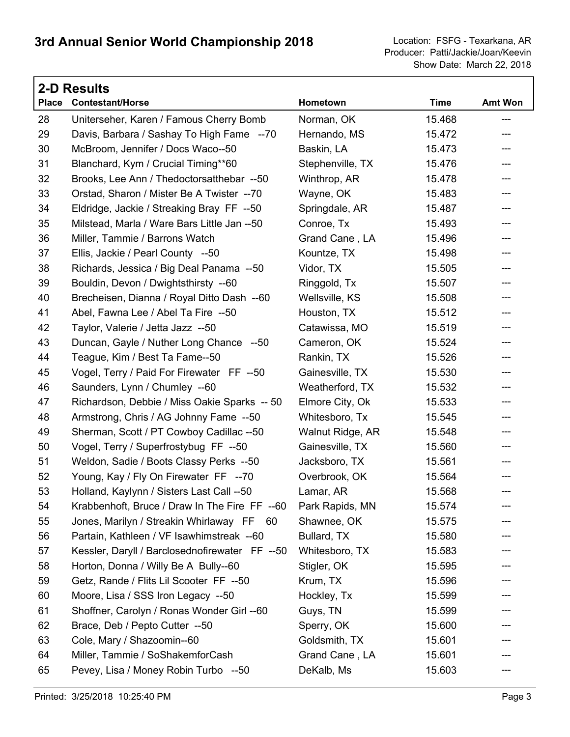| <b>2-D Results</b> |                                                |                  |             |         |  |  |
|--------------------|------------------------------------------------|------------------|-------------|---------|--|--|
| <b>Place</b>       | <b>Contestant/Horse</b>                        | Hometown         | <b>Time</b> | Amt Won |  |  |
| 28                 | Uniterseher, Karen / Famous Cherry Bomb        | Norman, OK       | 15.468      | ---     |  |  |
| 29                 | Davis, Barbara / Sashay To High Fame --70      | Hernando, MS     | 15.472      | ---     |  |  |
| 30                 | McBroom, Jennifer / Docs Waco--50              | Baskin, LA       | 15.473      | ---     |  |  |
| 31                 | Blanchard, Kym / Crucial Timing**60            | Stephenville, TX | 15.476      | ---     |  |  |
| 32                 | Brooks, Lee Ann / Thedoctorsatthebar --50      | Winthrop, AR     | 15.478      | ---     |  |  |
| 33                 | Orstad, Sharon / Mister Be A Twister --70      | Wayne, OK        | 15.483      | ---     |  |  |
| 34                 | Eldridge, Jackie / Streaking Bray FF --50      | Springdale, AR   | 15.487      | ---     |  |  |
| 35                 | Milstead, Marla / Ware Bars Little Jan --50    | Conroe, Tx       | 15.493      | ---     |  |  |
| 36                 | Miller, Tammie / Barrons Watch                 | Grand Cane, LA   | 15.496      | ---     |  |  |
| 37                 | Ellis, Jackie / Pearl County --50              | Kountze, TX      | 15.498      | ---     |  |  |
| 38                 | Richards, Jessica / Big Deal Panama --50       | Vidor, TX        | 15.505      | ---     |  |  |
| 39                 | Bouldin, Devon / Dwightsthirsty --60           | Ringgold, Tx     | 15.507      | ---     |  |  |
| 40                 | Brecheisen, Dianna / Royal Ditto Dash --60     | Wellsville, KS   | 15.508      | ---     |  |  |
| 41                 | Abel, Fawna Lee / Abel Ta Fire --50            | Houston, TX      | 15.512      | ---     |  |  |
| 42                 | Taylor, Valerie / Jetta Jazz --50              | Catawissa, MO    | 15.519      | ---     |  |  |
| 43                 | Duncan, Gayle / Nuther Long Chance --50        | Cameron, OK      | 15.524      | ---     |  |  |
| 44                 | Teague, Kim / Best Ta Fame--50                 | Rankin, TX       | 15.526      | ---     |  |  |
| 45                 | Vogel, Terry / Paid For Firewater FF --50      | Gainesville, TX  | 15.530      | ---     |  |  |
| 46                 | Saunders, Lynn / Chumley --60                  | Weatherford, TX  | 15.532      | ---     |  |  |
| 47                 | Richardson, Debbie / Miss Oakie Sparks -- 50   | Elmore City, Ok  | 15.533      | ---     |  |  |
| 48                 | Armstrong, Chris / AG Johnny Fame --50         | Whitesboro, Tx   | 15.545      | ---     |  |  |
| 49                 | Sherman, Scott / PT Cowboy Cadillac --50       | Walnut Ridge, AR | 15.548      | ---     |  |  |
| 50                 | Vogel, Terry / Superfrostybug FF --50          | Gainesville, TX  | 15.560      | ---     |  |  |
| 51                 | Weldon, Sadie / Boots Classy Perks --50        | Jacksboro, TX    | 15.561      | ---     |  |  |
| 52                 | Young, Kay / Fly On Firewater FF --70          | Overbrook, OK    | 15.564      | ---     |  |  |
| 53                 | Holland, Kaylynn / Sisters Last Call --50      | Lamar, AR        | 15.568      | ---     |  |  |
| 54                 | Krabbenhoft, Bruce / Draw In The Fire FF --60  | Park Rapids, MN  | 15.574      |         |  |  |
| 55                 | Jones, Marilyn / Streakin Whirlaway FF 60      | Shawnee, OK      | 15.575      |         |  |  |
| 56                 | Partain, Kathleen / VF Isawhimstreak --60      | Bullard, TX      | 15.580      |         |  |  |
| 57                 | Kessler, Daryll / Barclosednofirewater FF --50 | Whitesboro, TX   | 15.583      | ---     |  |  |
| 58                 | Horton, Donna / Willy Be A Bully--60           | Stigler, OK      | 15.595      |         |  |  |
| 59                 | Getz, Rande / Flits Lil Scooter FF --50        | Krum, TX         | 15.596      |         |  |  |
| 60                 | Moore, Lisa / SSS Iron Legacy --50             | Hockley, Tx      | 15.599      | ---     |  |  |
| 61                 | Shoffner, Carolyn / Ronas Wonder Girl --60     | Guys, TN         | 15.599      |         |  |  |
| 62                 | Brace, Deb / Pepto Cutter --50                 | Sperry, OK       | 15.600      |         |  |  |
| 63                 | Cole, Mary / Shazoomin--60                     | Goldsmith, TX    | 15.601      | ---     |  |  |
| 64                 | Miller, Tammie / SoShakemforCash               | Grand Cane, LA   | 15.601      |         |  |  |
| 65                 | Pevey, Lisa / Money Robin Turbo --50           | DeKalb, Ms       | 15.603      |         |  |  |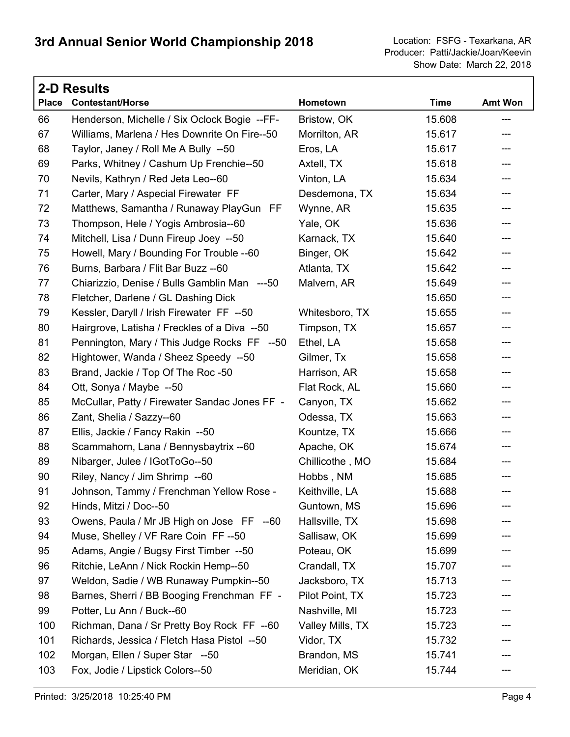|              | <b>2-D Results</b>                            |                  |             |                |  |  |  |
|--------------|-----------------------------------------------|------------------|-------------|----------------|--|--|--|
| <b>Place</b> | <b>Contestant/Horse</b>                       | Hometown         | <b>Time</b> | <b>Amt Won</b> |  |  |  |
| 66           | Henderson, Michelle / Six Oclock Bogie --FF-  | Bristow, OK      | 15.608      | $---$          |  |  |  |
| 67           | Williams, Marlena / Hes Downrite On Fire--50  | Morrilton, AR    | 15.617      | ---            |  |  |  |
| 68           | Taylor, Janey / Roll Me A Bully --50          | Eros, LA         | 15.617      | ---            |  |  |  |
| 69           | Parks, Whitney / Cashum Up Frenchie--50       | Axtell, TX       | 15.618      | ---            |  |  |  |
| 70           | Nevils, Kathryn / Red Jeta Leo--60            | Vinton, LA       | 15.634      | ---            |  |  |  |
| 71           | Carter, Mary / Aspecial Firewater FF          | Desdemona, TX    | 15.634      | ---            |  |  |  |
| 72           | Matthews, Samantha / Runaway PlayGun FF       | Wynne, AR        | 15.635      | ---            |  |  |  |
| 73           | Thompson, Hele / Yogis Ambrosia--60           | Yale, OK         | 15.636      | ---            |  |  |  |
| 74           | Mitchell, Lisa / Dunn Fireup Joey --50        | Karnack, TX      | 15.640      | ---            |  |  |  |
| 75           | Howell, Mary / Bounding For Trouble --60      | Binger, OK       | 15.642      | ---            |  |  |  |
| 76           | Burns, Barbara / Flit Bar Buzz --60           | Atlanta, TX      | 15.642      | ---            |  |  |  |
| 77           | Chiarizzio, Denise / Bulls Gamblin Man ---50  | Malvern, AR      | 15.649      | ---            |  |  |  |
| 78           | Fletcher, Darlene / GL Dashing Dick           |                  | 15.650      | ---            |  |  |  |
| 79           | Kessler, Daryll / Irish Firewater FF --50     | Whitesboro, TX   | 15.655      | ---            |  |  |  |
| 80           | Hairgrove, Latisha / Freckles of a Diva --50  | Timpson, TX      | 15.657      | ---            |  |  |  |
| 81           | Pennington, Mary / This Judge Rocks FF --50   | Ethel, LA        | 15.658      | ---            |  |  |  |
| 82           | Hightower, Wanda / Sheez Speedy --50          | Gilmer, Tx       | 15.658      | ---            |  |  |  |
| 83           | Brand, Jackie / Top Of The Roc -50            | Harrison, AR     | 15.658      | ---            |  |  |  |
| 84           | Ott, Sonya / Maybe --50                       | Flat Rock, AL    | 15.660      | ---            |  |  |  |
| 85           | McCullar, Patty / Firewater Sandac Jones FF - | Canyon, TX       | 15.662      | ---            |  |  |  |
| 86           | Zant, Shelia / Sazzy--60                      | Odessa, TX       | 15.663      | ---            |  |  |  |
| 87           | Ellis, Jackie / Fancy Rakin --50              | Kountze, TX      | 15.666      | ---            |  |  |  |
| 88           | Scammahorn, Lana / Bennysbaytrix --60         | Apache, OK       | 15.674      | ---            |  |  |  |
| 89           | Nibarger, Julee / IGotToGo--50                | Chillicothe, MO  | 15.684      | ---            |  |  |  |
| 90           | Riley, Nancy / Jim Shrimp --60                | Hobbs, NM        | 15.685      | ---            |  |  |  |
| 91           | Johnson, Tammy / Frenchman Yellow Rose -      | Keithville, LA   | 15.688      | ---            |  |  |  |
| 92           | Hinds, Mitzi / Doc--50                        | Guntown, MS      | 15.696      |                |  |  |  |
| 93           | Owens, Paula / Mr JB High on Jose FF --60     | Hallsville, TX   | 15.698      |                |  |  |  |
| 94           | Muse, Shelley / VF Rare Coin FF--50           | Sallisaw, OK     | 15.699      |                |  |  |  |
| 95           | Adams, Angie / Bugsy First Timber --50        | Poteau, OK       | 15.699      |                |  |  |  |
| 96           | Ritchie, LeAnn / Nick Rockin Hemp--50         | Crandall, TX     | 15.707      |                |  |  |  |
| 97           | Weldon, Sadie / WB Runaway Pumpkin--50        | Jacksboro, TX    | 15.713      |                |  |  |  |
| 98           | Barnes, Sherri / BB Booging Frenchman FF -    | Pilot Point, TX  | 15.723      |                |  |  |  |
| 99           | Potter, Lu Ann / Buck--60                     | Nashville, MI    | 15.723      |                |  |  |  |
| 100          | Richman, Dana / Sr Pretty Boy Rock FF --60    | Valley Mills, TX | 15.723      |                |  |  |  |
| 101          | Richards, Jessica / Fletch Hasa Pistol --50   | Vidor, TX        | 15.732      |                |  |  |  |
| 102          | Morgan, Ellen / Super Star --50               | Brandon, MS      | 15.741      |                |  |  |  |
| 103          | Fox, Jodie / Lipstick Colors--50              | Meridian, OK     | 15.744      | ---            |  |  |  |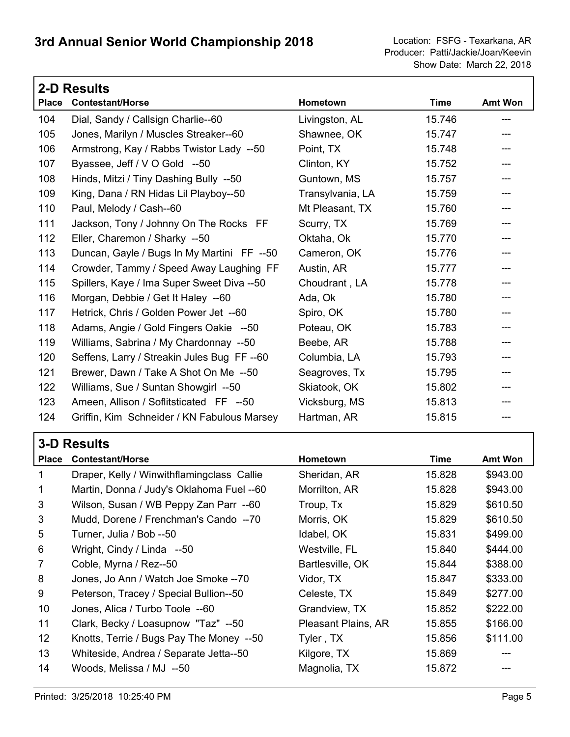|              | <b>2-D Results</b>                          |                  |             |         |
|--------------|---------------------------------------------|------------------|-------------|---------|
| <b>Place</b> | <b>Contestant/Horse</b>                     | Hometown         | <b>Time</b> | Amt Won |
| 104          | Dial, Sandy / Callsign Charlie--60          | Livingston, AL   | 15.746      |         |
| 105          | Jones, Marilyn / Muscles Streaker--60       | Shawnee, OK      | 15.747      |         |
| 106          | Armstrong, Kay / Rabbs Twistor Lady --50    | Point, TX        | 15.748      |         |
| 107          | Byassee, Jeff / V O Gold --50               | Clinton, KY      | 15.752      |         |
| 108          | Hinds, Mitzi / Tiny Dashing Bully --50      | Guntown, MS      | 15.757      |         |
| 109          | King, Dana / RN Hidas Lil Playboy--50       | Transylvania, LA | 15.759      |         |
| 110          | Paul, Melody / Cash--60                     | Mt Pleasant, TX  | 15.760      |         |
| 111          | Jackson, Tony / Johnny On The Rocks FF      | Scurry, TX       | 15.769      |         |
| 112          | Eller, Charemon / Sharky --50               | Oktaha, Ok       | 15.770      |         |
| 113          | Duncan, Gayle / Bugs In My Martini FF --50  | Cameron, OK      | 15.776      |         |
| 114          | Crowder, Tammy / Speed Away Laughing FF     | Austin, AR       | 15.777      |         |
| 115          | Spillers, Kaye / Ima Super Sweet Diva --50  | Choudrant, LA    | 15.778      |         |
| 116          | Morgan, Debbie / Get It Haley --60          | Ada, Ok          | 15.780      |         |
| 117          | Hetrick, Chris / Golden Power Jet --60      | Spiro, OK        | 15.780      |         |
| 118          | Adams, Angie / Gold Fingers Oakie --50      | Poteau, OK       | 15.783      | $---$   |
| 119          | Williams, Sabrina / My Chardonnay --50      | Beebe, AR        | 15.788      |         |
| 120          | Seffens, Larry / Streakin Jules Bug FF--60  | Columbia, LA     | 15.793      |         |
| 121          | Brewer, Dawn / Take A Shot On Me --50       | Seagroves, Tx    | 15.795      |         |
| 122          | Williams, Sue / Suntan Showgirl --50        | Skiatook, OK     | 15.802      |         |
| 123          | Ameen, Allison / Soflitsticated FF --50     | Vicksburg, MS    | 15.813      |         |
| 124          | Griffin, Kim Schneider / KN Fabulous Marsey | Hartman, AR      | 15.815      |         |

|              | <b>3-D Results</b>                         |                     |        |                |  |  |
|--------------|--------------------------------------------|---------------------|--------|----------------|--|--|
| <b>Place</b> | <b>Contestant/Horse</b>                    | <b>Hometown</b>     | Time   | <b>Amt Won</b> |  |  |
| 1            | Draper, Kelly / Winwithflamingclass Callie | Sheridan, AR        | 15.828 | \$943.00       |  |  |
| 1            | Martin, Donna / Judy's Oklahoma Fuel --60  | Morrilton, AR       | 15.828 | \$943.00       |  |  |
| 3            | Wilson, Susan / WB Peppy Zan Parr --60     | Troup, Tx           | 15.829 | \$610.50       |  |  |
| 3            | Mudd, Dorene / Frenchman's Cando --70      | Morris, OK          | 15.829 | \$610.50       |  |  |
| 5            | Turner, Julia / Bob --50                   | Idabel, OK          | 15.831 | \$499.00       |  |  |
| 6            | Wright, Cindy / Linda --50                 | Westville, FL       | 15.840 | \$444.00       |  |  |
| 7            | Coble, Myrna / Rez--50                     | Bartlesville, OK    | 15.844 | \$388.00       |  |  |
| 8            | Jones, Jo Ann / Watch Joe Smoke -- 70      | Vidor, TX           | 15.847 | \$333.00       |  |  |
| 9            | Peterson, Tracey / Special Bullion--50     | Celeste, TX         | 15.849 | \$277.00       |  |  |
| 10           | Jones, Alica / Turbo Toole --60            | Grandview, TX       | 15.852 | \$222.00       |  |  |
| 11           | Clark, Becky / Loasupnow "Taz" --50        | Pleasant Plains, AR | 15.855 | \$166.00       |  |  |
| 12           | Knotts, Terrie / Bugs Pay The Money --50   | Tyler, TX           | 15.856 | \$111.00       |  |  |
| 13           | Whiteside, Andrea / Separate Jetta--50     | Kilgore, TX         | 15.869 |                |  |  |
| 14           | Woods, Melissa / MJ --50                   | Magnolia, TX        | 15.872 |                |  |  |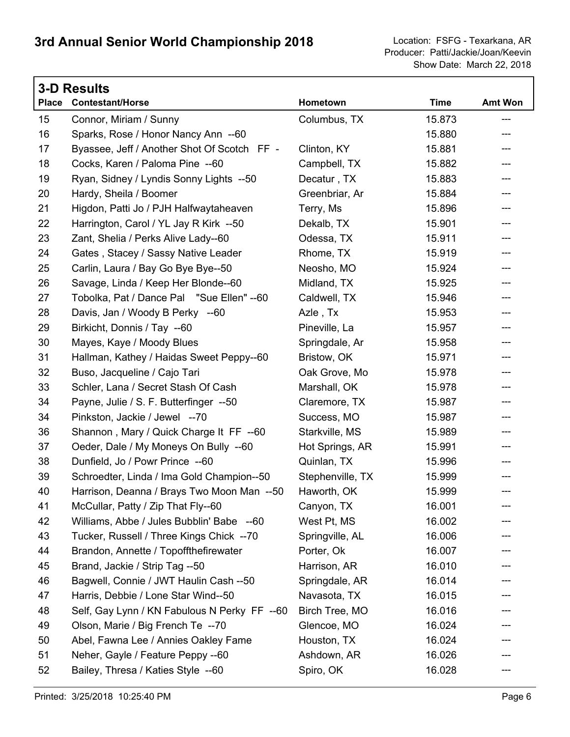|              | <b>3-D Results</b>                           |                  |             |                |
|--------------|----------------------------------------------|------------------|-------------|----------------|
| <b>Place</b> | <b>Contestant/Horse</b>                      | Hometown         | <b>Time</b> | <b>Amt Won</b> |
| 15           | Connor, Miriam / Sunny                       | Columbus, TX     | 15.873      | ---            |
| 16           | Sparks, Rose / Honor Nancy Ann --60          |                  | 15.880      | ---            |
| 17           | Byassee, Jeff / Another Shot Of Scotch FF -  | Clinton, KY      | 15.881      | ---            |
| 18           | Cocks, Karen / Paloma Pine --60              | Campbell, TX     | 15.882      | ---            |
| 19           | Ryan, Sidney / Lyndis Sonny Lights --50      | Decatur, TX      | 15.883      | ---            |
| 20           | Hardy, Sheila / Boomer                       | Greenbriar, Ar   | 15.884      | ---            |
| 21           | Higdon, Patti Jo / PJH Halfwaytaheaven       | Terry, Ms        | 15.896      | ---            |
| 22           | Harrington, Carol / YL Jay R Kirk --50       | Dekalb, TX       | 15.901      | ---            |
| 23           | Zant, Shelia / Perks Alive Lady--60          | Odessa, TX       | 15.911      |                |
| 24           | Gates, Stacey / Sassy Native Leader          | Rhome, TX        | 15.919      | ---            |
| 25           | Carlin, Laura / Bay Go Bye Bye--50           | Neosho, MO       | 15.924      | ---            |
| 26           | Savage, Linda / Keep Her Blonde--60          | Midland, TX      | 15.925      | ---            |
| 27           | Tobolka, Pat / Dance Pal "Sue Ellen" -- 60   | Caldwell, TX     | 15.946      | ---            |
| 28           | Davis, Jan / Woody B Perky --60              | Azle, Tx         | 15.953      | ---            |
| 29           | Birkicht, Donnis / Tay --60                  | Pineville, La    | 15.957      |                |
| 30           | Mayes, Kaye / Moody Blues                    | Springdale, Ar   | 15.958      | ---            |
| 31           | Hallman, Kathey / Haidas Sweet Peppy--60     | Bristow, OK      | 15.971      | ---            |
| 32           | Buso, Jacqueline / Cajo Tari                 | Oak Grove, Mo    | 15.978      | ---            |
| 33           | Schler, Lana / Secret Stash Of Cash          | Marshall, OK     | 15.978      | ---            |
| 34           | Payne, Julie / S. F. Butterfinger --50       | Claremore, TX    | 15.987      | ---            |
| 34           | Pinkston, Jackie / Jewel --70                | Success, MO      | 15.987      | ---            |
| 36           | Shannon, Mary / Quick Charge It FF --60      | Starkville, MS   | 15.989      | ---            |
| 37           | Oeder, Dale / My Moneys On Bully --60        | Hot Springs, AR  | 15.991      | ---            |
| 38           | Dunfield, Jo / Powr Prince --60              | Quinlan, TX      | 15.996      | ---            |
| 39           | Schroedter, Linda / Ima Gold Champion--50    | Stephenville, TX | 15.999      | ---            |
| 40           | Harrison, Deanna / Brays Two Moon Man --50   | Haworth, OK      | 15.999      | ---            |
| 41           | McCullar, Patty / Zip That Fly--60           | Canyon, TX       | 16.001      |                |
| 42           | Williams, Abbe / Jules Bubblin' Babe --60    | West Pt, MS      | 16.002      |                |
| 43           | Tucker, Russell / Three Kings Chick --70     | Springville, AL  | 16.006      |                |
| 44           | Brandon, Annette / Topoffthefirewater        | Porter, Ok       | 16.007      |                |
| 45           | Brand, Jackie / Strip Tag --50               | Harrison, AR     | 16.010      |                |
| 46           | Bagwell, Connie / JWT Haulin Cash --50       | Springdale, AR   | 16.014      |                |
| 47           | Harris, Debbie / Lone Star Wind--50          | Navasota, TX     | 16.015      |                |
| 48           | Self, Gay Lynn / KN Fabulous N Perky FF --60 | Birch Tree, MO   | 16.016      |                |
| 49           | Olson, Marie / Big French Te --70            | Glencoe, MO      | 16.024      |                |
| 50           | Abel, Fawna Lee / Annies Oakley Fame         | Houston, TX      | 16.024      |                |
| 51           | Neher, Gayle / Feature Peppy --60            | Ashdown, AR      | 16.026      |                |
| 52           | Bailey, Thresa / Katies Style --60           | Spiro, OK        | 16.028      | ---            |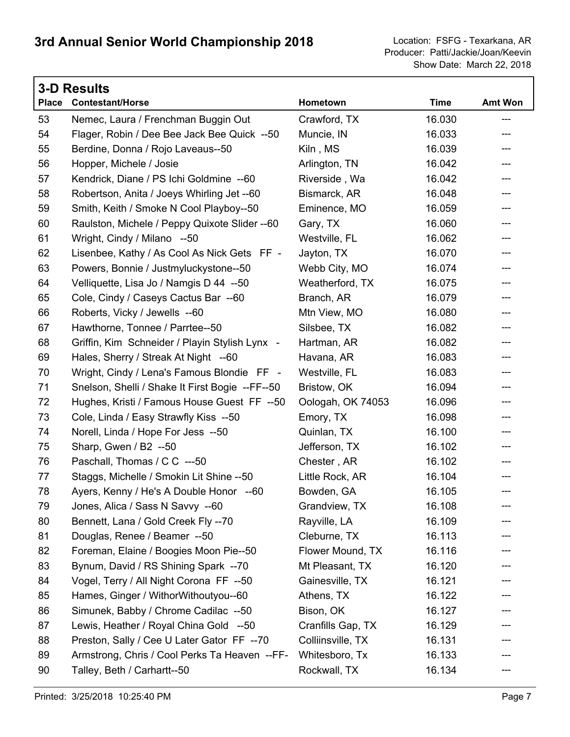| <b>3-D Results</b> |                                                 |                   |             |                |  |  |
|--------------------|-------------------------------------------------|-------------------|-------------|----------------|--|--|
| <b>Place</b>       | <b>Contestant/Horse</b>                         | Hometown          | <b>Time</b> | <b>Amt Won</b> |  |  |
| 53                 | Nemec, Laura / Frenchman Buggin Out             | Crawford, TX      | 16.030      | ---            |  |  |
| 54                 | Flager, Robin / Dee Bee Jack Bee Quick --50     | Muncie, IN        | 16.033      | ---            |  |  |
| 55                 | Berdine, Donna / Rojo Laveaus--50               | Kiln, MS          | 16.039      | ---            |  |  |
| 56                 | Hopper, Michele / Josie                         | Arlington, TN     | 16.042      | ---            |  |  |
| 57                 | Kendrick, Diane / PS Ichi Goldmine --60         | Riverside, Wa     | 16.042      | ---            |  |  |
| 58                 | Robertson, Anita / Joeys Whirling Jet --60      | Bismarck, AR      | 16.048      | ---            |  |  |
| 59                 | Smith, Keith / Smoke N Cool Playboy--50         | Eminence, MO      | 16.059      | ---            |  |  |
| 60                 | Raulston, Michele / Peppy Quixote Slider -- 60  | Gary, TX          | 16.060      | ---            |  |  |
| 61                 | Wright, Cindy / Milano --50                     | Westville, FL     | 16.062      | ---            |  |  |
| 62                 | Lisenbee, Kathy / As Cool As Nick Gets FF -     | Jayton, TX        | 16.070      | ---            |  |  |
| 63                 | Powers, Bonnie / Justmyluckystone--50           | Webb City, MO     | 16.074      | ---            |  |  |
| 64                 | Velliquette, Lisa Jo / Namgis D 44 --50         | Weatherford, TX   | 16.075      | ---            |  |  |
| 65                 | Cole, Cindy / Caseys Cactus Bar --60            | Branch, AR        | 16.079      | ---            |  |  |
| 66                 | Roberts, Vicky / Jewells --60                   | Mtn View, MO      | 16.080      | ---            |  |  |
| 67                 | Hawthorne, Tonnee / Parrtee--50                 | Silsbee, TX       | 16.082      | ---            |  |  |
| 68                 | Griffin, Kim Schneider / Playin Stylish Lynx -  | Hartman, AR       | 16.082      | ---            |  |  |
| 69                 | Hales, Sherry / Streak At Night --60            | Havana, AR        | 16.083      | ---            |  |  |
| 70                 | Wright, Cindy / Lena's Famous Blondie FF -      | Westville, FL     | 16.083      | ---            |  |  |
| 71                 | Snelson, Shelli / Shake It First Bogie --FF--50 | Bristow, OK       | 16.094      | ---            |  |  |
| 72                 | Hughes, Kristi / Famous House Guest FF --50     | Oologah, OK 74053 | 16.096      | ---            |  |  |
| 73                 | Cole, Linda / Easy Strawfly Kiss --50           | Emory, TX         | 16.098      | ---            |  |  |
| 74                 | Norell, Linda / Hope For Jess --50              | Quinlan, TX       | 16.100      | ---            |  |  |
| 75                 | Sharp, Gwen / B2 --50                           | Jefferson, TX     | 16.102      | ---            |  |  |
| 76                 | Paschall, Thomas / C C ---50                    | Chester, AR       | 16.102      | ---            |  |  |
| 77                 | Staggs, Michelle / Smokin Lit Shine --50        | Little Rock, AR   | 16.104      | ---            |  |  |
| 78                 | Ayers, Kenny / He's A Double Honor --60         | Bowden, GA        | 16.105      | ---            |  |  |
| 79                 | Jones, Alica / Sass N Savvy --60                | Grandview, TX     | 16.108      |                |  |  |
| 80                 | Bennett, Lana / Gold Creek Fly --70             | Rayville, LA      | 16.109      |                |  |  |
| 81                 | Douglas, Renee / Beamer --50                    | Cleburne, TX      | 16.113      |                |  |  |
| 82                 | Foreman, Elaine / Boogies Moon Pie--50          | Flower Mound, TX  | 16.116      | ---            |  |  |
| 83                 | Bynum, David / RS Shining Spark --70            | Mt Pleasant, TX   | 16.120      |                |  |  |
| 84                 | Vogel, Terry / All Night Corona FF --50         | Gainesville, TX   | 16.121      |                |  |  |
| 85                 | Hames, Ginger / WithorWithoutyou--60            | Athens, TX        | 16.122      | ---            |  |  |
| 86                 | Simunek, Babby / Chrome Cadilac --50            | Bison, OK         | 16.127      |                |  |  |
| 87                 | Lewis, Heather / Royal China Gold --50          | Cranfills Gap, TX | 16.129      |                |  |  |
| 88                 | Preston, Sally / Cee U Later Gator FF --70      | Colliinsville, TX | 16.131      | ---            |  |  |
| 89                 | Armstrong, Chris / Cool Perks Ta Heaven --FF-   | Whitesboro, Tx    | 16.133      |                |  |  |
| 90                 | Talley, Beth / Carhartt--50                     | Rockwall, TX      | 16.134      |                |  |  |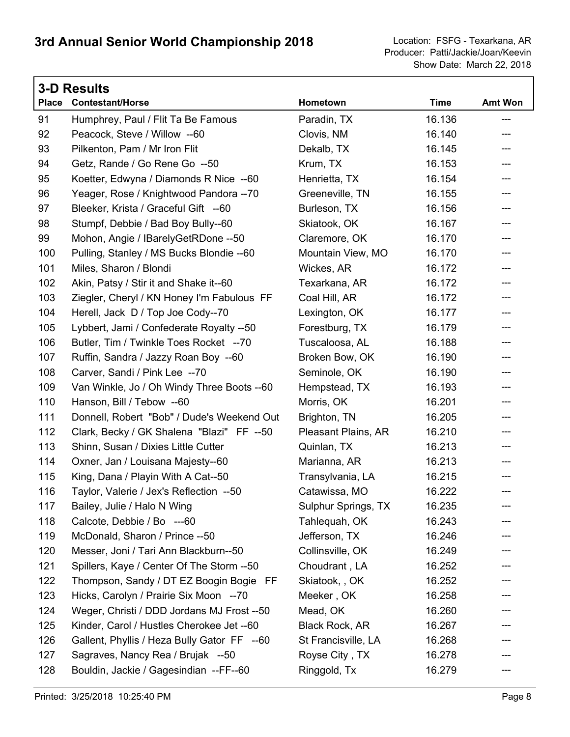|              | <b>3-D Results</b>                          |                       |             |                |  |
|--------------|---------------------------------------------|-----------------------|-------------|----------------|--|
| <b>Place</b> | <b>Contestant/Horse</b>                     | Hometown              | <b>Time</b> | <b>Amt Won</b> |  |
| 91           | Humphrey, Paul / Flit Ta Be Famous          | Paradin, TX           | 16.136      | ---            |  |
| 92           | Peacock, Steve / Willow --60                | Clovis, NM            | 16.140      | ---            |  |
| 93           | Pilkenton, Pam / Mr Iron Flit               | Dekalb, TX            | 16.145      |                |  |
| 94           | Getz, Rande / Go Rene Go --50               | Krum, TX              | 16.153      | ---            |  |
| 95           | Koetter, Edwyna / Diamonds R Nice --60      | Henrietta, TX         | 16.154      | ---            |  |
| 96           | Yeager, Rose / Knightwood Pandora --70      | Greeneville, TN       | 16.155      | ---            |  |
| 97           | Bleeker, Krista / Graceful Gift --60        | Burleson, TX          | 16.156      | ---            |  |
| 98           | Stumpf, Debbie / Bad Boy Bully--60          | Skiatook, OK          | 16.167      | ---            |  |
| 99           | Mohon, Angie / IBarelyGetRDone --50         | Claremore, OK         | 16.170      | ---            |  |
| 100          | Pulling, Stanley / MS Bucks Blondie -- 60   | Mountain View, MO     | 16.170      | ---            |  |
| 101          | Miles, Sharon / Blondi                      | Wickes, AR            | 16.172      | ---            |  |
| 102          | Akin, Patsy / Stir it and Shake it--60      | Texarkana, AR         | 16.172      | ---            |  |
| 103          | Ziegler, Cheryl / KN Honey I'm Fabulous FF  | Coal Hill, AR         | 16.172      | ---            |  |
| 104          | Herell, Jack D / Top Joe Cody--70           | Lexington, OK         | 16.177      | ---            |  |
| 105          | Lybbert, Jami / Confederate Royalty --50    | Forestburg, TX        | 16.179      | ---            |  |
| 106          | Butler, Tim / Twinkle Toes Rocket --70      | Tuscaloosa, AL        | 16.188      | ---            |  |
| 107          | Ruffin, Sandra / Jazzy Roan Boy --60        | Broken Bow, OK        | 16.190      | ---            |  |
| 108          | Carver, Sandi / Pink Lee --70               | Seminole, OK          | 16.190      | ---            |  |
| 109          | Van Winkle, Jo / Oh Windy Three Boots -- 60 | Hempstead, TX         | 16.193      | ---            |  |
| 110          | Hanson, Bill / Tebow --60                   | Morris, OK            | 16.201      | ---            |  |
| 111          | Donnell, Robert "Bob" / Dude's Weekend Out  | Brighton, TN          | 16.205      | ---            |  |
| 112          | Clark, Becky / GK Shalena "Blazi" FF --50   | Pleasant Plains, AR   | 16.210      | ---            |  |
| 113          | Shinn, Susan / Dixies Little Cutter         | Quinlan, TX           | 16.213      | ---            |  |
| 114          | Oxner, Jan / Louisana Majesty--60           | Marianna, AR          | 16.213      | ---            |  |
| 115          | King, Dana / Playin With A Cat--50          | Transylvania, LA      | 16.215      |                |  |
| 116          | Taylor, Valerie / Jex's Reflection --50     | Catawissa, MO         | 16.222      | ---            |  |
| 117          | Bailey, Julie / Halo N Wing                 | Sulphur Springs, TX   | 16.235      |                |  |
| 118          | Calcote, Debbie / Bo ---60                  | Tahlequah, OK         | 16.243      |                |  |
| 119          | McDonald, Sharon / Prince --50              | Jefferson, TX         | 16.246      |                |  |
| 120          | Messer, Joni / Tari Ann Blackburn--50       | Collinsville, OK      | 16.249      |                |  |
| 121          | Spillers, Kaye / Center Of The Storm --50   | Choudrant, LA         | 16.252      |                |  |
| 122          | Thompson, Sandy / DT EZ Boogin Bogie FF     | Skiatook, OK          | 16.252      |                |  |
| 123          | Hicks, Carolyn / Prairie Six Moon --70      | Meeker, OK            | 16.258      |                |  |
| 124          | Weger, Christi / DDD Jordans MJ Frost --50  | Mead, OK              | 16.260      |                |  |
| 125          | Kinder, Carol / Hustles Cherokee Jet --60   | <b>Black Rock, AR</b> | 16.267      |                |  |
| 126          | Gallent, Phyllis / Heza Bully Gator FF --60 | St Francisville, LA   | 16.268      |                |  |
| 127          | Sagraves, Nancy Rea / Brujak --50           | Royse City, TX        | 16.278      |                |  |
| 128          | Bouldin, Jackie / Gagesindian --FF--60      | Ringgold, Tx          | 16.279      | ---            |  |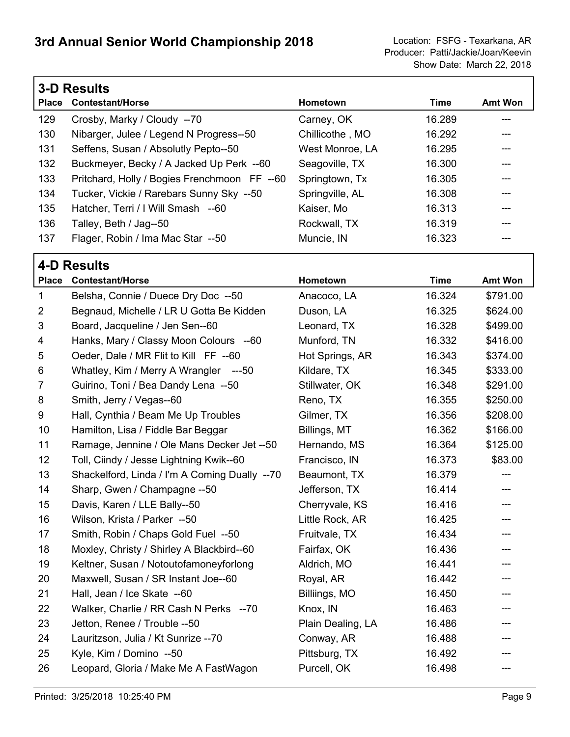|              | <b>3-D Results</b>                           |                 |        |                |  |  |
|--------------|----------------------------------------------|-----------------|--------|----------------|--|--|
| <b>Place</b> | <b>Contestant/Horse</b>                      | <b>Hometown</b> | Time   | <b>Amt Won</b> |  |  |
| 129          | Crosby, Marky / Cloudy --70                  | Carney, OK      | 16.289 | ---            |  |  |
| 130          | Nibarger, Julee / Legend N Progress--50      | Chillicothe, MO | 16.292 |                |  |  |
| 131          | Seffens, Susan / Absolutly Pepto--50         | West Monroe, LA | 16.295 |                |  |  |
| 132          | Buckmeyer, Becky / A Jacked Up Perk --60     | Seagoville, TX  | 16.300 |                |  |  |
| 133          | Pritchard, Holly / Bogies Frenchmoon FF --60 | Springtown, Tx  | 16.305 | ---            |  |  |
| 134          | Tucker, Vickie / Rarebars Sunny Sky --50     | Springville, AL | 16.308 | ---            |  |  |
| 135          | Hatcher, Terri / I Will Smash --60           | Kaiser, Mo      | 16.313 | ---            |  |  |
| 136          | Talley, Beth / Jag--50                       | Rockwall, TX    | 16.319 |                |  |  |
| 137          | Flager, Robin / Ima Mac Star --50            | Muncie, IN      | 16.323 |                |  |  |
|              |                                              |                 |        |                |  |  |

#### **4-D Results**

| <b>Place</b>   | <b>Contestant/Horse</b>                       | Hometown          | <b>Time</b> | <b>Amt Won</b> |
|----------------|-----------------------------------------------|-------------------|-------------|----------------|
| $\mathbf 1$    | Belsha, Connie / Duece Dry Doc --50           | Anacoco, LA       | 16.324      | \$791.00       |
| $\overline{2}$ | Begnaud, Michelle / LR U Gotta Be Kidden      | Duson, LA         | 16.325      | \$624.00       |
| 3              | Board, Jacqueline / Jen Sen--60               | Leonard, TX       | 16.328      | \$499.00       |
| 4              | Hanks, Mary / Classy Moon Colours --60        | Munford, TN       | 16.332      | \$416.00       |
| 5              | Oeder, Dale / MR Flit to Kill FF --60         | Hot Springs, AR   | 16.343      | \$374.00       |
| 6              | Whatley, Kim / Merry A Wrangler ---50         | Kildare, TX       | 16.345      | \$333.00       |
| $\overline{7}$ | Guirino, Toni / Bea Dandy Lena --50           | Stillwater, OK    | 16.348      | \$291.00       |
| 8              | Smith, Jerry / Vegas--60                      | Reno, TX          | 16.355      | \$250.00       |
| 9              | Hall, Cynthia / Beam Me Up Troubles           | Gilmer, TX        | 16.356      | \$208.00       |
| 10             | Hamilton, Lisa / Fiddle Bar Beggar            | Billings, MT      | 16.362      | \$166.00       |
| 11             | Ramage, Jennine / Ole Mans Decker Jet --50    | Hernando, MS      | 16.364      | \$125.00       |
| 12             | Toll, Ciindy / Jesse Lightning Kwik--60       | Francisco, IN     | 16.373      | \$83.00        |
| 13             | Shackelford, Linda / I'm A Coming Dually --70 | Beaumont, TX      | 16.379      | ---            |
| 14             | Sharp, Gwen / Champagne --50                  | Jefferson, TX     | 16.414      | ---            |
| 15             | Davis, Karen / LLE Bally--50                  | Cherryvale, KS    | 16.416      | ---            |
| 16             | Wilson, Krista / Parker --50                  | Little Rock, AR   | 16.425      | ---            |
| 17             | Smith, Robin / Chaps Gold Fuel --50           | Fruitvale, TX     | 16.434      | ---            |
| 18             | Moxley, Christy / Shirley A Blackbird--60     | Fairfax, OK       | 16.436      | ---            |
| 19             | Keltner, Susan / Notoutofamoneyforlong        | Aldrich, MO       | 16.441      | ---            |
| 20             | Maxwell, Susan / SR Instant Joe--60           | Royal, AR         | 16.442      | ---            |
| 21             | Hall, Jean / Ice Skate --60                   | Billiings, MO     | 16.450      | ---            |
| 22             | Walker, Charlie / RR Cash N Perks --70        | Knox, IN          | 16.463      | ---            |
| 23             | Jetton, Renee / Trouble --50                  | Plain Dealing, LA | 16.486      | ---            |
| 24             | Lauritzson, Julia / Kt Sunrize --70           | Conway, AR        | 16.488      | ---            |
| 25             | Kyle, Kim / Domino --50                       | Pittsburg, TX     | 16.492      | ---            |
| 26             | Leopard, Gloria / Make Me A FastWagon         | Purcell, OK       | 16.498      | ---            |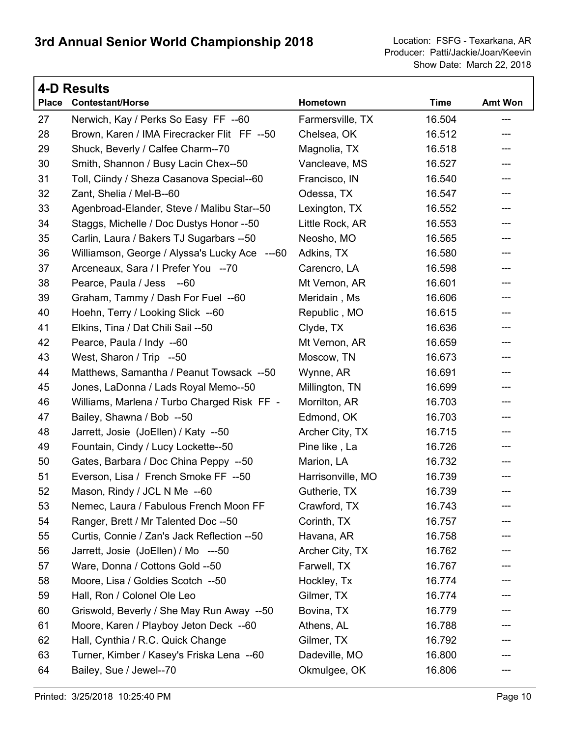|              | 4-D Results                                   |                   |             |         |  |  |
|--------------|-----------------------------------------------|-------------------|-------------|---------|--|--|
| <b>Place</b> | <b>Contestant/Horse</b>                       | Hometown          | <b>Time</b> | Amt Won |  |  |
| 27           | Nerwich, Kay / Perks So Easy FF --60          | Farmersville, TX  | 16.504      | $---$   |  |  |
| 28           | Brown, Karen / IMA Firecracker Flit FF --50   | Chelsea, OK       | 16.512      | ---     |  |  |
| 29           | Shuck, Beverly / Calfee Charm--70             | Magnolia, TX      | 16.518      | ---     |  |  |
| 30           | Smith, Shannon / Busy Lacin Chex--50          | Vancleave, MS     | 16.527      | ---     |  |  |
| 31           | Toll, Ciindy / Sheza Casanova Special--60     | Francisco, IN     | 16.540      | ---     |  |  |
| 32           | Zant, Shelia / Mel-B--60                      | Odessa, TX        | 16.547      | ---     |  |  |
| 33           | Agenbroad-Elander, Steve / Malibu Star--50    | Lexington, TX     | 16.552      | ---     |  |  |
| 34           | Staggs, Michelle / Doc Dustys Honor --50      | Little Rock, AR   | 16.553      | ---     |  |  |
| 35           | Carlin, Laura / Bakers TJ Sugarbars --50      | Neosho, MO        | 16.565      | ---     |  |  |
| 36           | Williamson, George / Alyssa's Lucky Ace ---60 | Adkins, TX        | 16.580      | ---     |  |  |
| 37           | Arceneaux, Sara / I Prefer You --70           | Carencro, LA      | 16.598      | ---     |  |  |
| 38           | Pearce, Paula / Jess --60                     | Mt Vernon, AR     | 16.601      | ---     |  |  |
| 39           | Graham, Tammy / Dash For Fuel --60            | Meridain, Ms      | 16.606      | ---     |  |  |
| 40           | Hoehn, Terry / Looking Slick --60             | Republic, MO      | 16.615      | ---     |  |  |
| 41           | Elkins, Tina / Dat Chili Sail --50            | Clyde, TX         | 16.636      | ---     |  |  |
| 42           | Pearce, Paula / Indy --60                     | Mt Vernon, AR     | 16.659      | ---     |  |  |
| 43           | West, Sharon / Trip --50                      | Moscow, TN        | 16.673      | ---     |  |  |
| 44           | Matthews, Samantha / Peanut Towsack --50      | Wynne, AR         | 16.691      | ---     |  |  |
| 45           | Jones, LaDonna / Lads Royal Memo--50          | Millington, TN    | 16.699      | ---     |  |  |
| 46           | Williams, Marlena / Turbo Charged Risk FF -   | Morrilton, AR     | 16.703      | ---     |  |  |
| 47           | Bailey, Shawna / Bob --50                     | Edmond, OK        | 16.703      | ---     |  |  |
| 48           | Jarrett, Josie (JoEllen) / Katy --50          | Archer City, TX   | 16.715      | ---     |  |  |
| 49           | Fountain, Cindy / Lucy Lockette--50           | Pine like, La     | 16.726      | ---     |  |  |
| 50           | Gates, Barbara / Doc China Peppy --50         | Marion, LA        | 16.732      | ---     |  |  |
| 51           | Everson, Lisa / French Smoke FF --50          | Harrisonville, MO | 16.739      | ---     |  |  |
| 52           | Mason, Rindy / JCL N Me --60                  | Gutherie, TX      | 16.739      | ---     |  |  |
| 53           | Nemec, Laura / Fabulous French Moon FF        | Crawford, TX      | 16.743      |         |  |  |
| 54           | Ranger, Brett / Mr Talented Doc --50          | Corinth, TX       | 16.757      |         |  |  |
| 55           | Curtis, Connie / Zan's Jack Reflection --50   | Havana, AR        | 16.758      |         |  |  |
| 56           | Jarrett, Josie (JoEllen) / Mo ---50           | Archer City, TX   | 16.762      |         |  |  |
| 57           | Ware, Donna / Cottons Gold --50               | Farwell, TX       | 16.767      |         |  |  |
| 58           | Moore, Lisa / Goldies Scotch --50             | Hockley, Tx       | 16.774      |         |  |  |
| 59           | Hall, Ron / Colonel Ole Leo                   | Gilmer, TX        | 16.774      |         |  |  |
| 60           | Griswold, Beverly / She May Run Away --50     | Bovina, TX        | 16.779      |         |  |  |
| 61           | Moore, Karen / Playboy Jeton Deck --60        | Athens, AL        | 16.788      |         |  |  |
| 62           | Hall, Cynthia / R.C. Quick Change             | Gilmer, TX        | 16.792      |         |  |  |
| 63           | Turner, Kimber / Kasey's Friska Lena --60     | Dadeville, MO     | 16.800      |         |  |  |
| 64           | Bailey, Sue / Jewel--70                       | Okmulgee, OK      | 16.806      | $---$   |  |  |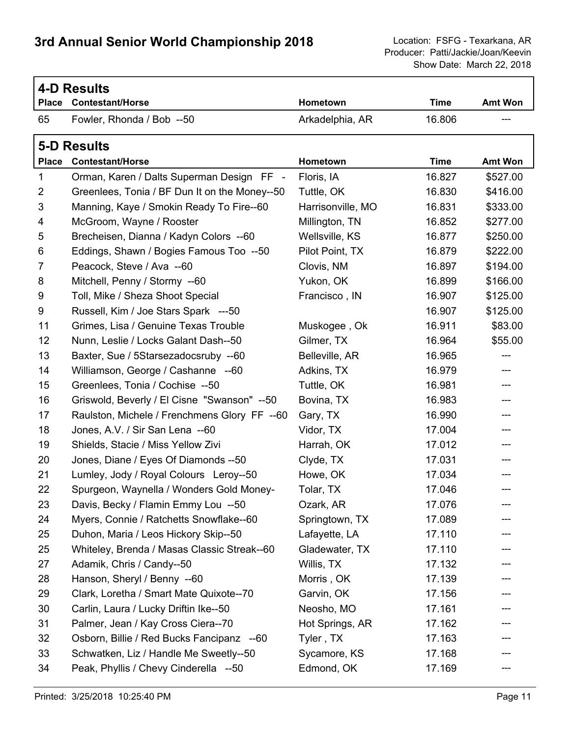Г

|              | <b>4-D Results</b>                            |                   |             |                |  |  |
|--------------|-----------------------------------------------|-------------------|-------------|----------------|--|--|
| <b>Place</b> | <b>Contestant/Horse</b>                       | Hometown          | <b>Time</b> | <b>Amt Won</b> |  |  |
| 65           | Fowler, Rhonda / Bob --50                     | Arkadelphia, AR   | 16.806      |                |  |  |
|              | <b>5-D Results</b>                            |                   |             |                |  |  |
|              | Place Contestant/Horse                        | Hometown          | <b>Time</b> | Amt Won        |  |  |
| 1            | Orman, Karen / Dalts Superman Design FF -     | Floris, IA        | 16.827      | \$527.00       |  |  |
| 2            | Greenlees, Tonia / BF Dun It on the Money--50 | Tuttle, OK        | 16.830      | \$416.00       |  |  |
| 3            | Manning, Kaye / Smokin Ready To Fire--60      | Harrisonville, MO | 16.831      | \$333.00       |  |  |
| 4            | McGroom, Wayne / Rooster                      | Millington, TN    | 16.852      | \$277.00       |  |  |
| 5            | Brecheisen, Dianna / Kadyn Colors --60        | Wellsville, KS    | 16.877      | \$250.00       |  |  |
| 6            | Eddings, Shawn / Bogies Famous Too --50       | Pilot Point, TX   | 16.879      | \$222.00       |  |  |
| 7            | Peacock, Steve / Ava --60                     | Clovis, NM        | 16.897      | \$194.00       |  |  |
| 8            | Mitchell, Penny / Stormy --60                 | Yukon, OK         | 16.899      | \$166.00       |  |  |
| 9            | Toll, Mike / Sheza Shoot Special              | Francisco, IN     | 16.907      | \$125.00       |  |  |
| 9            | Russell, Kim / Joe Stars Spark ---50          |                   | 16.907      | \$125.00       |  |  |
| 11           | Grimes, Lisa / Genuine Texas Trouble          | Muskogee, Ok      | 16.911      | \$83.00        |  |  |
| 12           | Nunn, Leslie / Locks Galant Dash--50          | Gilmer, TX        | 16.964      | \$55.00        |  |  |
| 13           | Baxter, Sue / 5Starsezadocsruby --60          | Belleville, AR    | 16.965      | ---            |  |  |
| 14           | Williamson, George / Cashanne --60            | Adkins, TX        | 16.979      |                |  |  |
| 15           | Greenlees, Tonia / Cochise --50               | Tuttle, OK        | 16.981      | ---            |  |  |
| 16           | Griswold, Beverly / El Cisne "Swanson" --50   | Bovina, TX        | 16.983      | ---            |  |  |
| 17           | Raulston, Michele / Frenchmens Glory FF --60  | Gary, TX          | 16.990      |                |  |  |
| 18           | Jones, A.V. / Sir San Lena --60               | Vidor, TX         | 17.004      | ---            |  |  |
| 19           | Shields, Stacie / Miss Yellow Zivi            | Harrah, OK        | 17.012      | ---            |  |  |
| 20           | Jones, Diane / Eyes Of Diamonds --50          | Clyde, TX         | 17.031      |                |  |  |
| 21           | Lumley, Jody / Royal Colours Leroy--50        | Howe, OK          | 17.034      |                |  |  |
| 22           | Spurgeon, Waynella / Wonders Gold Money-      | Tolar, TX         | 17.046      | ---            |  |  |
| 23           | Davis, Becky / Flamin Emmy Lou --50           | Ozark, AR         | 17.076      |                |  |  |
| 24           | Myers, Connie / Ratchetts Snowflake--60       | Springtown, TX    | 17.089      |                |  |  |
| 25           | Duhon, Maria / Leos Hickory Skip--50          | Lafayette, LA     | 17.110      |                |  |  |
| 25           | Whiteley, Brenda / Masas Classic Streak--60   | Gladewater, TX    | 17.110      |                |  |  |
| 27           | Adamik, Chris / Candy--50                     | Willis, TX        | 17.132      |                |  |  |
| 28           | Hanson, Sheryl / Benny --60                   | Morris, OK        | 17.139      |                |  |  |
| 29           | Clark, Loretha / Smart Mate Quixote--70       | Garvin, OK        | 17.156      |                |  |  |
| 30           | Carlin, Laura / Lucky Driftin Ike--50         | Neosho, MO        | 17.161      |                |  |  |
| 31           | Palmer, Jean / Kay Cross Ciera--70            | Hot Springs, AR   | 17.162      |                |  |  |
| 32           | Osborn, Billie / Red Bucks Fancipanz --60     | Tyler, TX         | 17.163      |                |  |  |
| 33           | Schwatken, Liz / Handle Me Sweetly--50        | Sycamore, KS      | 17.168      |                |  |  |
| 34           | Peak, Phyllis / Chevy Cinderella --50         | Edmond, OK        | 17.169      | ---            |  |  |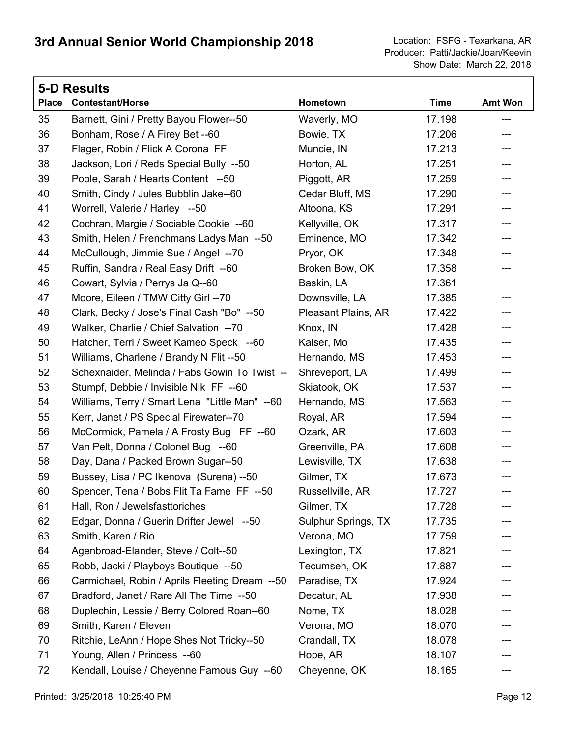|              | <b>5-D Results</b>                             |                     |             |                           |  |
|--------------|------------------------------------------------|---------------------|-------------|---------------------------|--|
| <b>Place</b> | <b>Contestant/Horse</b>                        | Hometown            | <b>Time</b> | <b>Amt Won</b>            |  |
| 35           | Barnett, Gini / Pretty Bayou Flower--50        | Waverly, MO         | 17.198      | $---$                     |  |
| 36           | Bonham, Rose / A Firey Bet --60                | Bowie, TX           | 17.206      | ---                       |  |
| 37           | Flager, Robin / Flick A Corona FF              | Muncie, IN          | 17.213      | ---                       |  |
| 38           | Jackson, Lori / Reds Special Bully --50        | Horton, AL          | 17.251      |                           |  |
| 39           | Poole, Sarah / Hearts Content --50             | Piggott, AR         | 17.259      | ---                       |  |
| 40           | Smith, Cindy / Jules Bubblin Jake--60          | Cedar Bluff, MS     | 17.290      | ---                       |  |
| 41           | Worrell, Valerie / Harley --50                 | Altoona, KS         | 17.291      | ---                       |  |
| 42           | Cochran, Margie / Sociable Cookie --60         | Kellyville, OK      | 17.317      | ---                       |  |
| 43           | Smith, Helen / Frenchmans Ladys Man --50       | Eminence, MO        | 17.342      | ---                       |  |
| 44           | McCullough, Jimmie Sue / Angel --70            | Pryor, OK           | 17.348      | ---                       |  |
| 45           | Ruffin, Sandra / Real Easy Drift --60          | Broken Bow, OK      | 17.358      | ---                       |  |
| 46           | Cowart, Sylvia / Perrys Ja Q--60               | Baskin, LA          | 17.361      | ---                       |  |
| 47           | Moore, Eileen / TMW Citty Girl --70            | Downsville, LA      | 17.385      | ---                       |  |
| 48           | Clark, Becky / Jose's Final Cash "Bo" --50     | Pleasant Plains, AR | 17.422      | $---$                     |  |
| 49           | Walker, Charlie / Chief Salvation -- 70        | Knox, IN            | 17.428      | ---                       |  |
| 50           | Hatcher, Terri / Sweet Kameo Speck --60        | Kaiser, Mo          | 17.435      | ---                       |  |
| 51           | Williams, Charlene / Brandy N Flit --50        | Hernando, MS        | 17.453      | ---                       |  |
| 52           | Schexnaider, Melinda / Fabs Gowin To Twist --  | Shreveport, LA      | 17.499      | ---                       |  |
| 53           | Stumpf, Debbie / Invisible Nik FF --60         | Skiatook, OK        | 17.537      | ---                       |  |
| 54           | Williams, Terry / Smart Lena "Little Man" --60 | Hernando, MS        | 17.563      | ---                       |  |
| 55           | Kerr, Janet / PS Special Firewater--70         | Royal, AR           | 17.594      | $\qquad \qquad -\qquad -$ |  |
| 56           | McCormick, Pamela / A Frosty Bug FF --60       | Ozark, AR           | 17.603      | ---                       |  |
| 57           | Van Pelt, Donna / Colonel Bug --60             | Greenville, PA      | 17.608      | ---                       |  |
| 58           | Day, Dana / Packed Brown Sugar--50             | Lewisville, TX      | 17.638      | ---                       |  |
| 59           | Bussey, Lisa / PC Ikenova (Surena) --50        | Gilmer, TX          | 17.673      |                           |  |
| 60           | Spencer, Tena / Bobs Flit Ta Fame FF --50      | Russellville, AR    | 17.727      |                           |  |
| 61           | Hall, Ron / Jewelsfasttoriches                 | Gilmer, TX          | 17.728      |                           |  |
| 62           | Edgar, Donna / Guerin Drifter Jewel --50       | Sulphur Springs, TX | 17.735      |                           |  |
| 63           | Smith, Karen / Rio                             | Verona, MO          | 17.759      |                           |  |
| 64           | Agenbroad-Elander, Steve / Colt--50            | Lexington, TX       | 17.821      |                           |  |
| 65           | Robb, Jacki / Playboys Boutique --50           | Tecumseh, OK        | 17.887      |                           |  |
| 66           | Carmichael, Robin / Aprils Fleeting Dream --50 | Paradise, TX        | 17.924      |                           |  |
| 67           | Bradford, Janet / Rare All The Time --50       | Decatur, AL         | 17.938      |                           |  |
| 68           | Duplechin, Lessie / Berry Colored Roan--60     | Nome, TX            | 18.028      |                           |  |
| 69           | Smith, Karen / Eleven                          | Verona, MO          | 18.070      |                           |  |
| 70           | Ritchie, LeAnn / Hope Shes Not Tricky--50      | Crandall, TX        | 18.078      |                           |  |
| 71           | Young, Allen / Princess --60                   | Hope, AR            | 18.107      |                           |  |
| 72           | Kendall, Louise / Cheyenne Famous Guy --60     | Cheyenne, OK        | 18.165      | ---                       |  |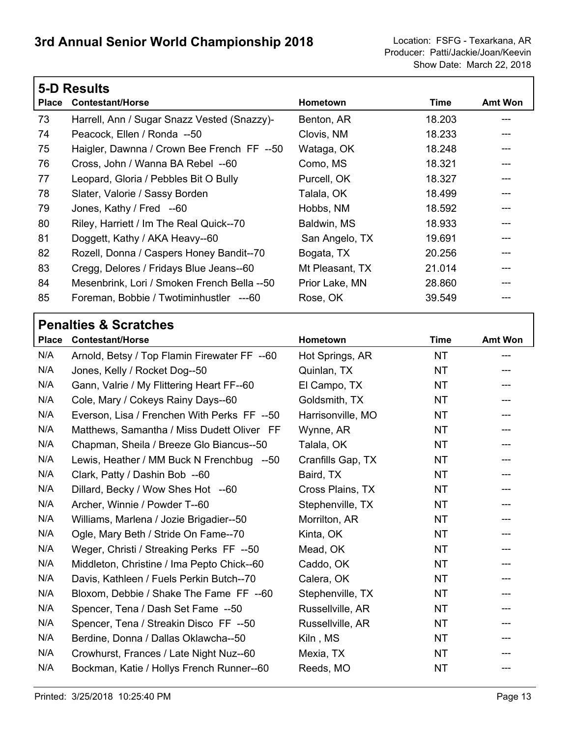|              | <b>5-D Results</b>                          |                 |        |                |  |  |
|--------------|---------------------------------------------|-----------------|--------|----------------|--|--|
| <b>Place</b> | <b>Contestant/Horse</b>                     | Hometown        | Time   | <b>Amt Won</b> |  |  |
| 73           | Harrell, Ann / Sugar Snazz Vested (Snazzy)- | Benton, AR      | 18.203 | ---            |  |  |
| 74           | Peacock, Ellen / Ronda --50                 | Clovis, NM      | 18.233 |                |  |  |
| 75           | Haigler, Dawnna / Crown Bee French FF --50  | Wataga, OK      | 18.248 |                |  |  |
| 76           | Cross, John / Wanna BA Rebel --60           | Como, MS        | 18.321 |                |  |  |
| 77           | Leopard, Gloria / Pebbles Bit O Bully       | Purcell, OK     | 18.327 |                |  |  |
| 78           | Slater, Valorie / Sassy Borden              | Talala, OK      | 18.499 |                |  |  |
| 79           | Jones, Kathy / Fred --60                    | Hobbs, NM       | 18.592 |                |  |  |
| 80           | Riley, Harriett / Im The Real Quick--70     | Baldwin, MS     | 18.933 |                |  |  |
| 81           | Doggett, Kathy / AKA Heavy--60              | San Angelo, TX  | 19.691 |                |  |  |
| 82           | Rozell, Donna / Caspers Honey Bandit--70    | Bogata, TX      | 20.256 |                |  |  |
| 83           | Cregg, Delores / Fridays Blue Jeans--60     | Mt Pleasant, TX | 21.014 |                |  |  |
| 84           | Mesenbrink, Lori / Smoken French Bella --50 | Prior Lake, MN  | 28.860 |                |  |  |
| 85           | Foreman, Bobbie / Twotiminhustler ---60     | Rose, OK        | 39.549 |                |  |  |

| <b>Place</b> | <b>Contestant/Horse</b>                      | Hometown          | <b>Time</b> | <b>Amt Won</b> |
|--------------|----------------------------------------------|-------------------|-------------|----------------|
| N/A          | Arnold, Betsy / Top Flamin Firewater FF --60 | Hot Springs, AR   | <b>NT</b>   | ---            |
| N/A          | Jones, Kelly / Rocket Dog--50                | Quinlan, TX       | <b>NT</b>   |                |
| N/A          | Gann, Valrie / My Flittering Heart FF--60    | El Campo, TX      | NT.         |                |
| N/A          | Cole, Mary / Cokeys Rainy Days--60           | Goldsmith, TX     | <b>NT</b>   |                |
| N/A          | Everson, Lisa / Frenchen With Perks FF --50  | Harrisonville, MO | <b>NT</b>   |                |
| N/A          | Matthews, Samantha / Miss Dudett Oliver FF   | Wynne, AR         | <b>NT</b>   |                |
| N/A          | Chapman, Sheila / Breeze Glo Biancus--50     | Talala, OK        | <b>NT</b>   | ---            |
| N/A          | Lewis, Heather / MM Buck N Frenchbug --50    | Cranfills Gap, TX | <b>NT</b>   | ---            |
| N/A          | Clark, Patty / Dashin Bob --60               | Baird, TX         | <b>NT</b>   |                |
| N/A          | Dillard, Becky / Wow Shes Hot --60           | Cross Plains, TX  | <b>NT</b>   |                |
| N/A          | Archer, Winnie / Powder T--60                | Stephenville, TX  | <b>NT</b>   |                |
| N/A          | Williams, Marlena / Jozie Brigadier--50      | Morrilton, AR     | <b>NT</b>   | ---            |
| N/A          | Ogle, Mary Beth / Stride On Fame--70         | Kinta, OK         | <b>NT</b>   |                |
| N/A          | Weger, Christi / Streaking Perks FF --50     | Mead, OK          | <b>NT</b>   |                |
| N/A          | Middleton, Christine / Ima Pepto Chick--60   | Caddo, OK         | <b>NT</b>   |                |
| N/A          | Davis, Kathleen / Fuels Perkin Butch--70     | Calera, OK        | <b>NT</b>   |                |
| N/A          | Bloxom, Debbie / Shake The Fame FF --60      | Stephenville, TX  | <b>NT</b>   |                |
| N/A          | Spencer, Tena / Dash Set Fame --50           | Russellville, AR  | <b>NT</b>   |                |
| N/A          | Spencer, Tena / Streakin Disco FF --50       | Russellville, AR  | NT.         |                |
| N/A          | Berdine, Donna / Dallas Oklawcha--50         | Kiln, MS          | <b>NT</b>   |                |
| N/A          | Crowhurst, Frances / Late Night Nuz--60      | Mexia, TX         | <b>NT</b>   |                |
| N/A          | Bockman, Katie / Hollys French Runner--60    | Reeds, MO         | <b>NT</b>   | ---            |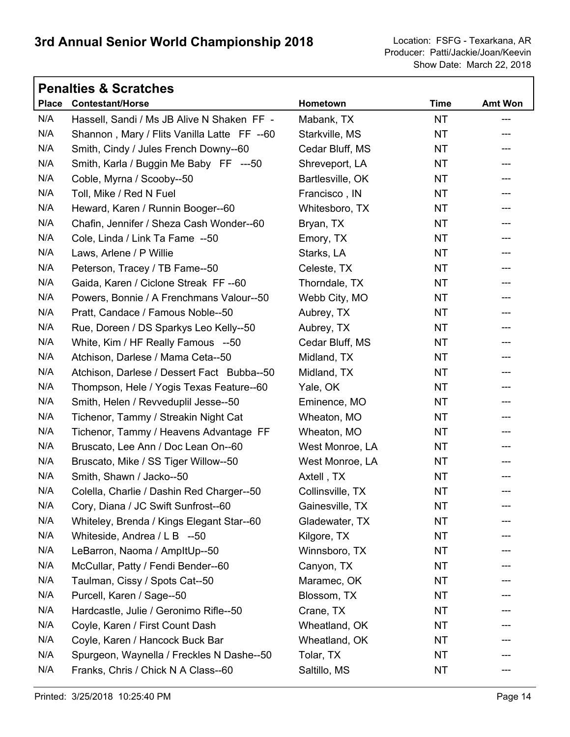|              | <b>Penalties &amp; Scratches</b>            |                  |             |                |
|--------------|---------------------------------------------|------------------|-------------|----------------|
| <b>Place</b> | <b>Contestant/Horse</b>                     | Hometown         | <b>Time</b> | <b>Amt Won</b> |
| N/A          | Hassell, Sandi / Ms JB Alive N Shaken FF -  | Mabank, TX       | <b>NT</b>   | ---            |
| N/A          | Shannon, Mary / Flits Vanilla Latte FF --60 | Starkville, MS   | <b>NT</b>   | ---            |
| N/A          | Smith, Cindy / Jules French Downy--60       | Cedar Bluff, MS  | <b>NT</b>   | ---            |
| N/A          | Smith, Karla / Buggin Me Baby FF ---50      | Shreveport, LA   | <b>NT</b>   | ---            |
| N/A          | Coble, Myrna / Scooby--50                   | Bartlesville, OK | <b>NT</b>   |                |
| N/A          | Toll, Mike / Red N Fuel                     | Francisco, IN    | <b>NT</b>   | ---            |
| N/A          | Heward, Karen / Runnin Booger--60           | Whitesboro, TX   | NT.         | ---            |
| N/A          | Chafin, Jennifer / Sheza Cash Wonder--60    | Bryan, TX        | <b>NT</b>   |                |
| N/A          | Cole, Linda / Link Ta Fame --50             | Emory, TX        | NT          | ---            |
| N/A          | Laws, Arlene / P Willie                     | Starks, LA       | <b>NT</b>   | ---            |
| N/A          | Peterson, Tracey / TB Fame--50              | Celeste, TX      | <b>NT</b>   |                |
| N/A          | Gaida, Karen / Ciclone Streak FF--60        | Thorndale, TX    | NT          | ---            |
| N/A          | Powers, Bonnie / A Frenchmans Valour--50    | Webb City, MO    | <b>NT</b>   | ---            |
| N/A          | Pratt, Candace / Famous Noble--50           | Aubrey, TX       | <b>NT</b>   |                |
| N/A          | Rue, Doreen / DS Sparkys Leo Kelly--50      | Aubrey, TX       | <b>NT</b>   | ---            |
| N/A          | White, Kim / HF Really Famous --50          | Cedar Bluff, MS  | <b>NT</b>   | ---            |
| N/A          | Atchison, Darlese / Mama Ceta--50           | Midland, TX      | <b>NT</b>   |                |
| N/A          | Atchison, Darlese / Dessert Fact Bubba--50  | Midland, TX      | NT          | ---            |
| N/A          | Thompson, Hele / Yogis Texas Feature--60    | Yale, OK         | <b>NT</b>   | ---            |
| N/A          | Smith, Helen / Revveduplil Jesse--50        | Eminence, MO     | <b>NT</b>   |                |
| N/A          | Tichenor, Tammy / Streakin Night Cat        | Wheaton, MO      | NT          | ---            |
| N/A          | Tichenor, Tammy / Heavens Advantage FF      | Wheaton, MO      | <b>NT</b>   | ---            |
| N/A          | Bruscato, Lee Ann / Doc Lean On--60         | West Monroe, LA  | <b>NT</b>   |                |
| N/A          | Bruscato, Mike / SS Tiger Willow--50        | West Monroe, LA  | NT          | ---            |
| N/A          | Smith, Shawn / Jacko--50                    | Axtell, TX       | <b>NT</b>   |                |
| N/A          | Colella, Charlie / Dashin Red Charger--50   | Collinsville, TX | NT          | ---            |
| N/A          | Cory, Diana / JC Swift Sunfrost--60         | Gainesville, TX  | <b>NT</b>   |                |
| N/A          | Whiteley, Brenda / Kings Elegant Star--60   | Gladewater, TX   | NT.         |                |
| N/A          | Whiteside, Andrea / L B --50                | Kilgore, TX      | NT          |                |
| N/A          | LeBarron, Naoma / AmpltUp--50               | Winnsboro, TX    | NT          |                |
| N/A          | McCullar, Patty / Fendi Bender--60          | Canyon, TX       | NT.         |                |
| N/A          | Taulman, Cissy / Spots Cat--50              | Maramec, OK      | NT          |                |
| N/A          | Purcell, Karen / Sage--50                   | Blossom, TX      | NT          |                |
| N/A          | Hardcastle, Julie / Geronimo Rifle--50      | Crane, TX        | NT.         |                |
| N/A          | Coyle, Karen / First Count Dash             | Wheatland, OK    | <b>NT</b>   |                |
| N/A          | Coyle, Karen / Hancock Buck Bar             | Wheatland, OK    | NT          |                |
| N/A          | Spurgeon, Waynella / Freckles N Dashe--50   | Tolar, TX        | NT.         |                |
| N/A          | Franks, Chris / Chick N A Class--60         | Saltillo, MS     | NT          |                |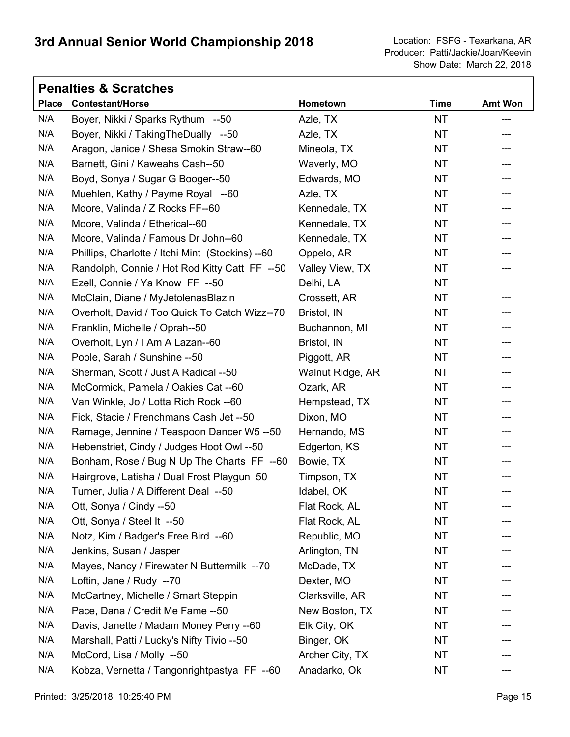|              | <b>Penalties &amp; Scratches</b>                 |                  |             |                |
|--------------|--------------------------------------------------|------------------|-------------|----------------|
| <b>Place</b> | <b>Contestant/Horse</b>                          | Hometown         | <b>Time</b> | <b>Amt Won</b> |
| N/A          | Boyer, Nikki / Sparks Rythum --50                | Azle, TX         | <b>NT</b>   | ---            |
| N/A          | Boyer, Nikki / Taking The Dually --50            | Azle, TX         | <b>NT</b>   |                |
| N/A          | Aragon, Janice / Shesa Smokin Straw--60          | Mineola, TX      | <b>NT</b>   | ---            |
| N/A          | Barnett, Gini / Kaweahs Cash--50                 | Waverly, MO      | <b>NT</b>   |                |
| N/A          | Boyd, Sonya / Sugar G Booger--50                 | Edwards, MO      | <b>NT</b>   |                |
| N/A          | Muehlen, Kathy / Payme Royal --60                | Azle, TX         | <b>NT</b>   | ---            |
| N/A          | Moore, Valinda / Z Rocks FF--60                  | Kennedale, TX    | <b>NT</b>   | ---            |
| N/A          | Moore, Valinda / Etherical--60                   | Kennedale, TX    | <b>NT</b>   | ---            |
| N/A          | Moore, Valinda / Famous Dr John--60              | Kennedale, TX    | <b>NT</b>   | ---            |
| N/A          | Phillips, Charlotte / Itchi Mint (Stockins) --60 | Oppelo, AR       | NT.         | ---            |
| N/A          | Randolph, Connie / Hot Rod Kitty Catt FF --50    | Valley View, TX  | <b>NT</b>   |                |
| N/A          | Ezell, Connie / Ya Know FF --50                  | Delhi, LA        | <b>NT</b>   | ---            |
| N/A          | McClain, Diane / MyJetolenasBlazin               | Crossett, AR     | NT.         | ---            |
| N/A          | Overholt, David / Too Quick To Catch Wizz--70    | Bristol, IN      | <b>NT</b>   |                |
| N/A          | Franklin, Michelle / Oprah--50                   | Buchannon, MI    | <b>NT</b>   | ---            |
| N/A          | Overholt, Lyn / I Am A Lazan--60                 | Bristol, IN      | <b>NT</b>   | ---            |
| N/A          | Poole, Sarah / Sunshine -- 50                    | Piggott, AR      | <b>NT</b>   |                |
| N/A          | Sherman, Scott / Just A Radical --50             | Walnut Ridge, AR | <b>NT</b>   | ---            |
| N/A          | McCormick, Pamela / Oakies Cat --60              | Ozark, AR        | <b>NT</b>   | ---            |
| N/A          | Van Winkle, Jo / Lotta Rich Rock -- 60           | Hempstead, TX    | <b>NT</b>   |                |
| N/A          | Fick, Stacie / Frenchmans Cash Jet -- 50         | Dixon, MO        | <b>NT</b>   | ---            |
| N/A          | Ramage, Jennine / Teaspoon Dancer W5 --50        | Hernando, MS     | <b>NT</b>   | ---            |
| N/A          | Hebenstriet, Cindy / Judges Hoot Owl --50        | Edgerton, KS     | <b>NT</b>   | ---            |
| N/A          | Bonham, Rose / Bug N Up The Charts FF --60       | Bowie, TX        | NT.         | ---            |
| N/A          | Hairgrove, Latisha / Dual Frost Playgun 50       | Timpson, TX      | <b>NT</b>   |                |
| N/A          | Turner, Julia / A Different Deal --50            | Idabel, OK       | <b>NT</b>   | ---            |
| N/A          | Ott, Sonya / Cindy --50                          | Flat Rock, AL    | NT          |                |
| N/A          | Ott, Sonya / Steel It --50                       | Flat Rock, AL    | <b>NT</b>   |                |
| N/A          | Notz, Kim / Badger's Free Bird --60              | Republic, MO     | <b>NT</b>   |                |
| N/A          | Jenkins, Susan / Jasper                          | Arlington, TN    | <b>NT</b>   |                |
| N/A          | Mayes, Nancy / Firewater N Buttermilk --70       | McDade, TX       | <b>NT</b>   |                |
| N/A          | Loftin, Jane / Rudy --70                         | Dexter, MO       | <b>NT</b>   |                |
| N/A          | McCartney, Michelle / Smart Steppin              | Clarksville, AR  | <b>NT</b>   |                |
| N/A          | Pace, Dana / Credit Me Fame -- 50                | New Boston, TX   | <b>NT</b>   |                |
| N/A          | Davis, Janette / Madam Money Perry --60          | Elk City, OK     | NT          |                |
| N/A          | Marshall, Patti / Lucky's Nifty Tivio --50       | Binger, OK       | <b>NT</b>   |                |
| N/A          | McCord, Lisa / Molly --50                        | Archer City, TX  | <b>NT</b>   |                |
| N/A          | Kobza, Vernetta / Tangonrightpastya FF --60      | Anadarko, Ok     | NT          |                |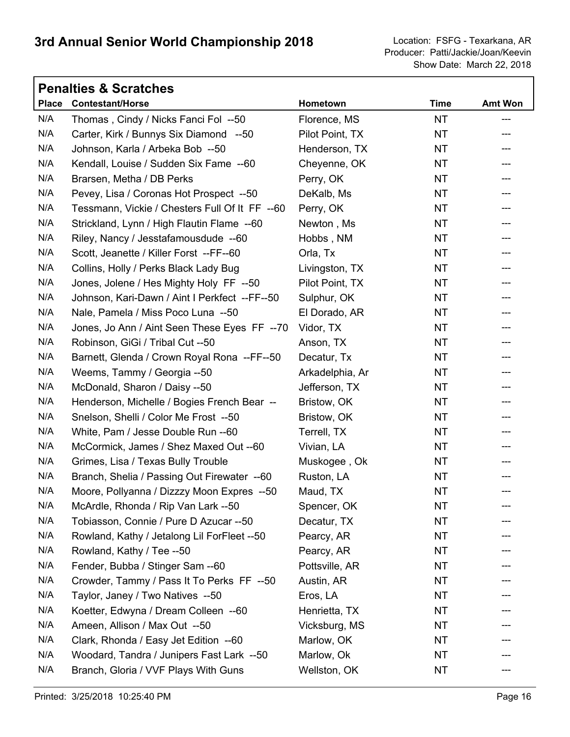Show Date: March 22, 2018 Producer: Patti/Jackie/Joan/Keevin

٦

|              | <b>Penalties &amp; Scratches</b>               |                 |             |                |
|--------------|------------------------------------------------|-----------------|-------------|----------------|
| <b>Place</b> | <b>Contestant/Horse</b>                        | Hometown        | <b>Time</b> | <b>Amt Won</b> |
| N/A          | Thomas, Cindy / Nicks Fanci Fol --50           | Florence, MS    | NT.         | ---            |
| N/A          | Carter, Kirk / Bunnys Six Diamond --50         | Pilot Point, TX | <b>NT</b>   |                |
| N/A          | Johnson, Karla / Arbeka Bob --50               | Henderson, TX   | NT          | ---            |
| N/A          | Kendall, Louise / Sudden Six Fame --60         | Cheyenne, OK    | <b>NT</b>   | ---            |
| N/A          | Brarsen, Metha / DB Perks                      | Perry, OK       | <b>NT</b>   |                |
| N/A          | Pevey, Lisa / Coronas Hot Prospect --50        | DeKalb, Ms      | NT          | ---            |
| N/A          | Tessmann, Vickie / Chesters Full Of It FF --60 | Perry, OK       | <b>NT</b>   | ---            |
| N/A          | Strickland, Lynn / High Flautin Flame --60     | Newton, Ms      | <b>NT</b>   | ---            |
| N/A          | Riley, Nancy / Jesstafamousdude --60           | Hobbs, NM       | NT          | ---            |
| N/A          | Scott, Jeanette / Killer Forst --FF--60        | Orla, Tx        | <b>NT</b>   | ---            |
| N/A          | Collins, Holly / Perks Black Lady Bug          | Livingston, TX  | <b>NT</b>   | ---            |
| N/A          | Jones, Jolene / Hes Mighty Holy FF --50        | Pilot Point, TX | NT          | ---            |
| N/A          | Johnson, Kari-Dawn / Aint I Perkfect --FF--50  | Sulphur, OK     | <b>NT</b>   | ---            |
| N/A          | Nale, Pamela / Miss Poco Luna --50             | El Dorado, AR   | <b>NT</b>   |                |
| N/A          | Jones, Jo Ann / Aint Seen These Eyes FF --70   | Vidor, TX       | NT          | ---            |
| N/A          | Robinson, GiGi / Tribal Cut --50               | Anson, TX       | <b>NT</b>   | ---            |
| N/A          | Barnett, Glenda / Crown Royal Rona --FF--50    | Decatur, Tx     | <b>NT</b>   |                |
| N/A          | Weems, Tammy / Georgia --50                    | Arkadelphia, Ar | NT          | ---            |
| N/A          | McDonald, Sharon / Daisy --50                  | Jefferson, TX   | <b>NT</b>   | ---            |
| N/A          | Henderson, Michelle / Bogies French Bear --    | Bristow, OK     | <b>NT</b>   |                |
| N/A          | Snelson, Shelli / Color Me Frost --50          | Bristow, OK     | NT          | ---            |
| N/A          | White, Pam / Jesse Double Run --60             | Terrell, TX     | <b>NT</b>   | ---            |
| N/A          | McCormick, James / Shez Maxed Out -- 60        | Vivian, LA      | <b>NT</b>   |                |
| N/A          | Grimes, Lisa / Texas Bully Trouble             | Muskogee, Ok    | NT          | ---            |
| N/A          | Branch, Shelia / Passing Out Firewater --60    | Ruston, LA      | <b>NT</b>   |                |
| N/A          | Moore, Pollyanna / Dizzzy Moon Expres --50     | Maud, TX        | <b>NT</b>   | ---            |
| N/A          | McArdle, Rhonda / Rip Van Lark --50            | Spencer, OK     | <b>NT</b>   |                |
| N/A          | Tobiasson, Connie / Pure D Azucar --50         | Decatur, TX     | <b>NT</b>   |                |
| N/A          | Rowland, Kathy / Jetalong Lil ForFleet --50    | Pearcy, AR      | <b>NT</b>   |                |
| N/A          | Rowland, Kathy / Tee --50                      | Pearcy, AR      | NT          |                |
| N/A          | Fender, Bubba / Stinger Sam -- 60              | Pottsville, AR  | <b>NT</b>   |                |
| N/A          | Crowder, Tammy / Pass It To Perks FF --50      | Austin, AR      | NT          |                |
| N/A          | Taylor, Janey / Two Natives --50               | Eros, LA        | NT          |                |
| N/A          | Koetter, Edwyna / Dream Colleen --60           | Henrietta, TX   | NT          |                |
| N/A          | Ameen, Allison / Max Out --50                  | Vicksburg, MS   | NT          |                |
| N/A          | Clark, Rhonda / Easy Jet Edition --60          | Marlow, OK      | NT          |                |
| N/A          | Woodard, Tandra / Junipers Fast Lark --50      | Marlow, Ok      | NT          |                |
| N/A          | Branch, Gloria / VVF Plays With Guns           | Wellston, OK    | NT          | ---            |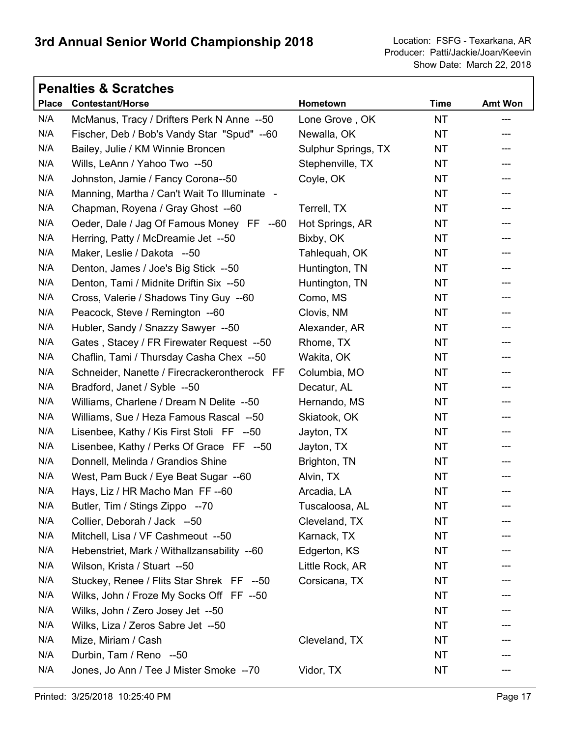|     | <b>Penalties &amp; Scratches</b>             |                     |             |                |
|-----|----------------------------------------------|---------------------|-------------|----------------|
|     | Place Contestant/Horse                       | Hometown            | <b>Time</b> | <b>Amt Won</b> |
| N/A | McManus, Tracy / Drifters Perk N Anne --50   | Lone Grove, OK      | <b>NT</b>   | ---            |
| N/A | Fischer, Deb / Bob's Vandy Star "Spud" --60  | Newalla, OK         | <b>NT</b>   |                |
| N/A | Bailey, Julie / KM Winnie Broncen            | Sulphur Springs, TX | NT          | ---            |
| N/A | Wills, LeAnn / Yahoo Two --50                | Stephenville, TX    | <b>NT</b>   | ---            |
| N/A | Johnston, Jamie / Fancy Corona--50           | Coyle, OK           | NT.         | ---            |
| N/A | Manning, Martha / Can't Wait To Illuminate - |                     | <b>NT</b>   | ---            |
| N/A | Chapman, Royena / Gray Ghost --60            | Terrell, TX         | <b>NT</b>   | ---            |
| N/A | Oeder, Dale / Jag Of Famous Money FF --60    | Hot Springs, AR     | NT.         | ---            |
| N/A | Herring, Patty / McDreamie Jet --50          | Bixby, OK           | <b>NT</b>   | ---            |
| N/A | Maker, Leslie / Dakota --50                  | Tahlequah, OK       | <b>NT</b>   | ---            |
| N/A | Denton, James / Joe's Big Stick --50         | Huntington, TN      | NT.         |                |
| N/A | Denton, Tami / Midnite Driftin Six --50      | Huntington, TN      | <b>NT</b>   | ---            |
| N/A | Cross, Valerie / Shadows Tiny Guy --60       | Como, MS            | NT.         | ---            |
| N/A | Peacock, Steve / Remington --60              | Clovis, NM          | NT.         |                |
| N/A | Hubler, Sandy / Snazzy Sawyer --50           | Alexander, AR       | <b>NT</b>   | ---            |
| N/A | Gates, Stacey / FR Firewater Request --50    | Rhome, TX           | <b>NT</b>   | ---            |
| N/A | Chaflin, Tami / Thursday Casha Chex --50     | Wakita, OK          | NT.         | ---            |
| N/A | Schneider, Nanette / Firecrackerontherock FF | Columbia, MO        | <b>NT</b>   | ---            |
| N/A | Bradford, Janet / Syble --50                 | Decatur, AL         | <b>NT</b>   | ---            |
| N/A | Williams, Charlene / Dream N Delite --50     | Hernando, MS        | NT.         | ---            |
| N/A | Williams, Sue / Heza Famous Rascal --50      | Skiatook, OK        | <b>NT</b>   | ---            |
| N/A | Lisenbee, Kathy / Kis First Stoli FF --50    | Jayton, TX          | <b>NT</b>   | ---            |
| N/A | Lisenbee, Kathy / Perks Of Grace FF --50     | Jayton, TX          | NT.         | ---            |
| N/A | Donnell, Melinda / Grandios Shine            | Brighton, TN        | <b>NT</b>   | ---            |
| N/A | West, Pam Buck / Eye Beat Sugar --60         | Alvin, TX           | <b>NT</b>   | ---            |
| N/A | Hays, Liz / HR Macho Man FF -- 60            | Arcadia, LA         | <b>NT</b>   | ---            |
| N/A | Butler, Tim / Stings Zippo --70              | Tuscaloosa, AL      | NT          |                |
| N/A | Collier, Deborah / Jack --50                 | Cleveland, TX       | NT          |                |
| N/A | Mitchell, Lisa / VF Cashmeout --50           | Karnack, TX         | NT          |                |
| N/A | Hebenstriet, Mark / Withallzansability --60  | Edgerton, KS        | <b>NT</b>   |                |
| N/A | Wilson, Krista / Stuart --50                 | Little Rock, AR     | NT.         |                |
| N/A | Stuckey, Renee / Flits Star Shrek FF --50    | Corsicana, TX       | NT          |                |
| N/A | Wilks, John / Froze My Socks Off FF --50     |                     | <b>NT</b>   |                |
| N/A | Wilks, John / Zero Josey Jet --50            |                     | <b>NT</b>   |                |
| N/A | Wilks, Liza / Zeros Sabre Jet --50           |                     | <b>NT</b>   |                |
| N/A | Mize, Miriam / Cash                          | Cleveland, TX       | <b>NT</b>   |                |
| N/A | Durbin, Tam / Reno --50                      |                     | NT          |                |
| N/A | Jones, Jo Ann / Tee J Mister Smoke --70      | Vidor, TX           | <b>NT</b>   |                |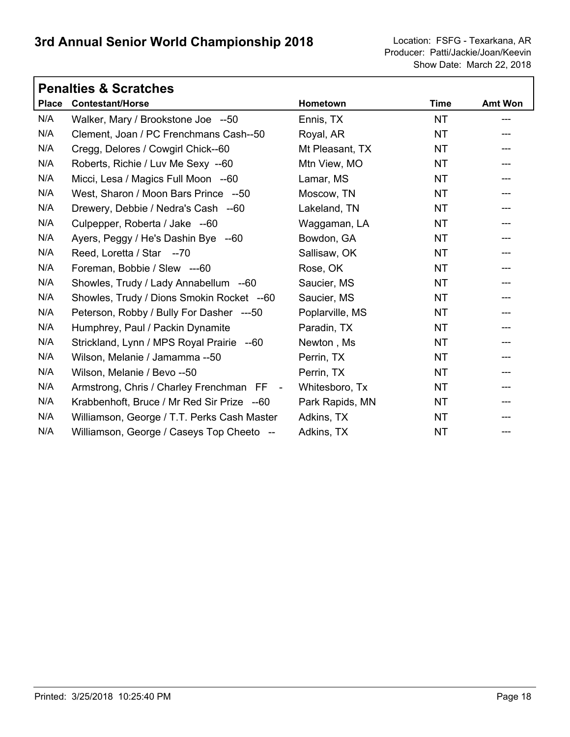|              | <b>Penalties &amp; Scratches</b>            |                 |             |                            |  |
|--------------|---------------------------------------------|-----------------|-------------|----------------------------|--|
| <b>Place</b> | <b>Contestant/Horse</b>                     | Hometown        | <b>Time</b> | <b>Amt Won</b>             |  |
| N/A          | Walker, Mary / Brookstone Joe --50          | Ennis, TX       | <b>NT</b>   | ---                        |  |
| N/A          | Clement, Joan / PC Frenchmans Cash--50      | Royal, AR       | <b>NT</b>   |                            |  |
| N/A          | Cregg, Delores / Cowgirl Chick--60          | Mt Pleasant, TX | <b>NT</b>   |                            |  |
| N/A          | Roberts, Richie / Luv Me Sexy --60          | Mtn View, MO    | <b>NT</b>   |                            |  |
| N/A          | Micci, Lesa / Magics Full Moon --60         | Lamar, MS       | <b>NT</b>   |                            |  |
| N/A          | West, Sharon / Moon Bars Prince --50        | Moscow, TN      | <b>NT</b>   |                            |  |
| N/A          | Drewery, Debbie / Nedra's Cash --60         | Lakeland, TN    | <b>NT</b>   |                            |  |
| N/A          | Culpepper, Roberta / Jake --60              | Waggaman, LA    | <b>NT</b>   |                            |  |
| N/A          | Ayers, Peggy / He's Dashin Bye --60         | Bowdon, GA      | <b>NT</b>   |                            |  |
| N/A          | Reed, Loretta / Star --70                   | Sallisaw, OK    | <b>NT</b>   |                            |  |
| N/A          | Foreman, Bobbie / Slew ---60                | Rose, OK        | <b>NT</b>   | $\qquad \qquad \text{---}$ |  |
| N/A          | Showles, Trudy / Lady Annabellum --60       | Saucier, MS     | <b>NT</b>   |                            |  |
| N/A          | Showles, Trudy / Dions Smokin Rocket --60   | Saucier, MS     | <b>NT</b>   |                            |  |
| N/A          | Peterson, Robby / Bully For Dasher ---50    | Poplarville, MS | <b>NT</b>   |                            |  |
| N/A          | Humphrey, Paul / Packin Dynamite            | Paradin, TX     | NT.         |                            |  |
| N/A          | Strickland, Lynn / MPS Royal Prairie --60   | Newton, Ms      | <b>NT</b>   |                            |  |
| N/A          | Wilson, Melanie / Jamamma --50              | Perrin, TX      | NT.         |                            |  |
| N/A          | Wilson, Melanie / Bevo --50                 | Perrin, TX      | <b>NT</b>   |                            |  |
| N/A          | Armstrong, Chris / Charley Frenchman FF -   | Whitesboro, Tx  | <b>NT</b>   |                            |  |
| N/A          | Krabbenhoft, Bruce / Mr Red Sir Prize --60  | Park Rapids, MN | <b>NT</b>   |                            |  |
| N/A          | Williamson, George / T.T. Perks Cash Master | Adkins, TX      | <b>NT</b>   |                            |  |
| N/A          | Williamson, George / Caseys Top Cheeto --   | Adkins, TX      | <b>NT</b>   | ---                        |  |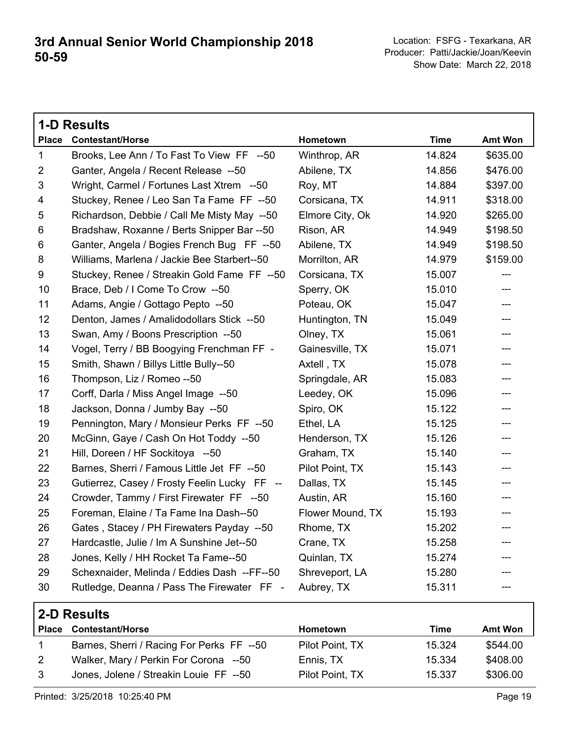|                | <b>1-D Results</b>                           |                  |             |                          |
|----------------|----------------------------------------------|------------------|-------------|--------------------------|
| <b>Place</b>   | <b>Contestant/Horse</b>                      | Hometown         | <b>Time</b> | <b>Amt Won</b>           |
| $\mathbf 1$    | Brooks, Lee Ann / To Fast To View FF --50    | Winthrop, AR     | 14.824      | \$635.00                 |
| $\overline{2}$ | Ganter, Angela / Recent Release --50         | Abilene, TX      | 14.856      | \$476.00                 |
| 3              | Wright, Carmel / Fortunes Last Xtrem --50    | Roy, MT          | 14.884      | \$397.00                 |
| 4              | Stuckey, Renee / Leo San Ta Fame FF --50     | Corsicana, TX    | 14.911      | \$318.00                 |
| 5              | Richardson, Debbie / Call Me Misty May --50  | Elmore City, Ok  | 14.920      | \$265.00                 |
| 6              | Bradshaw, Roxanne / Berts Snipper Bar --50   | Rison, AR        | 14.949      | \$198.50                 |
| 6              | Ganter, Angela / Bogies French Bug FF --50   | Abilene, TX      | 14.949      | \$198.50                 |
| 8              | Williams, Marlena / Jackie Bee Starbert--50  | Morrilton, AR    | 14.979      | \$159.00                 |
| 9              | Stuckey, Renee / Streakin Gold Fame FF --50  | Corsicana, TX    | 15.007      | $---$                    |
| 10             | Brace, Deb / I Come To Crow --50             | Sperry, OK       | 15.010      | ---                      |
| 11             | Adams, Angie / Gottago Pepto --50            | Poteau, OK       | 15.047      | ---                      |
| 12             | Denton, James / Amalidodollars Stick --50    | Huntington, TN   | 15.049      | $---$                    |
| 13             | Swan, Amy / Boons Prescription --50          | Olney, TX        | 15.061      | ---                      |
| 14             | Vogel, Terry / BB Boogying Frenchman FF -    | Gainesville, TX  | 15.071      | ---                      |
| 15             | Smith, Shawn / Billys Little Bully--50       | Axtell, TX       | 15.078      | ---                      |
| 16             | Thompson, Liz / Romeo --50                   | Springdale, AR   | 15.083      | ---                      |
| 17             | Corff, Darla / Miss Angel Image --50         | Leedey, OK       | 15.096      | ---                      |
| 18             | Jackson, Donna / Jumby Bay --50              | Spiro, OK        | 15.122      | $\overline{\phantom{a}}$ |
| 19             | Pennington, Mary / Monsieur Perks FF --50    | Ethel, LA        | 15.125      | ---                      |
| 20             | McGinn, Gaye / Cash On Hot Toddy --50        | Henderson, TX    | 15.126      | ---                      |
| 21             | Hill, Doreen / HF Sockitoya --50             | Graham, TX       | 15.140      | ---                      |
| 22             | Barnes, Sherri / Famous Little Jet FF --50   | Pilot Point, TX  | 15.143      | ---                      |
| 23             | Gutierrez, Casey / Frosty Feelin Lucky FF -- | Dallas, TX       | 15.145      | ---                      |
| 24             | Crowder, Tammy / First Firewater FF --50     | Austin, AR       | 15.160      | ---                      |
| 25             | Foreman, Elaine / Ta Fame Ina Dash--50       | Flower Mound, TX | 15.193      | ---                      |
| 26             | Gates, Stacey / PH Firewaters Payday --50    | Rhome, TX        | 15.202      | ---                      |
| 27             | Hardcastle, Julie / Im A Sunshine Jet--50    | Crane, TX        | 15.258      | $---$                    |
| 28             | Jones, Kelly / HH Rocket Ta Fame--50         | Quinlan, TX      | 15.274      | ---                      |
| 29             | Schexnaider, Melinda / Eddies Dash --FF--50  | Shreveport, LA   | 15.280      | ---                      |
| 30             | Rutledge, Deanna / Pass The Firewater FF -   | Aubrey, TX       | 15.311      | $---$                    |

|              | 2-D Results                               |                 |        |                |
|--------------|-------------------------------------------|-----------------|--------|----------------|
| <b>Place</b> | <b>Contestant/Horse</b>                   | <b>Hometown</b> | Time   | <b>Amt Won</b> |
|              | Barnes, Sherri / Racing For Perks FF --50 | Pilot Point, TX | 15.324 | \$544.00       |
| 2            | Walker, Mary / Perkin For Corona --50     | Ennis, TX       | 15.334 | \$408.00       |
|              | Jones, Jolene / Streakin Louie FF --50    | Pilot Point, TX | 15.337 | \$306.00       |

-50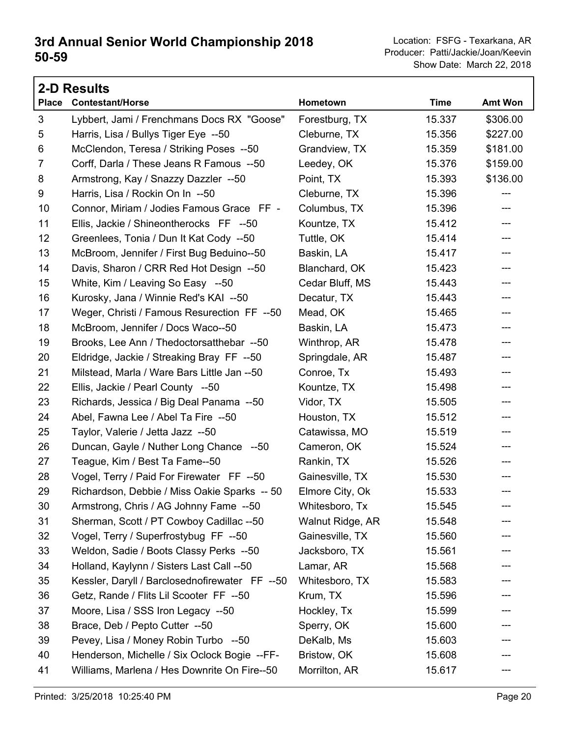|                | <b>2-D Results</b>                             |                  |             |          |  |
|----------------|------------------------------------------------|------------------|-------------|----------|--|
| <b>Place</b>   | <b>Contestant/Horse</b>                        | Hometown         | <b>Time</b> | Amt Won  |  |
| $\mathfrak{S}$ | Lybbert, Jami / Frenchmans Docs RX "Goose"     | Forestburg, TX   | 15.337      | \$306.00 |  |
| 5              | Harris, Lisa / Bullys Tiger Eye --50           | Cleburne, TX     | 15.356      | \$227.00 |  |
| 6              | McClendon, Teresa / Striking Poses --50        | Grandview, TX    | 15.359      | \$181.00 |  |
| $\overline{7}$ | Corff, Darla / These Jeans R Famous --50       | Leedey, OK       | 15.376      | \$159.00 |  |
| 8              | Armstrong, Kay / Snazzy Dazzler --50           | Point, TX        | 15.393      | \$136.00 |  |
| 9              | Harris, Lisa / Rockin On In --50               | Cleburne, TX     | 15.396      |          |  |
| 10             | Connor, Miriam / Jodies Famous Grace FF -      | Columbus, TX     | 15.396      | ---      |  |
| 11             | Ellis, Jackie / Shineontherocks FF --50        | Kountze, TX      | 15.412      | ---      |  |
| 12             | Greenlees, Tonia / Dun It Kat Cody --50        | Tuttle, OK       | 15.414      | ---      |  |
| 13             | McBroom, Jennifer / First Bug Beduino--50      | Baskin, LA       | 15.417      | ---      |  |
| 14             | Davis, Sharon / CRR Red Hot Design --50        | Blanchard, OK    | 15.423      | ---      |  |
| 15             | White, Kim / Leaving So Easy --50              | Cedar Bluff, MS  | 15.443      | ---      |  |
| 16             | Kurosky, Jana / Winnie Red's KAI --50          | Decatur, TX      | 15.443      | ---      |  |
| 17             | Weger, Christi / Famous Resurection FF --50    | Mead, OK         | 15.465      | ---      |  |
| 18             | McBroom, Jennifer / Docs Waco--50              | Baskin, LA       | 15.473      | ---      |  |
| 19             | Brooks, Lee Ann / Thedoctorsatthebar --50      | Winthrop, AR     | 15.478      | ---      |  |
| 20             | Eldridge, Jackie / Streaking Bray FF --50      | Springdale, AR   | 15.487      | ---      |  |
| 21             | Milstead, Marla / Ware Bars Little Jan --50    | Conroe, Tx       | 15.493      | ---      |  |
| 22             | Ellis, Jackie / Pearl County --50              | Kountze, TX      | 15.498      | ---      |  |
| 23             | Richards, Jessica / Big Deal Panama --50       | Vidor, TX        | 15.505      | ---      |  |
| 24             | Abel, Fawna Lee / Abel Ta Fire --50            | Houston, TX      | 15.512      | ---      |  |
| 25             | Taylor, Valerie / Jetta Jazz --50              | Catawissa, MO    | 15.519      | ---      |  |
| 26             | Duncan, Gayle / Nuther Long Chance --50        | Cameron, OK      | 15.524      | ---      |  |
| 27             | Teague, Kim / Best Ta Fame--50                 | Rankin, TX       | 15.526      | ---      |  |
| 28             | Vogel, Terry / Paid For Firewater FF --50      | Gainesville, TX  | 15.530      | ---      |  |
| 29             | Richardson, Debbie / Miss Oakie Sparks -- 50   | Elmore City, Ok  | 15.533      | ---      |  |
| 30             | Armstrong, Chris / AG Johnny Fame --50         | Whitesboro, Tx   | 15.545      |          |  |
| 31             | Sherman, Scott / PT Cowboy Cadillac --50       | Walnut Ridge, AR | 15.548      |          |  |
| 32             | Vogel, Terry / Superfrostybug FF --50          | Gainesville, TX  | 15.560      |          |  |
| 33             | Weldon, Sadie / Boots Classy Perks --50        | Jacksboro, TX    | 15.561      |          |  |
| 34             | Holland, Kaylynn / Sisters Last Call --50      | Lamar, AR        | 15.568      |          |  |
| 35             | Kessler, Daryll / Barclosednofirewater FF --50 | Whitesboro, TX   | 15.583      |          |  |
| 36             | Getz, Rande / Flits Lil Scooter FF --50        | Krum, TX         | 15.596      |          |  |
| 37             | Moore, Lisa / SSS Iron Legacy --50             | Hockley, Tx      | 15.599      | ---      |  |
| 38             | Brace, Deb / Pepto Cutter --50                 | Sperry, OK       | 15.600      |          |  |
| 39             | Pevey, Lisa / Money Robin Turbo --50           | DeKalb, Ms       | 15.603      |          |  |
| 40             | Henderson, Michelle / Six Oclock Bogie --FF-   | Bristow, OK      | 15.608      |          |  |
| 41             | Williams, Marlena / Hes Downrite On Fire--50   | Morrilton, AR    | 15.617      |          |  |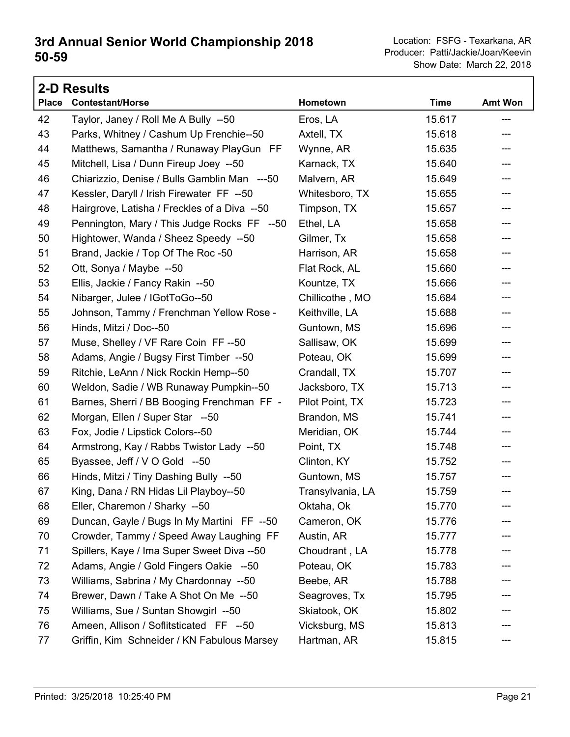|              | <b>2-D Results</b>                           |                  |             |         |
|--------------|----------------------------------------------|------------------|-------------|---------|
| <b>Place</b> | <b>Contestant/Horse</b>                      | Hometown         | <b>Time</b> | Amt Won |
| 42           | Taylor, Janey / Roll Me A Bully --50         | Eros, LA         | 15.617      | ---     |
| 43           | Parks, Whitney / Cashum Up Frenchie--50      | Axtell, TX       | 15.618      | ---     |
| 44           | Matthews, Samantha / Runaway PlayGun FF      | Wynne, AR        | 15.635      | ---     |
| 45           | Mitchell, Lisa / Dunn Fireup Joey --50       | Karnack, TX      | 15.640      | ---     |
| 46           | Chiarizzio, Denise / Bulls Gamblin Man ---50 | Malvern, AR      | 15.649      | ---     |
| 47           | Kessler, Daryll / Irish Firewater FF --50    | Whitesboro, TX   | 15.655      | ---     |
| 48           | Hairgrove, Latisha / Freckles of a Diva --50 | Timpson, TX      | 15.657      | ---     |
| 49           | Pennington, Mary / This Judge Rocks FF --50  | Ethel, LA        | 15.658      | ---     |
| 50           | Hightower, Wanda / Sheez Speedy --50         | Gilmer, Tx       | 15.658      | ---     |
| 51           | Brand, Jackie / Top Of The Roc -50           | Harrison, AR     | 15.658      | ---     |
| 52           | Ott, Sonya / Maybe --50                      | Flat Rock, AL    | 15.660      | ---     |
| 53           | Ellis, Jackie / Fancy Rakin --50             | Kountze, TX      | 15.666      | ---     |
| 54           | Nibarger, Julee / IGotToGo--50               | Chillicothe, MO  | 15.684      | ---     |
| 55           | Johnson, Tammy / Frenchman Yellow Rose -     | Keithville, LA   | 15.688      | ---     |
| 56           | Hinds, Mitzi / Doc--50                       | Guntown, MS      | 15.696      | ---     |
| 57           | Muse, Shelley / VF Rare Coin FF--50          | Sallisaw, OK     | 15.699      | ---     |
| 58           | Adams, Angie / Bugsy First Timber --50       | Poteau, OK       | 15.699      | ---     |
| 59           | Ritchie, LeAnn / Nick Rockin Hemp--50        | Crandall, TX     | 15.707      | ---     |
| 60           | Weldon, Sadie / WB Runaway Pumpkin--50       | Jacksboro, TX    | 15.713      | ---     |
| 61           | Barnes, Sherri / BB Booging Frenchman FF -   | Pilot Point, TX  | 15.723      | ---     |
| 62           | Morgan, Ellen / Super Star --50              | Brandon, MS      | 15.741      | ---     |
| 63           | Fox, Jodie / Lipstick Colors--50             | Meridian, OK     | 15.744      | ---     |
| 64           | Armstrong, Kay / Rabbs Twistor Lady --50     | Point, TX        | 15.748      | ---     |
| 65           | Byassee, Jeff / V O Gold --50                | Clinton, KY      | 15.752      | ---     |
| 66           | Hinds, Mitzi / Tiny Dashing Bully --50       | Guntown, MS      | 15.757      |         |
| 67           | King, Dana / RN Hidas Lil Playboy--50        | Transylvania, LA | 15.759      |         |
| 68           | Eller, Charemon / Sharky --50                | Oktaha, Ok       | 15.770      |         |
| 69           | Duncan, Gayle / Bugs In My Martini FF --50   | Cameron, OK      | 15.776      |         |
| 70           | Crowder, Tammy / Speed Away Laughing FF      | Austin, AR       | 15.777      |         |
| 71           | Spillers, Kaye / Ima Super Sweet Diva --50   | Choudrant, LA    | 15.778      |         |
| 72           | Adams, Angie / Gold Fingers Oakie --50       | Poteau, OK       | 15.783      |         |
| 73           | Williams, Sabrina / My Chardonnay --50       | Beebe, AR        | 15.788      |         |
| 74           | Brewer, Dawn / Take A Shot On Me --50        | Seagroves, Tx    | 15.795      |         |
| 75           | Williams, Sue / Suntan Showgirl --50         | Skiatook, OK     | 15.802      |         |
| 76           | Ameen, Allison / Soflitsticated FF --50      | Vicksburg, MS    | 15.813      |         |
| 77           | Griffin, Kim Schneider / KN Fabulous Marsey  | Hartman, AR      | 15.815      | ---     |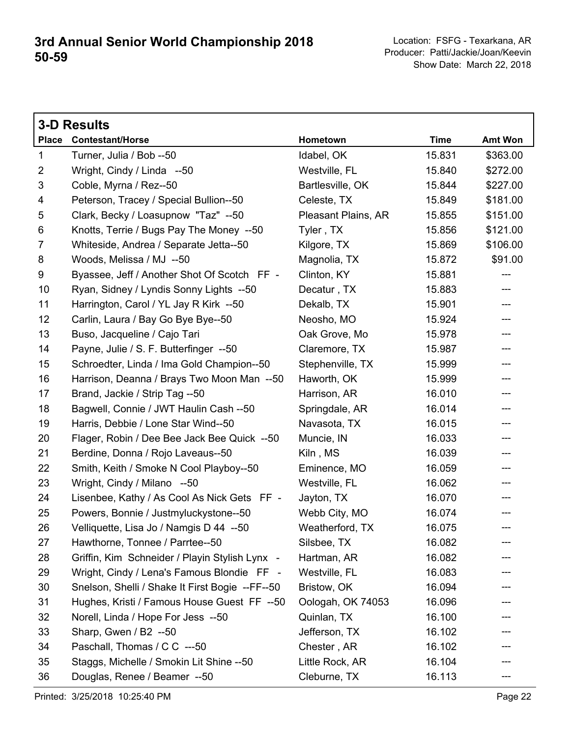|                | <b>3-D Results</b>                              |                     |             |          |
|----------------|-------------------------------------------------|---------------------|-------------|----------|
| <b>Place</b>   | <b>Contestant/Horse</b>                         | Hometown            | <b>Time</b> | Amt Won  |
| $\mathbf 1$    | Turner, Julia / Bob --50                        | Idabel, OK          | 15.831      | \$363.00 |
| $\overline{2}$ | Wright, Cindy / Linda --50                      | Westville, FL       | 15.840      | \$272.00 |
| 3              | Coble, Myrna / Rez--50                          | Bartlesville, OK    | 15.844      | \$227.00 |
| 4              | Peterson, Tracey / Special Bullion--50          | Celeste, TX         | 15.849      | \$181.00 |
| 5              | Clark, Becky / Loasupnow "Taz" --50             | Pleasant Plains, AR | 15.855      | \$151.00 |
| 6              | Knotts, Terrie / Bugs Pay The Money --50        | Tyler, TX           | 15.856      | \$121.00 |
| $\overline{7}$ | Whiteside, Andrea / Separate Jetta--50          | Kilgore, TX         | 15.869      | \$106.00 |
| 8              | Woods, Melissa / MJ --50                        | Magnolia, TX        | 15.872      | \$91.00  |
| 9              | Byassee, Jeff / Another Shot Of Scotch FF -     | Clinton, KY         | 15.881      | ---      |
| 10             | Ryan, Sidney / Lyndis Sonny Lights --50         | Decatur, TX         | 15.883      | ---      |
| 11             | Harrington, Carol / YL Jay R Kirk --50          | Dekalb, TX          | 15.901      | ---      |
| 12             | Carlin, Laura / Bay Go Bye Bye--50              | Neosho, MO          | 15.924      | ---      |
| 13             | Buso, Jacqueline / Cajo Tari                    | Oak Grove, Mo       | 15.978      | ---      |
| 14             | Payne, Julie / S. F. Butterfinger --50          | Claremore, TX       | 15.987      | ---      |
| 15             | Schroedter, Linda / Ima Gold Champion--50       | Stephenville, TX    | 15.999      | ---      |
| 16             | Harrison, Deanna / Brays Two Moon Man --50      | Haworth, OK         | 15.999      | ---      |
| 17             | Brand, Jackie / Strip Tag --50                  | Harrison, AR        | 16.010      | ---      |
| 18             | Bagwell, Connie / JWT Haulin Cash --50          | Springdale, AR      | 16.014      | ---      |
| 19             | Harris, Debbie / Lone Star Wind--50             | Navasota, TX        | 16.015      | ---      |
| 20             | Flager, Robin / Dee Bee Jack Bee Quick --50     | Muncie, IN          | 16.033      | ---      |
| 21             | Berdine, Donna / Rojo Laveaus--50               | Kiln, MS            | 16.039      | ---      |
| 22             | Smith, Keith / Smoke N Cool Playboy--50         | Eminence, MO        | 16.059      | ---      |
| 23             | Wright, Cindy / Milano --50                     | Westville, FL       | 16.062      | ---      |
| 24             | Lisenbee, Kathy / As Cool As Nick Gets FF -     | Jayton, TX          | 16.070      | ---      |
| 25             | Powers, Bonnie / Justmyluckystone--50           | Webb City, MO       | 16.074      | ---      |
| 26             | Velliquette, Lisa Jo / Namgis D 44 --50         | Weatherford, TX     | 16.075      | ---      |
| 27             | Hawthorne, Tonnee / Parrtee--50                 | Silsbee, TX         | 16.082      |          |
| 28             | Griffin, Kim Schneider / Playin Stylish Lynx -  | Hartman, AR         | 16.082      |          |
| 29             | Wright, Cindy / Lena's Famous Blondie FF -      | Westville, FL       | 16.083      |          |
| 30             | Snelson, Shelli / Shake It First Bogie --FF--50 | Bristow, OK         | 16.094      |          |
| 31             | Hughes, Kristi / Famous House Guest FF --50     | Oologah, OK 74053   | 16.096      |          |
| 32             | Norell, Linda / Hope For Jess --50              | Quinlan, TX         | 16.100      |          |
| 33             | Sharp, Gwen / B2 --50                           | Jefferson, TX       | 16.102      |          |
| 34             | Paschall, Thomas / C C ---50                    | Chester, AR         | 16.102      |          |
| 35             | Staggs, Michelle / Smokin Lit Shine --50        | Little Rock, AR     | 16.104      |          |
| 36             | Douglas, Renee / Beamer --50                    | Cleburne, TX        | 16.113      | ---      |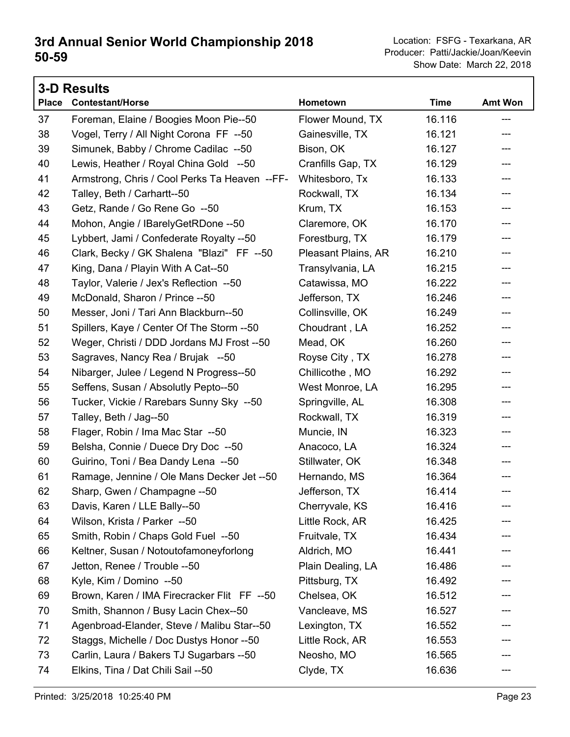|              | <b>3-D Results</b>                            |                     |             |                |
|--------------|-----------------------------------------------|---------------------|-------------|----------------|
| <b>Place</b> | <b>Contestant/Horse</b>                       | Hometown            | <b>Time</b> | <b>Amt Won</b> |
| 37           | Foreman, Elaine / Boogies Moon Pie--50        | Flower Mound, TX    | 16.116      | ---            |
| 38           | Vogel, Terry / All Night Corona FF --50       | Gainesville, TX     | 16.121      | ---            |
| 39           | Simunek, Babby / Chrome Cadilac --50          | Bison, OK           | 16.127      | ---            |
| 40           | Lewis, Heather / Royal China Gold --50        | Cranfills Gap, TX   | 16.129      | ---            |
| 41           | Armstrong, Chris / Cool Perks Ta Heaven --FF- | Whitesboro, Tx      | 16.133      | ---            |
| 42           | Talley, Beth / Carhartt--50                   | Rockwall, TX        | 16.134      | ---            |
| 43           | Getz, Rande / Go Rene Go --50                 | Krum, TX            | 16.153      | ---            |
| 44           | Mohon, Angie / IBarelyGetRDone -- 50          | Claremore, OK       | 16.170      | ---            |
| 45           | Lybbert, Jami / Confederate Royalty --50      | Forestburg, TX      | 16.179      | ---            |
| 46           | Clark, Becky / GK Shalena "Blazi" FF --50     | Pleasant Plains, AR | 16.210      | ---            |
| 47           | King, Dana / Playin With A Cat--50            | Transylvania, LA    | 16.215      | ---            |
| 48           | Taylor, Valerie / Jex's Reflection --50       | Catawissa, MO       | 16.222      | ---            |
| 49           | McDonald, Sharon / Prince --50                | Jefferson, TX       | 16.246      | ---            |
| 50           | Messer, Joni / Tari Ann Blackburn--50         | Collinsville, OK    | 16.249      | ---            |
| 51           | Spillers, Kaye / Center Of The Storm --50     | Choudrant, LA       | 16.252      | ---            |
| 52           | Weger, Christi / DDD Jordans MJ Frost --50    | Mead, OK            | 16.260      | ---            |
| 53           | Sagraves, Nancy Rea / Brujak --50             | Royse City, TX      | 16.278      | ---            |
| 54           | Nibarger, Julee / Legend N Progress--50       | Chillicothe, MO     | 16.292      | ---            |
| 55           | Seffens, Susan / Absolutly Pepto--50          | West Monroe, LA     | 16.295      | ---            |
| 56           | Tucker, Vickie / Rarebars Sunny Sky --50      | Springville, AL     | 16.308      | ---            |
| 57           | Talley, Beth / Jag--50                        | Rockwall, TX        | 16.319      | ---            |
| 58           | Flager, Robin / Ima Mac Star --50             | Muncie, IN          | 16.323      | ---            |
| 59           | Belsha, Connie / Duece Dry Doc --50           | Anacoco, LA         | 16.324      | ---            |
| 60           | Guirino, Toni / Bea Dandy Lena --50           | Stillwater, OK      | 16.348      | ---            |
| 61           | Ramage, Jennine / Ole Mans Decker Jet --50    | Hernando, MS        | 16.364      |                |
| 62           | Sharp, Gwen / Champagne --50                  | Jefferson, TX       | 16.414      | $---$          |
| 63           | Davis, Karen / LLE Bally--50                  | Cherryvale, KS      | 16.416      |                |
| 64           | Wilson, Krista / Parker --50                  | Little Rock, AR     | 16.425      |                |
| 65           | Smith, Robin / Chaps Gold Fuel --50           | Fruitvale, TX       | 16.434      |                |
| 66           | Keltner, Susan / Notoutofamoneyforlong        | Aldrich, MO         | 16.441      |                |
| 67           | Jetton, Renee / Trouble --50                  | Plain Dealing, LA   | 16.486      |                |
| 68           | Kyle, Kim / Domino --50                       | Pittsburg, TX       | 16.492      |                |
| 69           | Brown, Karen / IMA Firecracker Flit FF --50   | Chelsea, OK         | 16.512      |                |
| 70           | Smith, Shannon / Busy Lacin Chex--50          | Vancleave, MS       | 16.527      |                |
| 71           | Agenbroad-Elander, Steve / Malibu Star--50    | Lexington, TX       | 16.552      |                |
| 72           | Staggs, Michelle / Doc Dustys Honor --50      | Little Rock, AR     | 16.553      |                |
| 73           | Carlin, Laura / Bakers TJ Sugarbars --50      | Neosho, MO          | 16.565      |                |
| 74           | Elkins, Tina / Dat Chili Sail --50            | Clyde, TX           | 16.636      | ---            |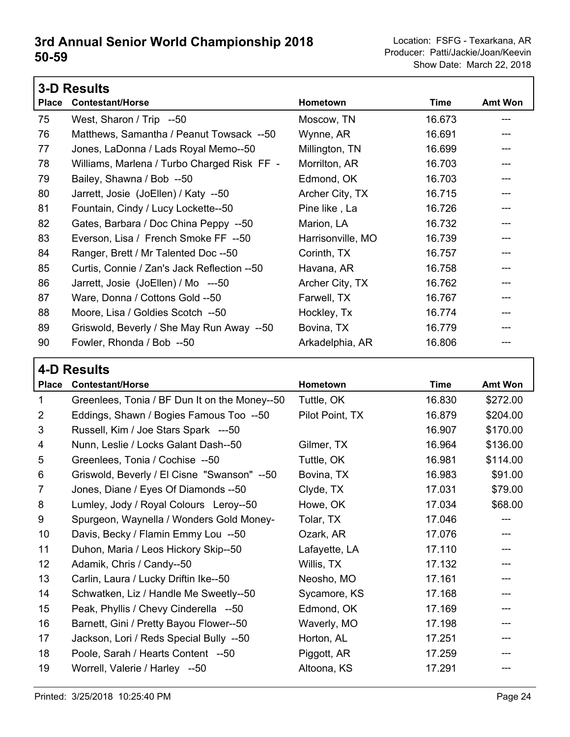|              | <b>3-D Results</b>                          |                   |        |                |  |
|--------------|---------------------------------------------|-------------------|--------|----------------|--|
| <b>Place</b> | <b>Contestant/Horse</b>                     | Hometown          | Time   | <b>Amt Won</b> |  |
| 75           | West, Sharon / Trip --50                    | Moscow, TN        | 16.673 |                |  |
| 76           | Matthews, Samantha / Peanut Towsack --50    | Wynne, AR         | 16.691 |                |  |
| 77           | Jones, LaDonna / Lads Royal Memo--50        | Millington, TN    | 16.699 |                |  |
| 78           | Williams, Marlena / Turbo Charged Risk FF - | Morrilton, AR     | 16.703 |                |  |
| 79           | Bailey, Shawna / Bob --50                   | Edmond, OK        | 16.703 |                |  |
| 80           | Jarrett, Josie (JoEllen) / Katy --50        | Archer City, TX   | 16.715 |                |  |
| 81           | Fountain, Cindy / Lucy Lockette--50         | Pine like, La     | 16.726 | ---            |  |
| 82           | Gates, Barbara / Doc China Peppy --50       | Marion, LA        | 16.732 |                |  |
| 83           | Everson, Lisa / French Smoke FF --50        | Harrisonville, MO | 16.739 | ---            |  |
| 84           | Ranger, Brett / Mr Talented Doc --50        | Corinth, TX       | 16.757 | ---            |  |
| 85           | Curtis, Connie / Zan's Jack Reflection --50 | Havana, AR        | 16.758 |                |  |
| 86           | Jarrett, Josie (JoEllen) / Mo ---50         | Archer City, TX   | 16.762 |                |  |
| 87           | Ware, Donna / Cottons Gold --50             | Farwell, TX       | 16.767 |                |  |
| 88           | Moore, Lisa / Goldies Scotch --50           | Hockley, Tx       | 16.774 |                |  |
| 89           | Griswold, Beverly / She May Run Away --50   | Bovina, TX        | 16.779 |                |  |
| 90           | Fowler, Rhonda / Bob --50                   | Arkadelphia, AR   | 16.806 |                |  |

| <b>4-D Results</b> |
|--------------------|
|                    |

|                 | כווטכסוו ש־ד                                  |                 |             |          |
|-----------------|-----------------------------------------------|-----------------|-------------|----------|
| <b>Place</b>    | <b>Contestant/Horse</b>                       | Hometown        | <b>Time</b> | Amt Won  |
| $\mathbf{1}$    | Greenlees, Tonia / BF Dun It on the Money--50 | Tuttle, OK      | 16.830      | \$272.00 |
| $\overline{2}$  | Eddings, Shawn / Bogies Famous Too --50       | Pilot Point, TX | 16.879      | \$204.00 |
| 3               | Russell, Kim / Joe Stars Spark ---50          |                 | 16.907      | \$170.00 |
| 4               | Nunn, Leslie / Locks Galant Dash--50          | Gilmer, TX      | 16.964      | \$136.00 |
| 5               | Greenlees, Tonia / Cochise --50               | Tuttle, OK      | 16.981      | \$114.00 |
| 6               | Griswold, Beverly / El Cisne "Swanson" --50   | Bovina, TX      | 16.983      | \$91.00  |
| $\overline{7}$  | Jones, Diane / Eyes Of Diamonds --50          | Clyde, TX       | 17.031      | \$79.00  |
| 8               | Lumley, Jody / Royal Colours Leroy--50        | Howe, OK        | 17.034      | \$68.00  |
| 9               | Spurgeon, Waynella / Wonders Gold Money-      | Tolar, TX       | 17.046      | ---      |
| 10 <sup>°</sup> | Davis, Becky / Flamin Emmy Lou --50           | Ozark, AR       | 17.076      | ---      |
| 11              | Duhon, Maria / Leos Hickory Skip--50          | Lafayette, LA   | 17.110      |          |
| 12              | Adamik, Chris / Candy--50                     | Willis, TX      | 17.132      |          |
| 13              | Carlin, Laura / Lucky Driftin Ike--50         | Neosho, MO      | 17.161      |          |
| 14              | Schwatken, Liz / Handle Me Sweetly--50        | Sycamore, KS    | 17.168      | ---      |
| 15              | Peak, Phyllis / Chevy Cinderella --50         | Edmond, OK      | 17.169      |          |
| 16              | Barnett, Gini / Pretty Bayou Flower--50       | Waverly, MO     | 17.198      |          |
| 17              | Jackson, Lori / Reds Special Bully --50       | Horton, AL      | 17.251      |          |
| 18              | Poole, Sarah / Hearts Content --50            | Piggott, AR     | 17.259      |          |
| 19              | Worrell, Valerie / Harley --50                | Altoona, KS     | 17.291      |          |
|                 |                                               |                 |             |          |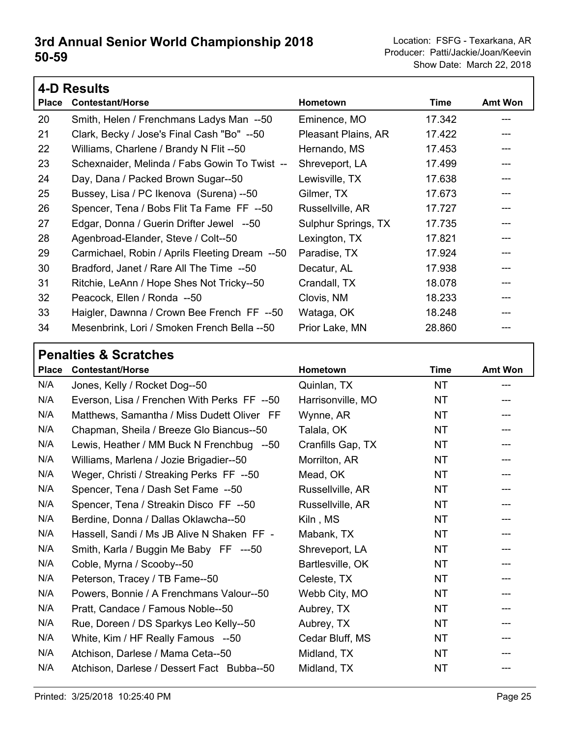| <b>4-D Results</b> |                                                |                     |             |                |
|--------------------|------------------------------------------------|---------------------|-------------|----------------|
| <b>Place</b>       | <b>Contestant/Horse</b>                        | Hometown            | <b>Time</b> | <b>Amt Won</b> |
| 20                 | Smith, Helen / Frenchmans Ladys Man --50       | Eminence, MO        | 17.342      |                |
| 21                 | Clark, Becky / Jose's Final Cash "Bo" --50     | Pleasant Plains, AR | 17.422      |                |
| 22                 | Williams, Charlene / Brandy N Flit --50        | Hernando, MS        | 17.453      |                |
| 23                 | Schexnaider, Melinda / Fabs Gowin To Twist --  | Shreveport, LA      | 17.499      |                |
| 24                 | Day, Dana / Packed Brown Sugar--50             | Lewisville, TX      | 17.638      |                |
| 25                 | Bussey, Lisa / PC Ikenova (Surena) --50        | Gilmer, TX          | 17.673      |                |
| 26                 | Spencer, Tena / Bobs Flit Ta Fame FF --50      | Russellville, AR    | 17.727      |                |
| 27                 | Edgar, Donna / Guerin Drifter Jewel --50       | Sulphur Springs, TX | 17.735      |                |
| 28                 | Agenbroad-Elander, Steve / Colt--50            | Lexington, TX       | 17.821      |                |
| 29                 | Carmichael, Robin / Aprils Fleeting Dream --50 | Paradise, TX        | 17.924      |                |
| 30                 | Bradford, Janet / Rare All The Time --50       | Decatur, AL         | 17.938      |                |
| 31                 | Ritchie, LeAnn / Hope Shes Not Tricky--50      | Crandall, TX        | 18.078      |                |
| 32                 | Peacock, Ellen / Ronda --50                    | Clovis, NM          | 18.233      |                |
| 33                 | Haigler, Dawnna / Crown Bee French FF --50     | Wataga, OK          | 18.248      |                |
| 34                 | Mesenbrink, Lori / Smoken French Bella --50    | Prior Lake, MN      | 28.860      |                |

#### **Penalties & Scratches**

| <b>Place</b> | <b>Contestant/Horse</b>                     | Hometown          | <b>Time</b> | Amt Won |
|--------------|---------------------------------------------|-------------------|-------------|---------|
| N/A          | Jones, Kelly / Rocket Dog--50               | Quinlan, TX       | NT          |         |
| N/A          | Everson, Lisa / Frenchen With Perks FF --50 | Harrisonville, MO | NT          |         |
| N/A          | Matthews, Samantha / Miss Dudett Oliver FF  | Wynne, AR         | NT          |         |
| N/A          | Chapman, Sheila / Breeze Glo Biancus--50    | Talala, OK        | <b>NT</b>   |         |
| N/A          | Lewis, Heather / MM Buck N Frenchbug --50   | Cranfills Gap, TX | NT          | ---     |
| N/A          | Williams, Marlena / Jozie Brigadier--50     | Morrilton, AR     | NT          | ---     |
| N/A          | Weger, Christi / Streaking Perks FF --50    | Mead, OK          | <b>NT</b>   |         |
| N/A          | Spencer, Tena / Dash Set Fame --50          | Russellville, AR  | <b>NT</b>   |         |
| N/A          | Spencer, Tena / Streakin Disco FF --50      | Russellville, AR  | <b>NT</b>   | ---     |
| N/A          | Berdine, Donna / Dallas Oklawcha--50        | Kiln, MS          | <b>NT</b>   | ---     |
| N/A          | Hassell, Sandi / Ms JB Alive N Shaken FF -  | Mabank, TX        | NT          |         |
| N/A          | Smith, Karla / Buggin Me Baby FF ---50      | Shreveport, LA    | NT          |         |
| N/A          | Coble, Myrna / Scooby--50                   | Bartlesville, OK  | NT          |         |
| N/A          | Peterson, Tracey / TB Fame--50              | Celeste, TX       | <b>NT</b>   |         |
| N/A          | Powers, Bonnie / A Frenchmans Valour--50    | Webb City, MO     | NT          |         |
| N/A          | Pratt, Candace / Famous Noble--50           | Aubrey, TX        | <b>NT</b>   |         |
| N/A          | Rue, Doreen / DS Sparkys Leo Kelly--50      | Aubrey, TX        | <b>NT</b>   |         |
| N/A          | White, Kim / HF Really Famous --50          | Cedar Bluff, MS   | <b>NT</b>   |         |
| N/A          | Atchison, Darlese / Mama Ceta--50           | Midland, TX       | NT          |         |
| N/A          | Atchison, Darlese / Dessert Fact Bubba--50  | Midland, TX       | <b>NT</b>   |         |
|              |                                             |                   |             |         |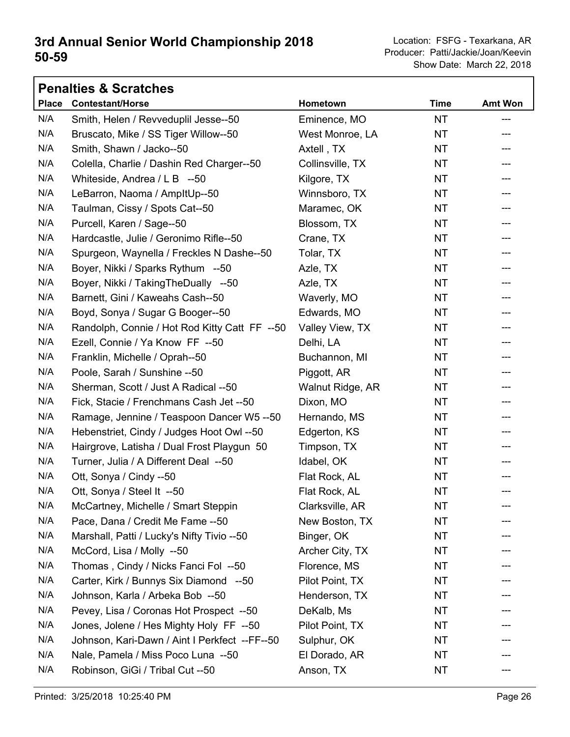|              | <b>Penalties &amp; Scratches</b>              |                  |             |                |
|--------------|-----------------------------------------------|------------------|-------------|----------------|
| <b>Place</b> | <b>Contestant/Horse</b>                       | Hometown         | <b>Time</b> | <b>Amt Won</b> |
| N/A          | Smith, Helen / Revveduplil Jesse--50          | Eminence, MO     | <b>NT</b>   | ---            |
| N/A          | Bruscato, Mike / SS Tiger Willow--50          | West Monroe, LA  | NT.         | ---            |
| N/A          | Smith, Shawn / Jacko--50                      | Axtell, TX       | NT.         |                |
| N/A          | Colella, Charlie / Dashin Red Charger--50     | Collinsville, TX | <b>NT</b>   | ---            |
| N/A          | Whiteside, Andrea / L B --50                  | Kilgore, TX      | <b>NT</b>   | ---            |
| N/A          | LeBarron, Naoma / AmpltUp--50                 | Winnsboro, TX    | NT.         | ---            |
| N/A          | Taulman, Cissy / Spots Cat--50                | Maramec, OK      | ΝT          | ---            |
| N/A          | Purcell, Karen / Sage--50                     | Blossom, TX      | NT.         | ---            |
| N/A          | Hardcastle, Julie / Geronimo Rifle--50        | Crane, TX        | NT          | ---            |
| N/A          | Spurgeon, Waynella / Freckles N Dashe--50     | Tolar, TX        | NT.         | ---            |
| N/A          | Boyer, Nikki / Sparks Rythum --50             | Azle, TX         | <b>NT</b>   | ---            |
| N/A          | Boyer, Nikki / TakingTheDually --50           | Azle, TX         | NT.         | ---            |
| N/A          | Barnett, Gini / Kaweahs Cash--50              | Waverly, MO      | <b>NT</b>   | ---            |
| N/A          | Boyd, Sonya / Sugar G Booger--50              | Edwards, MO      | <b>NT</b>   | ---            |
| N/A          | Randolph, Connie / Hot Rod Kitty Catt FF --50 | Valley View, TX  | NT.         | ---            |
| N/A          | Ezell, Connie / Ya Know FF --50               | Delhi, LA        | ΝT          | ---            |
| N/A          | Franklin, Michelle / Oprah--50                | Buchannon, MI    | NT.         | ---            |
| N/A          | Poole, Sarah / Sunshine -- 50                 | Piggott, AR      | NT          | ---            |
| N/A          | Sherman, Scott / Just A Radical --50          | Walnut Ridge, AR | ΝT          | ---            |
| N/A          | Fick, Stacie / Frenchmans Cash Jet --50       | Dixon, MO        | NT.         | ---            |
| N/A          | Ramage, Jennine / Teaspoon Dancer W5 --50     | Hernando, MS     | NT          | ---            |
| N/A          | Hebenstriet, Cindy / Judges Hoot Owl --50     | Edgerton, KS     | <b>NT</b>   | ---            |
| N/A          | Hairgrove, Latisha / Dual Frost Playgun 50    | Timpson, TX      | NT.         | ---            |
| N/A          | Turner, Julia / A Different Deal --50         | Idabel, OK       | NT.         | ---            |
| N/A          | Ott, Sonya / Cindy --50                       | Flat Rock, AL    | ΝT          |                |
| N/A          | Ott, Sonya / Steel It --50                    | Flat Rock, AL    | <b>NT</b>   | ---            |
| N/A          | McCartney, Michelle / Smart Steppin           | Clarksville, AR  | NT          |                |
| N/A          | Pace, Dana / Credit Me Fame --50              | New Boston, TX   | ΝT          |                |
| N/A          | Marshall, Patti / Lucky's Nifty Tivio --50    | Binger, OK       | NT.         |                |
| N/A          | McCord, Lisa / Molly --50                     | Archer City, TX  | NT          |                |
| N/A          | Thomas, Cindy / Nicks Fanci Fol --50          | Florence, MS     | NT.         |                |
| N/A          | Carter, Kirk / Bunnys Six Diamond --50        | Pilot Point, TX  | NT.         |                |
| N/A          | Johnson, Karla / Arbeka Bob --50              | Henderson, TX    | NT          |                |
| N/A          | Pevey, Lisa / Coronas Hot Prospect --50       | DeKalb, Ms       | ΝT          |                |
| N/A          | Jones, Jolene / Hes Mighty Holy FF --50       | Pilot Point, TX  | NT          |                |
| N/A          | Johnson, Kari-Dawn / Aint I Perkfect --FF--50 | Sulphur, OK      | NT          |                |
| N/A          | Nale, Pamela / Miss Poco Luna --50            | El Dorado, AR    | NT          |                |
| N/A          | Robinson, GiGi / Tribal Cut --50              | Anson, TX        | NT.         |                |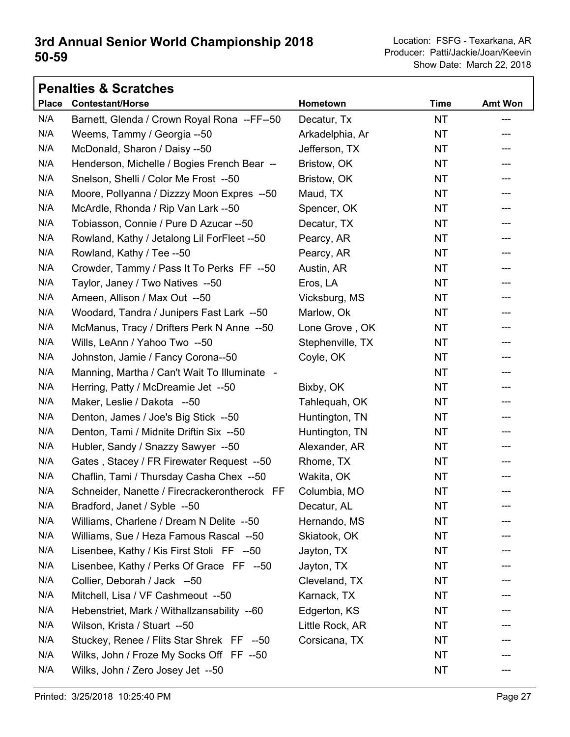|              | <b>Penalties &amp; Scratches</b>             |                  |             |                |
|--------------|----------------------------------------------|------------------|-------------|----------------|
| <b>Place</b> | <b>Contestant/Horse</b>                      | Hometown         | <b>Time</b> | <b>Amt Won</b> |
| N/A          | Barnett, Glenda / Crown Royal Rona --FF--50  | Decatur, Tx      | <b>NT</b>   | ---            |
| N/A          | Weems, Tammy / Georgia --50                  | Arkadelphia, Ar  | <b>NT</b>   |                |
| N/A          | McDonald, Sharon / Daisy --50                | Jefferson, TX    | <b>NT</b>   | ---            |
| N/A          | Henderson, Michelle / Bogies French Bear --  | Bristow, OK      | <b>NT</b>   | ---            |
| N/A          | Snelson, Shelli / Color Me Frost --50        | Bristow, OK      | <b>NT</b>   |                |
| N/A          | Moore, Pollyanna / Dizzzy Moon Expres --50   | Maud, TX         | <b>NT</b>   | ---            |
| N/A          | McArdle, Rhonda / Rip Van Lark --50          | Spencer, OK      | <b>NT</b>   | ---            |
| N/A          | Tobiasson, Connie / Pure D Azucar --50       | Decatur, TX      | <b>NT</b>   |                |
| N/A          | Rowland, Kathy / Jetalong Lil ForFleet --50  | Pearcy, AR       | <b>NT</b>   | ---            |
| N/A          | Rowland, Kathy / Tee --50                    | Pearcy, AR       | <b>NT</b>   | ---            |
| N/A          | Crowder, Tammy / Pass It To Perks FF --50    | Austin, AR       | <b>NT</b>   |                |
| N/A          | Taylor, Janey / Two Natives --50             | Eros, LA         | <b>NT</b>   | ---            |
| N/A          | Ameen, Allison / Max Out --50                | Vicksburg, MS    | <b>NT</b>   | ---            |
| N/A          | Woodard, Tandra / Junipers Fast Lark --50    | Marlow, Ok       | <b>NT</b>   |                |
| N/A          | McManus, Tracy / Drifters Perk N Anne --50   | Lone Grove, OK   | <b>NT</b>   | ---            |
| N/A          | Wills, LeAnn / Yahoo Two --50                | Stephenville, TX | <b>NT</b>   | ---            |
| N/A          | Johnston, Jamie / Fancy Corona--50           | Coyle, OK        | <b>NT</b>   |                |
| N/A          | Manning, Martha / Can't Wait To Illuminate - |                  | <b>NT</b>   | ---            |
| N/A          | Herring, Patty / McDreamie Jet --50          | Bixby, OK        | <b>NT</b>   | ---            |
| N/A          | Maker, Leslie / Dakota --50                  | Tahlequah, OK    | <b>NT</b>   |                |
| N/A          | Denton, James / Joe's Big Stick --50         | Huntington, TN   | <b>NT</b>   | ---            |
| N/A          | Denton, Tami / Midnite Driftin Six --50      | Huntington, TN   | <b>NT</b>   | ---            |
| N/A          | Hubler, Sandy / Snazzy Sawyer --50           | Alexander, AR    | <b>NT</b>   | ---            |
| N/A          | Gates, Stacey / FR Firewater Request --50    | Rhome, TX        | <b>NT</b>   | ---            |
| N/A          | Chaflin, Tami / Thursday Casha Chex --50     | Wakita, OK       | <b>NT</b>   |                |
| N/A          | Schneider, Nanette / Firecrackerontherock FF | Columbia, MO     | <b>NT</b>   | ---            |
| N/A          | Bradford, Janet / Syble --50                 | Decatur, AL      | ΝT          |                |
| N/A          | Williams, Charlene / Dream N Delite --50     | Hernando, MS     | <b>NT</b>   |                |
| N/A          | Williams, Sue / Heza Famous Rascal --50      | Skiatook, OK     | NT          |                |
| N/A          | Lisenbee, Kathy / Kis First Stoli FF --50    | Jayton, TX       | NT          |                |
| N/A          | Lisenbee, Kathy / Perks Of Grace FF --50     | Jayton, TX       | <b>NT</b>   |                |
| N/A          | Collier, Deborah / Jack --50                 | Cleveland, TX    | NT          |                |
| N/A          | Mitchell, Lisa / VF Cashmeout --50           | Karnack, TX      | <b>NT</b>   |                |
| N/A          | Hebenstriet, Mark / Withallzansability --60  | Edgerton, KS     | NT          |                |
| N/A          | Wilson, Krista / Stuart --50                 | Little Rock, AR  | NT          |                |
| N/A          | Stuckey, Renee / Flits Star Shrek FF --50    | Corsicana, TX    | NT          |                |
| N/A          | Wilks, John / Froze My Socks Off FF --50     |                  | <b>NT</b>   |                |
| N/A          | Wilks, John / Zero Josey Jet --50            |                  | <b>NT</b>   |                |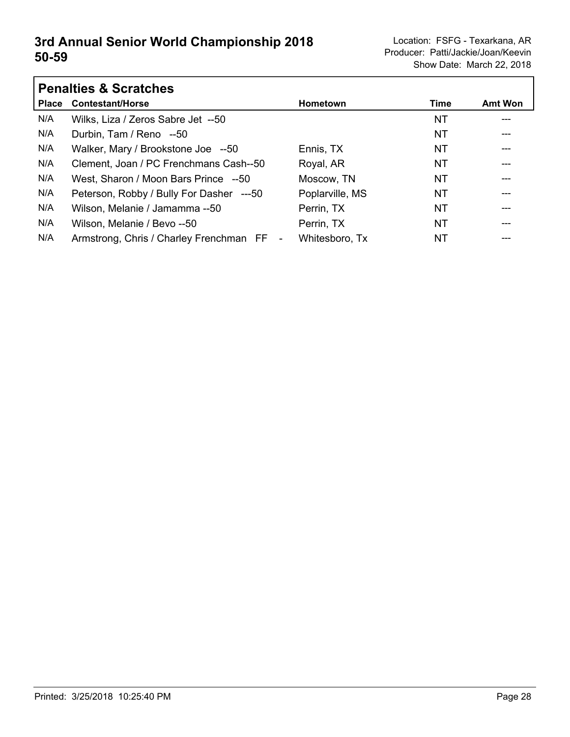|              | <b>Penalties &amp; Scratches</b>         |                 |      |                |  |  |
|--------------|------------------------------------------|-----------------|------|----------------|--|--|
| <b>Place</b> | <b>Contestant/Horse</b>                  | <b>Hometown</b> | Time | <b>Amt Won</b> |  |  |
| N/A          | Wilks, Liza / Zeros Sabre Jet --50       |                 | NT   |                |  |  |
| N/A          | Durbin, Tam / Reno --50                  |                 | ΝT   | ---            |  |  |
| N/A          | Walker, Mary / Brookstone Joe --50       | Ennis, TX       | NT   |                |  |  |
| N/A          | Clement, Joan / PC Frenchmans Cash--50   | Royal, AR       | NT   | $---$          |  |  |
| N/A          | West, Sharon / Moon Bars Prince --50     | Moscow, TN      | ΝT   | ---            |  |  |
| N/A          | Peterson, Robby / Bully For Dasher ---50 | Poplarville, MS | NT   |                |  |  |
| N/A          | Wilson, Melanie / Jamamma --50           | Perrin, TX      | NT   | ---            |  |  |
| N/A          | Wilson, Melanie / Bevo --50              | Perrin, TX      | ΝT   | ---            |  |  |
| N/A          | Armstrong, Chris / Charley Frenchman FF  | Whitesboro, Tx  | NT   |                |  |  |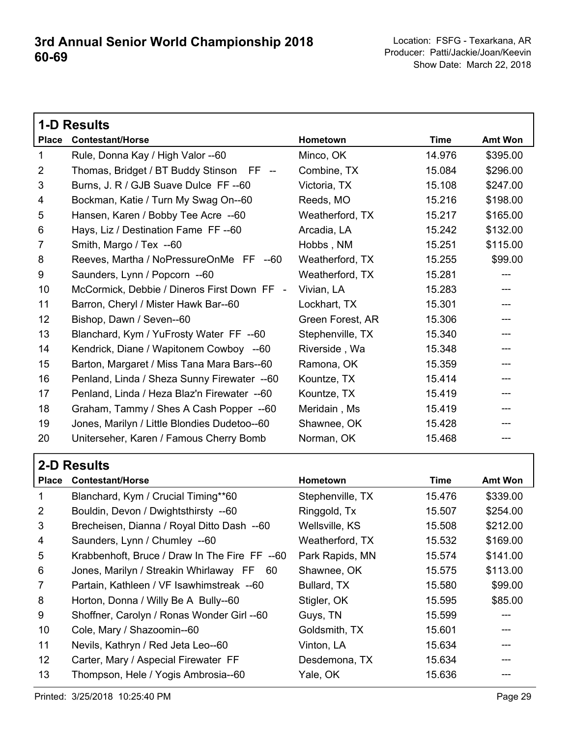|                 | <b>1-D Results</b>                           |                  |             |                            |
|-----------------|----------------------------------------------|------------------|-------------|----------------------------|
| <b>Place</b>    | <b>Contestant/Horse</b>                      | Hometown         | <b>Time</b> | Amt Won                    |
| $\mathbf{1}$    | Rule, Donna Kay / High Valor --60            | Minco, OK        | 14.976      | \$395.00                   |
| 2               | Thomas, Bridget / BT Buddy Stinson FF --     | Combine, TX      | 15.084      | \$296.00                   |
| 3               | Burns, J. R / GJB Suave Dulce FF --60        | Victoria, TX     | 15.108      | \$247.00                   |
| 4               | Bockman, Katie / Turn My Swag On--60         | Reeds, MO        | 15.216      | \$198.00                   |
| 5               | Hansen, Karen / Bobby Tee Acre --60          | Weatherford, TX  | 15.217      | \$165.00                   |
| 6               | Hays, Liz / Destination Fame FF--60          | Arcadia, LA      | 15.242      | \$132.00                   |
| 7               | Smith, Margo / Tex --60                      | Hobbs, NM        | 15.251      | \$115.00                   |
| 8               | Reeves, Martha / NoPressureOnMe FF --60      | Weatherford, TX  | 15.255      | \$99.00                    |
| 9               | Saunders, Lynn / Popcorn --60                | Weatherford, TX  | 15.281      | ---                        |
| 10 <sup>°</sup> | McCormick, Debbie / Dineros First Down FF -  | Vivian, LA       | 15.283      | $---$                      |
| 11              | Barron, Cheryl / Mister Hawk Bar--60         | Lockhart, TX     | 15.301      |                            |
| 12              | Bishop, Dawn / Seven--60                     | Green Forest, AR | 15.306      | $\qquad \qquad \text{---}$ |
| 13              | Blanchard, Kym / YuFrosty Water FF --60      | Stephenville, TX | 15.340      | $---$                      |
| 14              | Kendrick, Diane / Wapitonem Cowboy --60      | Riverside, Wa    | 15.348      | ---                        |
| 15              | Barton, Margaret / Miss Tana Mara Bars--60   | Ramona, OK       | 15.359      | $---$                      |
| 16              | Penland, Linda / Sheza Sunny Firewater --60  | Kountze, TX      | 15.414      | ---                        |
| 17              | Penland, Linda / Heza Blaz'n Firewater --60  | Kountze, TX      | 15.419      | ---                        |
| 18              | Graham, Tammy / Shes A Cash Popper --60      | Meridain, Ms     | 15.419      |                            |
| 19              | Jones, Marilyn / Little Blondies Dudetoo--60 | Shawnee, OK      | 15.428      | ---                        |
| 20              | Uniterseher, Karen / Famous Cherry Bomb      | Norman, OK       | 15.468      |                            |

| <b>2-D Results</b> |  |  |
|--------------------|--|--|
|                    |  |  |

| <b>Place</b>    | <b>Contestant/Horse</b>                       | <b>Hometown</b>  | Time   | <b>Amt Won</b> |
|-----------------|-----------------------------------------------|------------------|--------|----------------|
| $\mathbf{1}$    | Blanchard, Kym / Crucial Timing**60           | Stephenville, TX | 15.476 | \$339.00       |
| 2               | Bouldin, Devon / Dwightsthirsty --60          | Ringgold, Tx     | 15.507 | \$254.00       |
| 3               | Brecheisen, Dianna / Royal Ditto Dash --60    | Wellsville, KS   | 15.508 | \$212.00       |
| 4               | Saunders, Lynn / Chumley --60                 | Weatherford, TX  | 15.532 | \$169.00       |
| 5               | Krabbenhoft, Bruce / Draw In The Fire FF --60 | Park Rapids, MN  | 15.574 | \$141.00       |
| 6               | Jones, Marilyn / Streakin Whirlaway FF 60     | Shawnee, OK      | 15.575 | \$113.00       |
| $\overline{7}$  | Partain, Kathleen / VF Isawhimstreak --60     | Bullard, TX      | 15.580 | \$99.00        |
| 8               | Horton, Donna / Willy Be A Bully--60          | Stigler, OK      | 15.595 | \$85.00        |
| 9               | Shoffner, Carolyn / Ronas Wonder Girl --60    | Guys, TN         | 15.599 | ---            |
| 10              | Cole, Mary / Shazoomin--60                    | Goldsmith, TX    | 15.601 | ---            |
| 11              | Nevils, Kathryn / Red Jeta Leo--60            | Vinton, LA       | 15.634 |                |
| 12 <sup>°</sup> | Carter, Mary / Aspecial Firewater FF          | Desdemona, TX    | 15.634 |                |
| 13              | Thompson, Hele / Yogis Ambrosia--60           | Yale, OK         | 15.636 |                |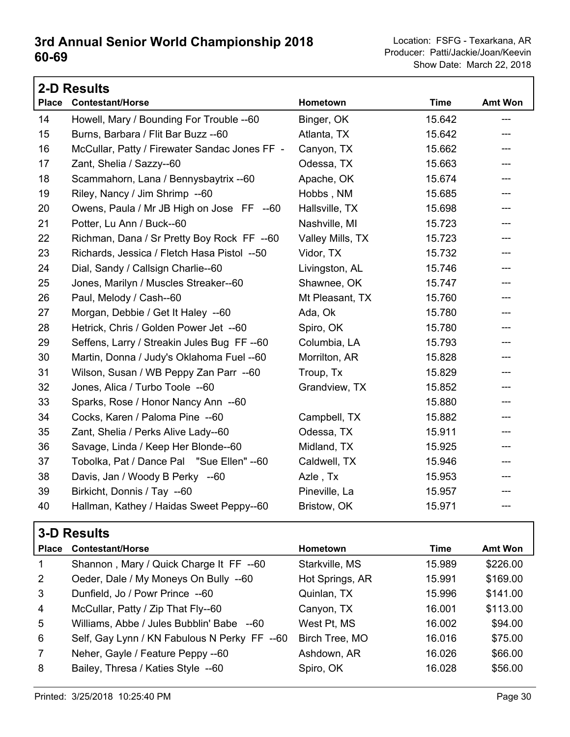Show Date: March 22, 2018 Producer: Patti/Jackie/Joan/Keevin **60-69**

|              | <b>2-D Results</b>                            |                  |             |                |
|--------------|-----------------------------------------------|------------------|-------------|----------------|
| <b>Place</b> | <b>Contestant/Horse</b>                       | Hometown         | <b>Time</b> | <b>Amt Won</b> |
| 14           | Howell, Mary / Bounding For Trouble --60      | Binger, OK       | 15.642      | ---            |
| 15           | Burns, Barbara / Flit Bar Buzz -- 60          | Atlanta, TX      | 15.642      | ---            |
| 16           | McCullar, Patty / Firewater Sandac Jones FF - | Canyon, TX       | 15.662      | ---            |
| 17           | Zant, Shelia / Sazzy--60                      | Odessa, TX       | 15.663      | ---            |
| 18           | Scammahorn, Lana / Bennysbaytrix -- 60        | Apache, OK       | 15.674      |                |
| 19           | Riley, Nancy / Jim Shrimp --60                | Hobbs, NM        | 15.685      | ---            |
| 20           | Owens, Paula / Mr JB High on Jose FF --60     | Hallsville, TX   | 15.698      | ---            |
| 21           | Potter, Lu Ann / Buck--60                     | Nashville, MI    | 15.723      |                |
| 22           | Richman, Dana / Sr Pretty Boy Rock FF --60    | Valley Mills, TX | 15.723      | ---            |
| 23           | Richards, Jessica / Fletch Hasa Pistol --50   | Vidor, TX        | 15.732      | ---            |
| 24           | Dial, Sandy / Callsign Charlie--60            | Livingston, AL   | 15.746      | ---            |
| 25           | Jones, Marilyn / Muscles Streaker--60         | Shawnee, OK      | 15.747      |                |
| 26           | Paul, Melody / Cash--60                       | Mt Pleasant, TX  | 15.760      | ---            |
| 27           | Morgan, Debbie / Get It Haley --60            | Ada, Ok          | 15.780      | ---            |
| 28           | Hetrick, Chris / Golden Power Jet --60        | Spiro, OK        | 15.780      | ---            |
| 29           | Seffens, Larry / Streakin Jules Bug FF--60    | Columbia, LA     | 15.793      |                |
| 30           | Martin, Donna / Judy's Oklahoma Fuel --60     | Morrilton, AR    | 15.828      |                |
| 31           | Wilson, Susan / WB Peppy Zan Parr --60        | Troup, Tx        | 15.829      | ---            |
| 32           | Jones, Alica / Turbo Toole --60               | Grandview, TX    | 15.852      |                |
| 33           | Sparks, Rose / Honor Nancy Ann --60           |                  | 15.880      | ---            |
| 34           | Cocks, Karen / Paloma Pine --60               | Campbell, TX     | 15.882      | ---            |
| 35           | Zant, Shelia / Perks Alive Lady--60           | Odessa, TX       | 15.911      | ---            |
| 36           | Savage, Linda / Keep Her Blonde--60           | Midland, TX      | 15.925      | ---            |
| 37           | Tobolka, Pat / Dance Pal "Sue Ellen" --60     | Caldwell, TX     | 15.946      | ---            |
| 38           | Davis, Jan / Woody B Perky --60               | Azle, Tx         | 15.953      | ---            |
| 39           | Birkicht, Donnis / Tay --60                   | Pineville, La    | 15.957      | ---            |
| 40           | Hallman, Kathey / Haidas Sweet Peppy--60      | Bristow, OK      | 15.971      | ---            |

### **3-D Results**

| <b>Place</b>   | <b>Contestant/Horse</b>                      | Hometown        | Time   | Amt Won  |
|----------------|----------------------------------------------|-----------------|--------|----------|
| $\mathbf 1$    | Shannon, Mary / Quick Charge It FF --60      | Starkville, MS  | 15.989 | \$226.00 |
| 2              | Oeder, Dale / My Moneys On Bully --60        | Hot Springs, AR | 15.991 | \$169.00 |
| $\mathbf{3}$   | Dunfield, Jo / Powr Prince --60              | Quinlan, TX     | 15.996 | \$141.00 |
| $\overline{4}$ | McCullar, Patty / Zip That Fly--60           | Canyon, TX      | 16.001 | \$113.00 |
| 5              | Williams, Abbe / Jules Bubblin' Babe --60    | West Pt, MS     | 16.002 | \$94.00  |
| 6              | Self, Gay Lynn / KN Fabulous N Perky FF --60 | Birch Tree, MO  | 16.016 | \$75.00  |
| $\overline{7}$ | Neher, Gayle / Feature Peppy --60            | Ashdown, AR     | 16.026 | \$66.00  |
| 8              | Bailey, Thresa / Katies Style --60           | Spiro, OK       | 16.028 | \$56.00  |
|                |                                              |                 |        |          |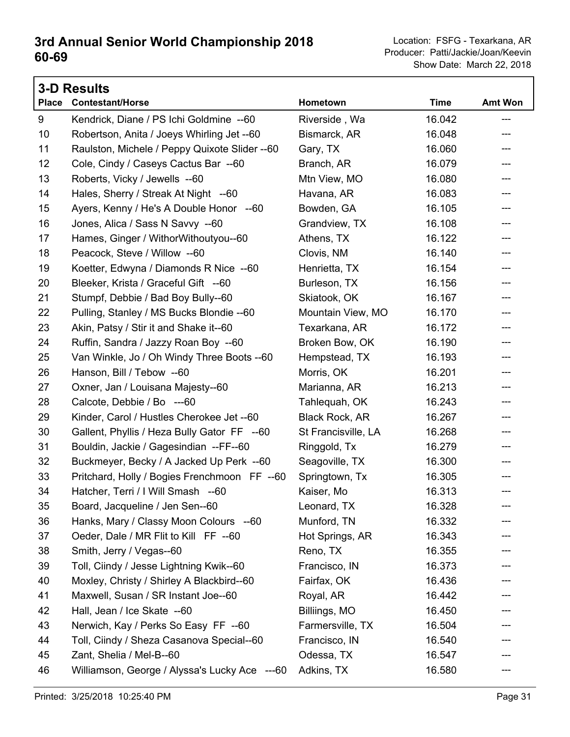| <b>3-D Results</b> |                                               |                     |             |                            |
|--------------------|-----------------------------------------------|---------------------|-------------|----------------------------|
| <b>Place</b>       | <b>Contestant/Horse</b>                       | Hometown            | <b>Time</b> | Amt Won                    |
| 9                  | Kendrick, Diane / PS Ichi Goldmine -- 60      | Riverside, Wa       | 16.042      | ---                        |
| 10                 | Robertson, Anita / Joeys Whirling Jet --60    | Bismarck, AR        | 16.048      | ---                        |
| 11                 | Raulston, Michele / Peppy Quixote Slider --60 | Gary, TX            | 16.060      | ---                        |
| 12                 | Cole, Cindy / Caseys Cactus Bar --60          | Branch, AR          | 16.079      | ---                        |
| 13                 | Roberts, Vicky / Jewells --60                 | Mtn View, MO        | 16.080      | ---                        |
| 14                 | Hales, Sherry / Streak At Night --60          | Havana, AR          | 16.083      | $\qquad \qquad \text{---}$ |
| 15                 | Ayers, Kenny / He's A Double Honor --60       | Bowden, GA          | 16.105      | $\qquad \qquad -\qquad -$  |
| 16                 | Jones, Alica / Sass N Savvy --60              | Grandview, TX       | 16.108      | ---                        |
| 17                 | Hames, Ginger / WithorWithoutyou--60          | Athens, TX          | 16.122      | ---                        |
| 18                 | Peacock, Steve / Willow --60                  | Clovis, NM          | 16.140      | ---                        |
| 19                 | Koetter, Edwyna / Diamonds R Nice --60        | Henrietta, TX       | 16.154      | ---                        |
| 20                 | Bleeker, Krista / Graceful Gift --60          | Burleson, TX        | 16.156      | ---                        |
| 21                 | Stumpf, Debbie / Bad Boy Bully--60            | Skiatook, OK        | 16.167      | ---                        |
| 22                 | Pulling, Stanley / MS Bucks Blondie -- 60     | Mountain View, MO   | 16.170      | ---                        |
| 23                 | Akin, Patsy / Stir it and Shake it--60        | Texarkana, AR       | 16.172      | ---                        |
| 24                 | Ruffin, Sandra / Jazzy Roan Boy --60          | Broken Bow, OK      | 16.190      | ---                        |
| 25                 | Van Winkle, Jo / Oh Windy Three Boots -- 60   | Hempstead, TX       | 16.193      | ---                        |
| 26                 | Hanson, Bill / Tebow --60                     | Morris, OK          | 16.201      | $\qquad \qquad \text{---}$ |
| 27                 | Oxner, Jan / Louisana Majesty--60             | Marianna, AR        | 16.213      | $\qquad \qquad -\qquad -$  |
| 28                 | Calcote, Debbie / Bo ---60                    | Tahlequah, OK       | 16.243      | $\qquad \qquad \text{---}$ |
| 29                 | Kinder, Carol / Hustles Cherokee Jet --60     | Black Rock, AR      | 16.267      | $\qquad \qquad \text{---}$ |
| 30                 | Gallent, Phyllis / Heza Bully Gator FF --60   | St Francisville, LA | 16.268      | $\qquad \qquad -\qquad -$  |
| 31                 | Bouldin, Jackie / Gagesindian --FF--60        | Ringgold, Tx        | 16.279      | ---                        |
| 32                 | Buckmeyer, Becky / A Jacked Up Perk --60      | Seagoville, TX      | 16.300      | ---                        |
| 33                 | Pritchard, Holly / Bogies Frenchmoon FF --60  | Springtown, Tx      | 16.305      | ---                        |
| 34                 | Hatcher, Terri / I Will Smash --60            | Kaiser, Mo          | 16.313      | ---                        |
| 35                 | Board, Jacqueline / Jen Sen--60               | Leonard, TX         | 16.328      |                            |
| 36                 | Hanks, Mary / Classy Moon Colours --60        | Munford, TN         | 16.332      |                            |
| 37                 | Oeder, Dale / MR Flit to Kill FF --60         | Hot Springs, AR     | 16.343      |                            |
| 38                 | Smith, Jerry / Vegas--60                      | Reno, TX            | 16.355      |                            |
| 39                 | Toll, Ciindy / Jesse Lightning Kwik--60       | Francisco, IN       | 16.373      |                            |
| 40                 | Moxley, Christy / Shirley A Blackbird--60     | Fairfax, OK         | 16.436      |                            |
| 41                 | Maxwell, Susan / SR Instant Joe--60           | Royal, AR           | 16.442      |                            |
| 42                 | Hall, Jean / Ice Skate --60                   | Billiings, MO       | 16.450      |                            |
| 43                 | Nerwich, Kay / Perks So Easy FF --60          | Farmersville, TX    | 16.504      |                            |
| 44                 | Toll, Ciindy / Sheza Casanova Special--60     | Francisco, IN       | 16.540      |                            |
| 45                 | Zant, Shelia / Mel-B--60                      | Odessa, TX          | 16.547      |                            |
| 46                 | Williamson, George / Alyssa's Lucky Ace ---60 | Adkins, TX          | 16.580      |                            |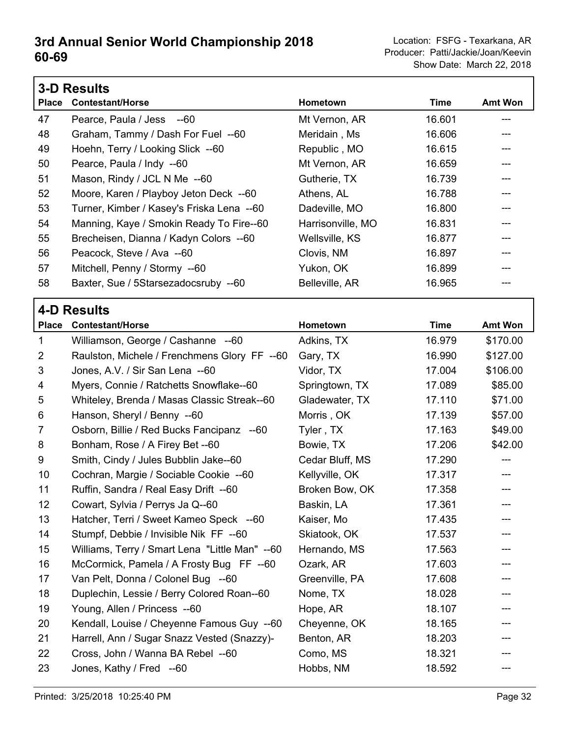|                | <b>3-D Results</b>                             |                   |             |                |
|----------------|------------------------------------------------|-------------------|-------------|----------------|
| <b>Place</b>   | <b>Contestant/Horse</b>                        | Hometown          | <b>Time</b> | <b>Amt Won</b> |
| 47             | Pearce, Paula / Jess --60                      | Mt Vernon, AR     | 16.601      | ---            |
| 48             | Graham, Tammy / Dash For Fuel --60             | Meridain, Ms      | 16.606      | ---            |
| 49             | Hoehn, Terry / Looking Slick --60              | Republic, MO      | 16.615      |                |
| 50             | Pearce, Paula / Indy --60                      | Mt Vernon, AR     | 16.659      |                |
| 51             | Mason, Rindy / JCL N Me --60                   | Gutherie, TX      | 16.739      | ---            |
| 52             | Moore, Karen / Playboy Jeton Deck --60         | Athens, AL        | 16.788      |                |
| 53             | Turner, Kimber / Kasey's Friska Lena --60      | Dadeville, MO     | 16.800      | ---            |
| 54             | Manning, Kaye / Smokin Ready To Fire--60       | Harrisonville, MO | 16.831      | ---            |
| 55             | Brecheisen, Dianna / Kadyn Colors --60         | Wellsville, KS    | 16.877      |                |
| 56             | Peacock, Steve / Ava --60                      | Clovis, NM        | 16.897      |                |
| 57             | Mitchell, Penny / Stormy --60                  | Yukon, OK         | 16.899      | ---            |
| 58             | Baxter, Sue / 5Starsezadocsruby --60           | Belleville, AR    | 16.965      | ---            |
|                | <b>4-D Results</b>                             |                   |             |                |
| <b>Place</b>   | <b>Contestant/Horse</b>                        | Hometown          | <b>Time</b> | <b>Amt Won</b> |
| 1              | Williamson, George / Cashanne --60             | Adkins, TX        | 16.979      | \$170.00       |
| $\overline{2}$ | Raulston, Michele / Frenchmens Glory FF --60   | Gary, TX          | 16.990      | \$127.00       |
| 3              | Jones, A.V. / Sir San Lena --60                | Vidor, TX         | 17.004      | \$106.00       |
| 4              | Myers, Connie / Ratchetts Snowflake--60        | Springtown, TX    | 17.089      | \$85.00        |
| 5              | Whiteley, Brenda / Masas Classic Streak--60    | Gladewater, TX    | 17.110      | \$71.00        |
| 6              | Hanson, Sheryl / Benny --60                    | Morris, OK        | 17.139      | \$57.00        |
| $\overline{7}$ | Osborn, Billie / Red Bucks Fancipanz --60      | Tyler, TX         | 17.163      | \$49.00        |
| 8              | Bonham, Rose / A Firey Bet --60                | Bowie, TX         | 17.206      | \$42.00        |
| 9              | Smith, Cindy / Jules Bubblin Jake--60          | Cedar Bluff, MS   | 17.290      |                |
| 10             | Cochran, Margie / Sociable Cookie --60         | Kellyville, OK    | 17.317      | ---            |
| 11             | Ruffin, Sandra / Real Easy Drift --60          | Broken Bow, OK    | 17.358      | ---            |
| 12             | Cowart, Sylvia / Perrys Ja Q--60               | Baskin, LA        | 17.361      |                |
| 13             | Hatcher, Terri / Sweet Kameo Speck --60        | Kaiser, Mo        | 17.435      |                |
| 14             | Stumpf, Debbie / Invisible Nik FF --60         | Skiatook, OK      | 17.537      |                |
| 15             | Williams, Terry / Smart Lena "Little Man" --60 | Hernando, MS      | 17.563      |                |
| 16             | McCormick, Pamela / A Frosty Bug FF --60       | Ozark, AR         | 17.603      |                |
| 17             | Van Pelt, Donna / Colonel Bug --60             | Greenville, PA    | 17.608      |                |
| 18             | Duplechin, Lessie / Berry Colored Roan--60     | Nome, TX          | 18.028      |                |
| 19             | Young, Allen / Princess --60                   | Hope, AR          | 18.107      |                |
| 20             | Kendall, Louise / Cheyenne Famous Guy --60     | Cheyenne, OK      | 18.165      |                |
| 21             | Harrell, Ann / Sugar Snazz Vested (Snazzy)-    | Benton, AR        | 18.203      |                |
| 22             | Cross, John / Wanna BA Rebel --60              | Como, MS          | 18.321      |                |
| 23             | Jones, Kathy / Fred --60                       | Hobbs, NM         | 18.592      | ---            |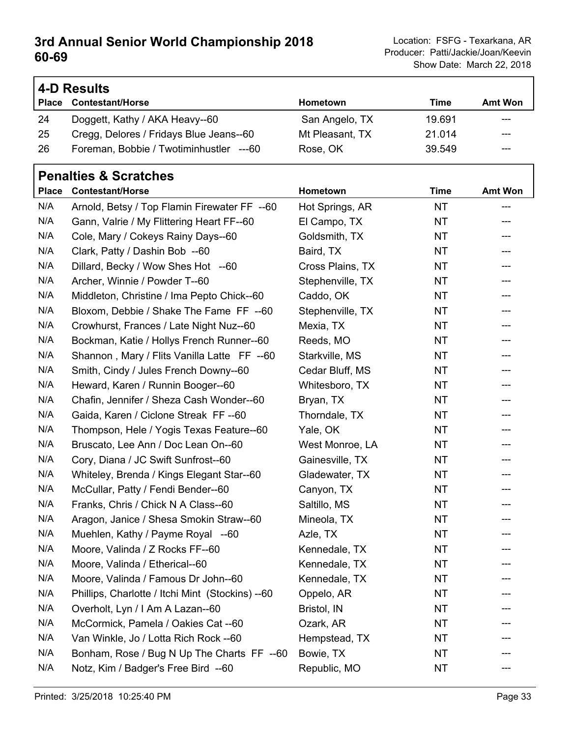٦

|              | 4-D Results                             |                 |        |                |  |
|--------------|-----------------------------------------|-----------------|--------|----------------|--|
| <b>Place</b> | <b>Contestant/Horse</b>                 | Hometown        | Time   | <b>Amt Won</b> |  |
| 24           | Doggett, Kathy / AKA Heavy--60          | San Angelo, TX  | 19.691 | ---            |  |
| 25           | Cregg, Delores / Fridays Blue Jeans--60 | Mt Pleasant, TX | 21.014 | $- - -$        |  |
| 26           | Foreman, Bobbie / Twotiminhustler ---60 | Rose, OK        | 39.549 | ---            |  |

#### **Penalties & Scratches**

|     | Place Contestant/Horse                           | Hometown         | <b>Time</b> | <b>Amt Won</b> |
|-----|--------------------------------------------------|------------------|-------------|----------------|
| N/A | Arnold, Betsy / Top Flamin Firewater FF --60     | Hot Springs, AR  | <b>NT</b>   |                |
| N/A | Gann, Valrie / My Flittering Heart FF--60        | El Campo, TX     | NT          | ---            |
| N/A | Cole, Mary / Cokeys Rainy Days--60               | Goldsmith, TX    | NT          | ---            |
| N/A | Clark, Patty / Dashin Bob --60                   | Baird, TX        | NT          | ---            |
| N/A | Dillard, Becky / Wow Shes Hot --60               | Cross Plains, TX | NT          | ---            |
| N/A | Archer, Winnie / Powder T--60                    | Stephenville, TX | NT          | ---            |
| N/A | Middleton, Christine / Ima Pepto Chick--60       | Caddo, OK        | NT          | ---            |
| N/A | Bloxom, Debbie / Shake The Fame FF --60          | Stephenville, TX | NT          | ---            |
| N/A | Crowhurst, Frances / Late Night Nuz--60          | Mexia, TX        | NT          | ---            |
| N/A | Bockman, Katie / Hollys French Runner--60        | Reeds, MO        | NT          | ---            |
| N/A | Shannon, Mary / Flits Vanilla Latte FF --60      | Starkville, MS   | NT          | ---            |
| N/A | Smith, Cindy / Jules French Downy--60            | Cedar Bluff, MS  | NT          | ---            |
| N/A | Heward, Karen / Runnin Booger--60                | Whitesboro, TX   | NT          | ---            |
| N/A | Chafin, Jennifer / Sheza Cash Wonder--60         | Bryan, TX        | NT          | ---            |
| N/A | Gaida, Karen / Ciclone Streak FF--60             | Thorndale, TX    | NT          | ---            |
| N/A | Thompson, Hele / Yogis Texas Feature--60         | Yale, OK         | NT          | ---            |
| N/A | Bruscato, Lee Ann / Doc Lean On--60              | West Monroe, LA  | NT          | ---            |
| N/A | Cory, Diana / JC Swift Sunfrost--60              | Gainesville, TX  | <b>NT</b>   | ---            |
| N/A | Whiteley, Brenda / Kings Elegant Star--60        | Gladewater, TX   | NT          | ---            |
| N/A | McCullar, Patty / Fendi Bender--60               | Canyon, TX       | NT          | ---            |
| N/A | Franks, Chris / Chick N A Class--60              | Saltillo, MS     | <b>NT</b>   | ---            |
| N/A | Aragon, Janice / Shesa Smokin Straw--60          | Mineola, TX      | NT          | ---            |
| N/A | Muehlen, Kathy / Payme Royal --60                | Azle, TX         | NT          | ---            |
| N/A | Moore, Valinda / Z Rocks FF--60                  | Kennedale, TX    | <b>NT</b>   | ---            |
| N/A | Moore, Valinda / Etherical--60                   | Kennedale, TX    | NT          | ---            |
| N/A | Moore, Valinda / Famous Dr John--60              | Kennedale, TX    | <b>NT</b>   | ---            |
| N/A | Phillips, Charlotte / Itchi Mint (Stockins) --60 | Oppelo, AR       | <b>NT</b>   | ---            |
| N/A | Overholt, Lyn / I Am A Lazan--60                 | Bristol, IN      | NT          |                |
| N/A | McCormick, Pamela / Oakies Cat --60              | Ozark, AR        | <b>NT</b>   |                |
| N/A | Van Winkle, Jo / Lotta Rich Rock --60            | Hempstead, TX    | NT          |                |
| N/A | Bonham, Rose / Bug N Up The Charts FF --60       | Bowie, TX        | <b>NT</b>   |                |
| N/A | Notz, Kim / Badger's Free Bird --60              | Republic, MO     | NT          |                |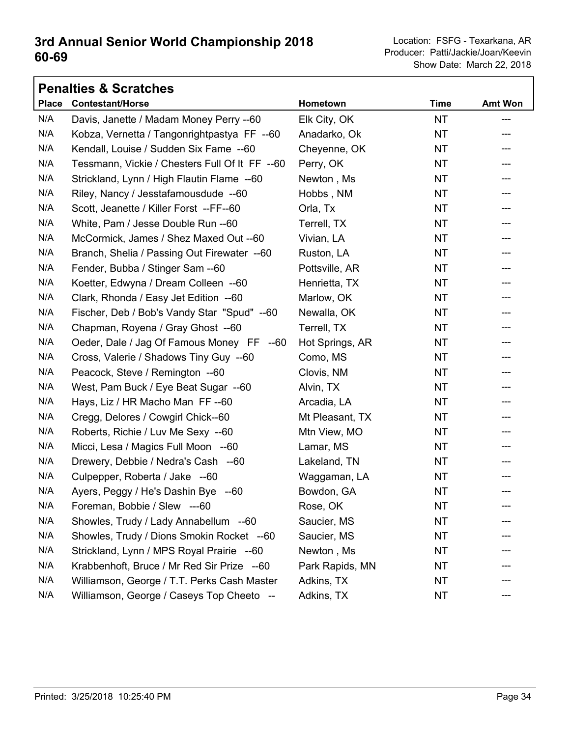| <b>Penalties &amp; Scratches</b> |                                                |                 |             |                |  |
|----------------------------------|------------------------------------------------|-----------------|-------------|----------------|--|
| <b>Place</b>                     | <b>Contestant/Horse</b>                        | Hometown        | <b>Time</b> | <b>Amt Won</b> |  |
| N/A                              | Davis, Janette / Madam Money Perry --60        | Elk City, OK    | <b>NT</b>   | ---            |  |
| N/A                              | Kobza, Vernetta / Tangonrightpastya FF --60    | Anadarko, Ok    | <b>NT</b>   | ---            |  |
| N/A                              | Kendall, Louise / Sudden Six Fame --60         | Cheyenne, OK    | NT          | ---            |  |
| N/A                              | Tessmann, Vickie / Chesters Full Of It FF --60 | Perry, OK       | <b>NT</b>   | ---            |  |
| N/A                              | Strickland, Lynn / High Flautin Flame --60     | Newton, Ms      | <b>NT</b>   |                |  |
| N/A                              | Riley, Nancy / Jesstafamousdude --60           | Hobbs, NM       | <b>NT</b>   | ---            |  |
| N/A                              | Scott, Jeanette / Killer Forst --FF--60        | Orla, Tx        | <b>NT</b>   | ---            |  |
| N/A                              | White, Pam / Jesse Double Run -- 60            | Terrell, TX     | <b>NT</b>   | ---            |  |
| N/A                              | McCormick, James / Shez Maxed Out --60         | Vivian, LA      | <b>NT</b>   | ---            |  |
| N/A                              | Branch, Shelia / Passing Out Firewater --60    | Ruston, LA      | <b>NT</b>   | ---            |  |
| N/A                              | Fender, Bubba / Stinger Sam --60               | Pottsville, AR  | <b>NT</b>   | ---            |  |
| N/A                              | Koetter, Edwyna / Dream Colleen --60           | Henrietta, TX   | <b>NT</b>   | ---            |  |
| N/A                              | Clark, Rhonda / Easy Jet Edition --60          | Marlow, OK      | <b>NT</b>   | ---            |  |
| N/A                              | Fischer, Deb / Bob's Vandy Star "Spud" --60    | Newalla, OK     | <b>NT</b>   | ---            |  |
| N/A                              | Chapman, Royena / Gray Ghost --60              | Terrell, TX     | <b>NT</b>   | ---            |  |
| N/A                              | Oeder, Dale / Jag Of Famous Money FF --60      | Hot Springs, AR | <b>NT</b>   | ---            |  |
| N/A                              | Cross, Valerie / Shadows Tiny Guy --60         | Como, MS        | <b>NT</b>   | ---            |  |
| N/A                              | Peacock, Steve / Remington --60                | Clovis, NM      | <b>NT</b>   | ---            |  |
| N/A                              | West, Pam Buck / Eye Beat Sugar --60           | Alvin, TX       | <b>NT</b>   | ---            |  |
| N/A                              | Hays, Liz / HR Macho Man FF--60                | Arcadia, LA     | <b>NT</b>   | ---            |  |
| N/A                              | Cregg, Delores / Cowgirl Chick--60             | Mt Pleasant, TX | NT          | ---            |  |
| N/A                              | Roberts, Richie / Luv Me Sexy --60             | Mtn View, MO    | <b>NT</b>   | ---            |  |
| N/A                              | Micci, Lesa / Magics Full Moon --60            | Lamar, MS       | <b>NT</b>   | ---            |  |
| N/A                              | Drewery, Debbie / Nedra's Cash --60            | Lakeland, TN    | <b>NT</b>   | ---            |  |
| N/A                              | Culpepper, Roberta / Jake --60                 | Waggaman, LA    | <b>NT</b>   | ---            |  |
| N/A                              | Ayers, Peggy / He's Dashin Bye --60            | Bowdon, GA      | NT          | ---            |  |
| N/A                              | Foreman, Bobbie / Slew ---60                   | Rose, OK        | NT          |                |  |
| N/A                              | Showles, Trudy / Lady Annabellum --60          | Saucier, MS     | <b>NT</b>   |                |  |
| N/A                              | Showles, Trudy / Dions Smokin Rocket --60      | Saucier, MS     | <b>NT</b>   |                |  |
| N/A                              | Strickland, Lynn / MPS Royal Prairie --60      | Newton, Ms      | NT          |                |  |
| N/A                              | Krabbenhoft, Bruce / Mr Red Sir Prize --60     | Park Rapids, MN | NT          |                |  |
| N/A                              | Williamson, George / T.T. Perks Cash Master    | Adkins, TX      | NT          |                |  |
| N/A                              | Williamson, George / Caseys Top Cheeto --      | Adkins, TX      | <b>NT</b>   |                |  |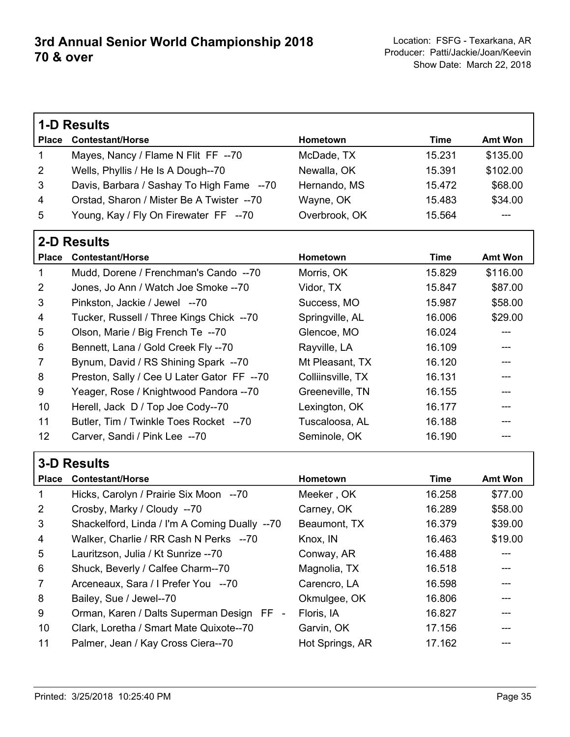|                | <b>1-D Results</b>                            |                   |             |                |
|----------------|-----------------------------------------------|-------------------|-------------|----------------|
| <b>Place</b>   | <b>Contestant/Horse</b>                       | Hometown          | <b>Time</b> | <b>Amt Won</b> |
| 1              | Mayes, Nancy / Flame N Flit FF --70           | McDade, TX        | 15.231      | \$135.00       |
| 2              | Wells, Phyllis / He Is A Dough--70            | Newalla, OK       | 15.391      | \$102.00       |
| 3              | Davis, Barbara / Sashay To High Fame --70     | Hernando, MS      | 15.472      | \$68.00        |
| 4              | Orstad, Sharon / Mister Be A Twister --70     | Wayne, OK         | 15.483      | \$34.00        |
| 5              | Young, Kay / Fly On Firewater FF --70         | Overbrook, OK     | 15.564      |                |
|                | <b>2-D Results</b>                            |                   |             |                |
| <b>Place</b>   | <b>Contestant/Horse</b>                       | Hometown          | <b>Time</b> | <b>Amt Won</b> |
| 1              | Mudd, Dorene / Frenchman's Cando --70         | Morris, OK        | 15.829      | \$116.00       |
| 2              | Jones, Jo Ann / Watch Joe Smoke -- 70         | Vidor, TX         | 15.847      | \$87.00        |
| 3              | Pinkston, Jackie / Jewel --70                 | Success, MO       | 15.987      | \$58.00        |
| 4              | Tucker, Russell / Three Kings Chick --70      | Springville, AL   | 16.006      | \$29.00        |
| 5              | Olson, Marie / Big French Te --70             | Glencoe, MO       | 16.024      |                |
| 6              | Bennett, Lana / Gold Creek Fly --70           | Rayville, LA      | 16.109      |                |
| 7              | Bynum, David / RS Shining Spark --70          | Mt Pleasant, TX   | 16.120      |                |
| 8              | Preston, Sally / Cee U Later Gator FF --70    | Colliinsville, TX | 16.131      |                |
| 9              | Yeager, Rose / Knightwood Pandora --70        | Greeneville, TN   | 16.155      |                |
| 10             | Herell, Jack D / Top Joe Cody--70             | Lexington, OK     | 16.177      |                |
| 11             | Butler, Tim / Twinkle Toes Rocket --70        | Tuscaloosa, AL    | 16.188      |                |
| 12             | Carver, Sandi / Pink Lee --70                 | Seminole, OK      | 16.190      |                |
|                | <b>3-D Results</b>                            |                   |             |                |
| <b>Place</b>   | <b>Contestant/Horse</b>                       | Hometown          | <b>Time</b> | <b>Amt Won</b> |
| 1              | Hicks, Carolyn / Prairie Six Moon --70        | Meeker, OK        | 16.258      | \$77.00        |
| $\overline{2}$ | Crosby, Marky / Cloudy --70                   | Carney, OK        | 16.289      | \$58.00        |
| 3              | Shackelford, Linda / I'm A Coming Dually --70 | Beaumont, TX      | 16.379      | \$39.00        |
| 4              | Walker, Charlie / RR Cash N Perks --70        | Knox, IN          | 16.463      | \$19.00        |
| 5              | Lauritzson, Julia / Kt Sunrize -- 70          | Conway, AR        | 16.488      |                |
| 6              | Shuck, Beverly / Calfee Charm--70             | Magnolia, TX      | 16.518      |                |
| 7              | Arceneaux, Sara / I Prefer You --70           | Carencro, LA      | 16.598      |                |
| 8              | Bailey, Sue / Jewel--70                       | Okmulgee, OK      | 16.806      |                |
| 9              | Orman, Karen / Dalts Superman Design FF -     | Floris, IA        | 16.827      |                |
| 10             | Clark, Loretha / Smart Mate Quixote--70       | Garvin, OK        | 17.156      |                |
| 11             | Palmer, Jean / Kay Cross Ciera--70            | Hot Springs, AR   | 17.162      |                |